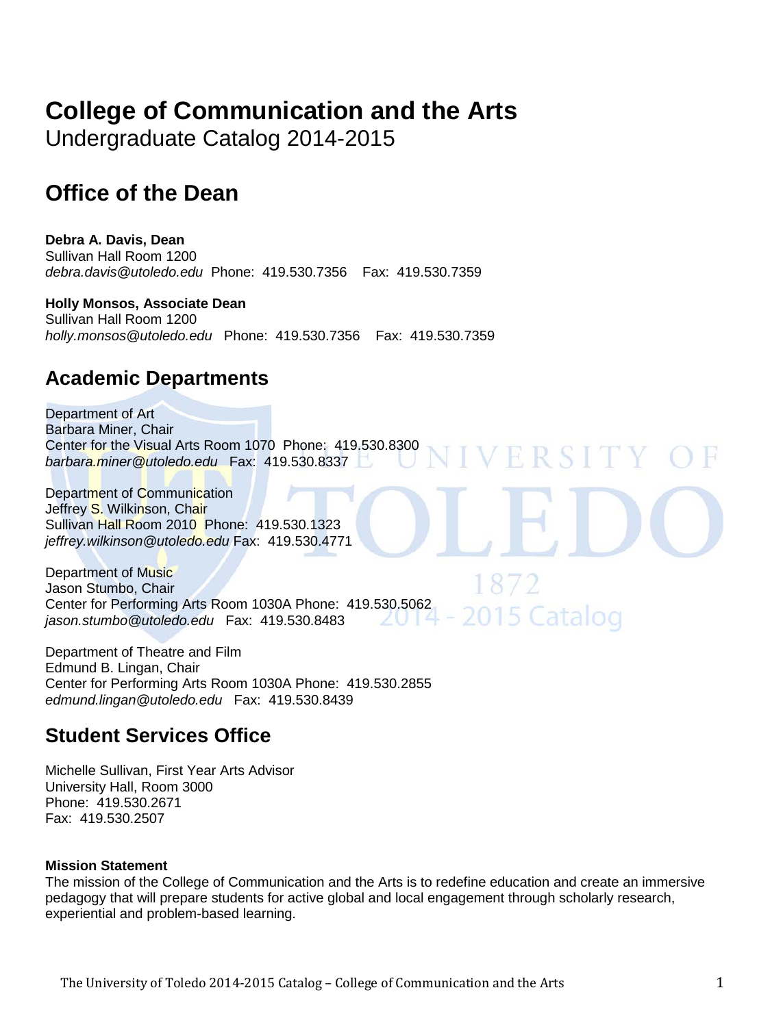# **College of Communication and the Arts**

Undergraduate Catalog 2014-2015

# **Office of the Dean**

**Debra A. Davis, Dean**  Sullivan Hall Room 1200 *debra.davis@utoledo.edu* Phone: 419.530.7356 Fax: 419.530.7359

**Holly Monsos, Associate Dean**  Sullivan Hall Room 1200 *holly.monsos@utoledo.edu* Phone: 419.530.7356 Fax: 419.530.7359

# **Academic Departments**

Department of Art Barbara Miner, Chair Center for the Visual Arts Room 1070 Phone: 419.530.8300 ERSITY *barbara.miner@utoledo.edu* Fax: 419.530.8337

Department of Communication Jeffrey S. Wilkinson, Chair Sullivan Hall Room 2010 Phone: 419.530.1323 *jeffrey.wilkinson@utoledo.edu* Fax: 419.530.4771

Department of Music Jason Stumbo, Chair Center for Performing Arts Room 1030A Phone: 419.530.5062 5 Catalog *jason.stumbo@utoledo.edu* Fax: 419.530.8483

Department of Theatre and Film Edmund B. Lingan, Chair Center for Performing Arts Room 1030A Phone: 419.530.2855 *edmund.lingan@utoledo.edu* Fax: 419.530.8439

# **Student Services Office**

Michelle Sullivan, First Year Arts Advisor University Hall, Room 3000 Phone: 419.530.2671 Fax: 419.530.2507

# **Mission Statement**

The mission of the College of Communication and the Arts is to redefine education and create an immersive pedagogy that will prepare students for active global and local engagement through scholarly research, experiential and problem-based learning.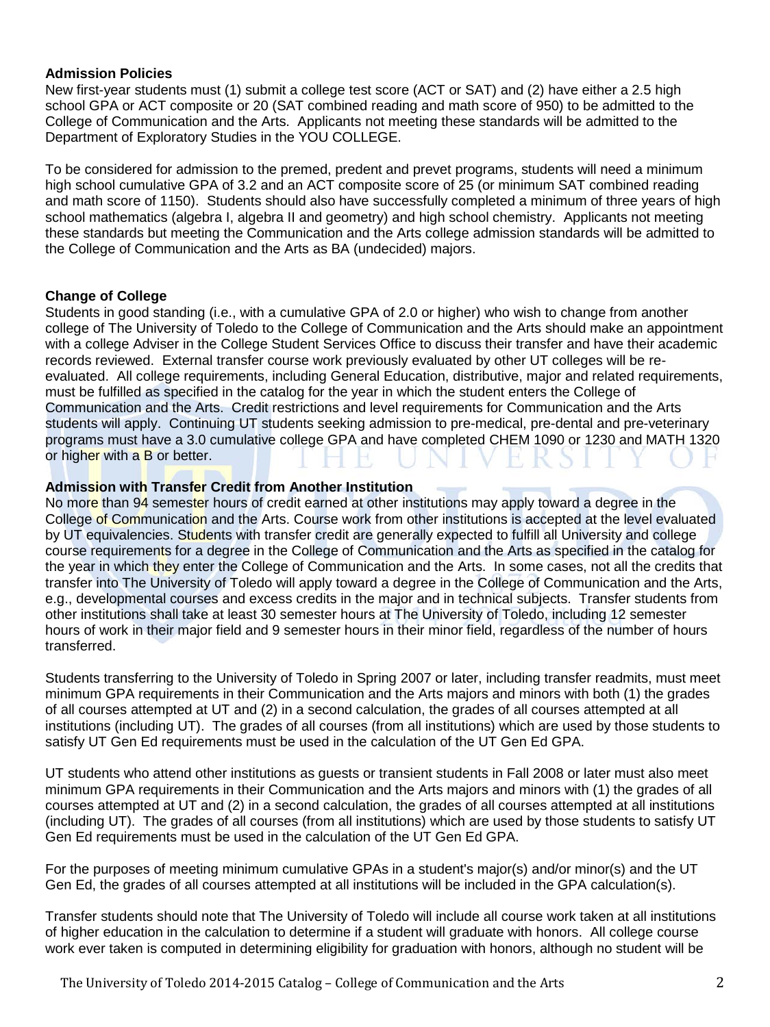#### **Admission Policies**

New first-year students must (1) submit a college test score (ACT or SAT) and (2) have either a 2.5 high school GPA or ACT composite or 20 (SAT combined reading and math score of 950) to be admitted to the College of Communication and the Arts. Applicants not meeting these standards will be admitted to the Department of Exploratory Studies in the YOU COLLEGE.

To be considered for admission to the premed, predent and prevet programs, students will need a minimum high school cumulative GPA of 3.2 and an ACT composite score of 25 (or minimum SAT combined reading and math score of 1150). Students should also have successfully completed a minimum of three years of high school mathematics (algebra I, algebra II and geometry) and high school chemistry. Applicants not meeting these standards but meeting the Communication and the Arts college admission standards will be admitted to the College of Communication and the Arts as BA (undecided) majors.

# **Change of College**

Students in good standing (i.e., with a cumulative GPA of 2.0 or higher) who wish to change from another college of The University of Toledo to the College of Communication and the Arts should make an appointment with a college Adviser in the College Student Services Office to discuss their transfer and have their academic records reviewed. External transfer course work previously evaluated by other UT colleges will be reevaluated. All college requirements, including General Education, distributive, major and related requirements, must be fulfilled as specified in the catalog for the year in which the student enters the College of Communication and the Arts. Credit restrictions and level requirements for Communication and the Arts students will apply. Continuing UT students seeking admission to pre-medical, pre-dental and pre-veterinary programs must have a 3.0 cumulative college GPA and have completed CHEM 1090 or 1230 and MATH 1320 or higher with a B or better.

#### **Admission with Transfer Credit from Another Institution**

No more than 94 semester hours of credit earned at other institutions may apply toward a degree in the College of Communication and the Arts. Course work from other institutions is accepted at the level evaluated by UT equivalencies. Students with transfer credit are generally expected to fulfill all University and college course requirements for a degree in the College of Communication and the Arts as specified in the catalog for the year in which they enter the College of Communication and the Arts. In some cases, not all the credits that transfer into The University of Toledo will apply toward a degree in the College of Communication and the Arts, e.g., developmental courses and excess credits in the major and in technical subjects. Transfer students from other institutions shall take at least 30 semester hours at The University of Toledo, including 12 semester hours of work in their major field and 9 semester hours in their minor field, regardless of the number of hours transferred.

Students transferring to the University of Toledo in Spring 2007 or later, including transfer readmits, must meet minimum GPA requirements in their Communication and the Arts majors and minors with both (1) the grades of all courses attempted at UT and (2) in a second calculation, the grades of all courses attempted at all institutions (including UT). The grades of all courses (from all institutions) which are used by those students to satisfy UT Gen Ed requirements must be used in the calculation of the UT Gen Ed GPA.

UT students who attend other institutions as guests or transient students in Fall 2008 or later must also meet minimum GPA requirements in their Communication and the Arts majors and minors with (1) the grades of all courses attempted at UT and (2) in a second calculation, the grades of all courses attempted at all institutions (including UT). The grades of all courses (from all institutions) which are used by those students to satisfy UT Gen Ed requirements must be used in the calculation of the UT Gen Ed GPA.

For the purposes of meeting minimum cumulative GPAs in a student's major(s) and/or minor(s) and the UT Gen Ed, the grades of all courses attempted at all institutions will be included in the GPA calculation(s).

Transfer students should note that The University of Toledo will include all course work taken at all institutions of higher education in the calculation to determine if a student will graduate with honors. All college course work ever taken is computed in determining eligibility for graduation with honors, although no student will be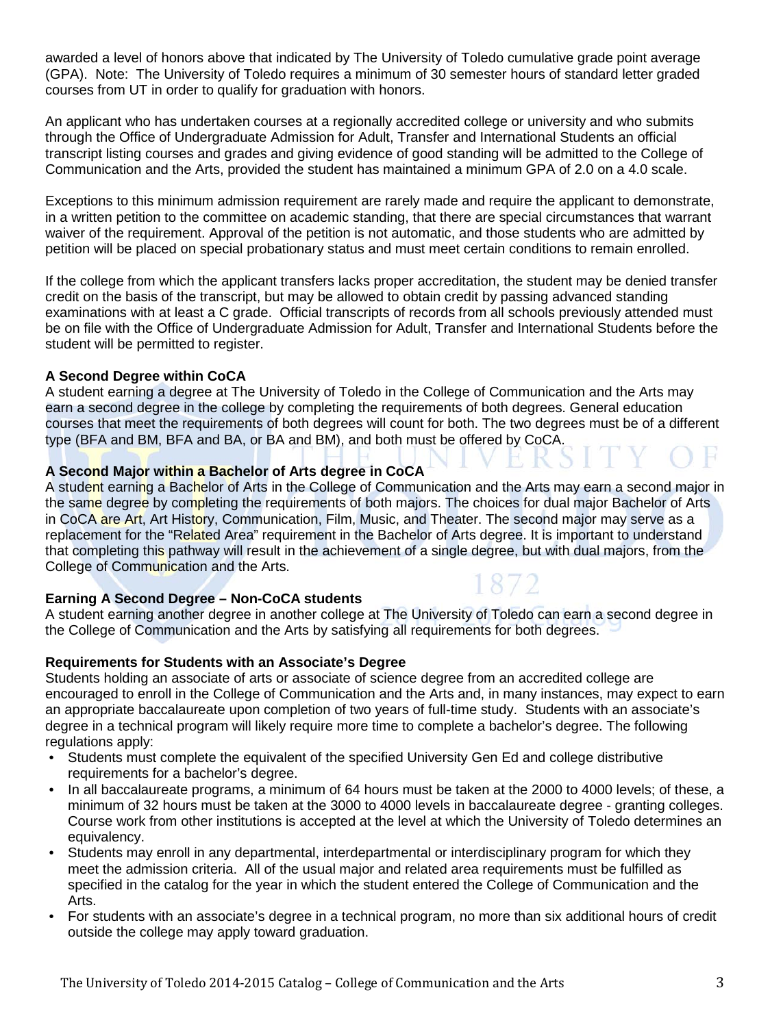awarded a level of honors above that indicated by The University of Toledo cumulative grade point average (GPA). Note: The University of Toledo requires a minimum of 30 semester hours of standard letter graded courses from UT in order to qualify for graduation with honors.

An applicant who has undertaken courses at a regionally accredited college or university and who submits through the Office of Undergraduate Admission for Adult, Transfer and International Students an official transcript listing courses and grades and giving evidence of good standing will be admitted to the College of Communication and the Arts, provided the student has maintained a minimum GPA of 2.0 on a 4.0 scale.

Exceptions to this minimum admission requirement are rarely made and require the applicant to demonstrate, in a written petition to the committee on academic standing, that there are special circumstances that warrant waiver of the requirement. Approval of the petition is not automatic, and those students who are admitted by petition will be placed on special probationary status and must meet certain conditions to remain enrolled.

If the college from which the applicant transfers lacks proper accreditation, the student may be denied transfer credit on the basis of the transcript, but may be allowed to obtain credit by passing advanced standing examinations with at least a C grade. Official transcripts of records from all schools previously attended must be on file with the Office of Undergraduate Admission for Adult, Transfer and International Students before the student will be permitted to register.

# **A Second Degree within CoCA**

A student earning a degree at The University of Toledo in the College of Communication and the Arts may earn a second degree in the college by completing the requirements of both degrees. General education courses that meet the requirements of both degrees will count for both. The two degrees must be of a different type (BFA and BM, BFA and BA, or BA and BM), and both must be offered by CoCA.

# **A Second Major within a Bachelor of Arts degree in CoCA**

A student earning a Bachelor of Arts in the College of Communication and the Arts may earn a second major in the same degree by completing the requirements of both majors. The choices for dual major Bachelor of Arts in CoCA are Art, Art History, Communication, Film, Music, and Theater. The second major may serve as a replacement for the "Related Area" requirement in the Bachelor of Arts degree. It is important to understand that completing this pathway will result in the achievement of a single degree, but with dual majors, from the College of Communication and the Arts.

# **Earning A Second Degree – Non-CoCA students**

A student earning another degree in another college at The University of Toledo can earn a second degree in the College of Communication and the Arts by satisfying all requirements for both degrees.

# **Requirements for Students with an Associate's Degree**

Students holding an associate of arts or associate of science degree from an accredited college are encouraged to enroll in the College of Communication and the Arts and, in many instances, may expect to earn an appropriate baccalaureate upon completion of two years of full-time study. Students with an associate's degree in a technical program will likely require more time to complete a bachelor's degree. The following regulations apply:

- Students must complete the equivalent of the specified University Gen Ed and college distributive requirements for a bachelor's degree.
- In all baccalaureate programs, a minimum of 64 hours must be taken at the 2000 to 4000 levels; of these, a minimum of 32 hours must be taken at the 3000 to 4000 levels in baccalaureate degree - granting colleges. Course work from other institutions is accepted at the level at which the University of Toledo determines an equivalency.
- Students may enroll in any departmental, interdepartmental or interdisciplinary program for which they meet the admission criteria. All of the usual major and related area requirements must be fulfilled as specified in the catalog for the year in which the student entered the College of Communication and the Arts.
- For students with an associate's degree in a technical program, no more than six additional hours of credit outside the college may apply toward graduation.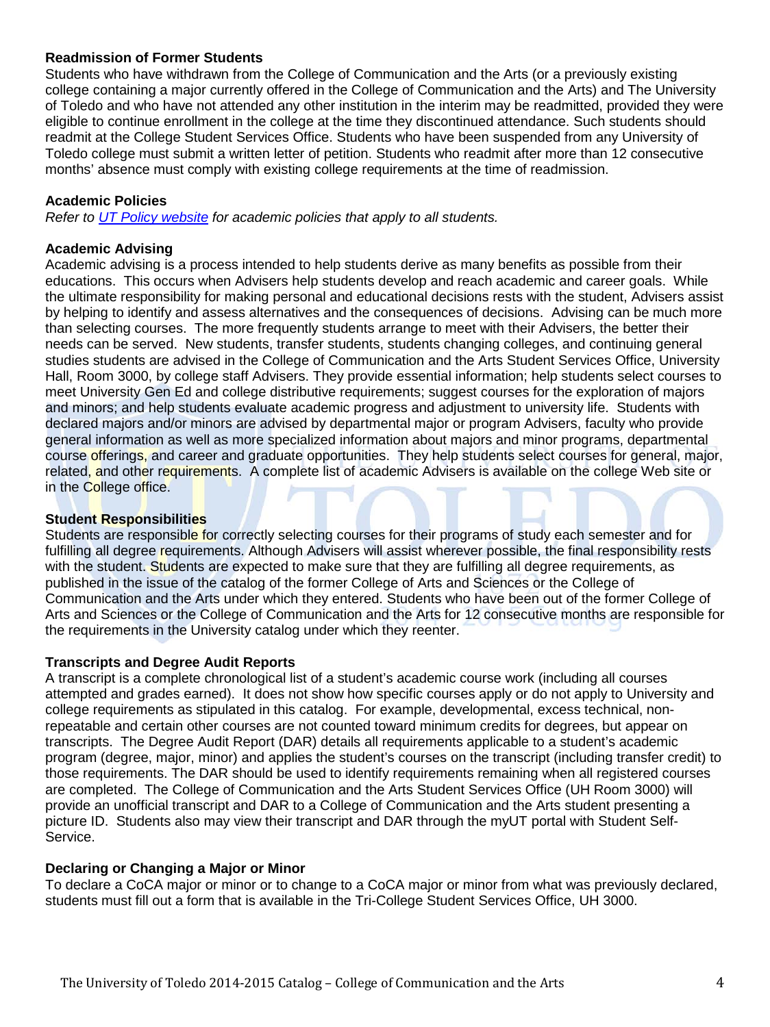# **Readmission of Former Students**

Students who have withdrawn from the College of Communication and the Arts (or a previously existing college containing a major currently offered in the College of Communication and the Arts) and The University of Toledo and who have not attended any other institution in the interim may be readmitted, provided they were eligible to continue enrollment in the college at the time they discontinued attendance. Such students should readmit at the College Student Services Office. Students who have been suspended from any University of Toledo college must submit a written letter of petition. Students who readmit after more than 12 consecutive months' absence must comply with existing college requirements at the time of readmission.

#### **Academic Policies**

*Refer to [UT Policy website](http://utoledo.edu/policies/) for academic policies that apply to all students.*

#### **Academic Advising**

Academic advising is a process intended to help students derive as many benefits as possible from their educations. This occurs when Advisers help students develop and reach academic and career goals. While the ultimate responsibility for making personal and educational decisions rests with the student, Advisers assist by helping to identify and assess alternatives and the consequences of decisions. Advising can be much more than selecting courses. The more frequently students arrange to meet with their Advisers, the better their needs can be served. New students, transfer students, students changing colleges, and continuing general studies students are advised in the College of Communication and the Arts Student Services Office, University Hall, Room 3000, by college staff Advisers. They provide essential information; help students select courses to meet University Gen Ed and college distributive requirements; suggest courses for the exploration of majors and minors; and help students evaluate academic progress and adjustment to university life. Students with declared majors and/or minors are advised by departmental major or program Advisers, faculty who provide general information as well as more specialized information about majors and minor programs, departmental course offerings, and career and graduate opportunities. They help students select courses for general, major, related, and other requirements. A complete list of academic Advisers is available on the college Web site or in the College office.

#### **Student Responsibilities**

Students are responsible for correctly selecting courses for their programs of study each semester and for fulfilling all degree requirements. Although Advisers will assist wherever possible, the final responsibility rests with the student. Students are expected to make sure that they are fulfilling all degree requirements, as published in the issue of the catalog of the former College of Arts and Sciences or the College of Communication and the Arts under which they entered. Students who have been out of the former College of Arts and Sciences or the College of Communication and the Arts for 12 consecutive months are responsible for the requirements in the University catalog under which they reenter.

#### **Transcripts and Degree Audit Reports**

A transcript is a complete chronological list of a student's academic course work (including all courses attempted and grades earned). It does not show how specific courses apply or do not apply to University and college requirements as stipulated in this catalog. For example, developmental, excess technical, nonrepeatable and certain other courses are not counted toward minimum credits for degrees, but appear on transcripts. The Degree Audit Report (DAR) details all requirements applicable to a student's academic program (degree, major, minor) and applies the student's courses on the transcript (including transfer credit) to those requirements. The DAR should be used to identify requirements remaining when all registered courses are completed. The College of Communication and the Arts Student Services Office (UH Room 3000) will provide an unofficial transcript and DAR to a College of Communication and the Arts student presenting a picture ID. Students also may view their transcript and DAR through the myUT portal with Student Self-Service.

#### **Declaring or Changing a Major or Minor**

To declare a CoCA major or minor or to change to a CoCA major or minor from what was previously declared, students must fill out a form that is available in the Tri-College Student Services Office, UH 3000.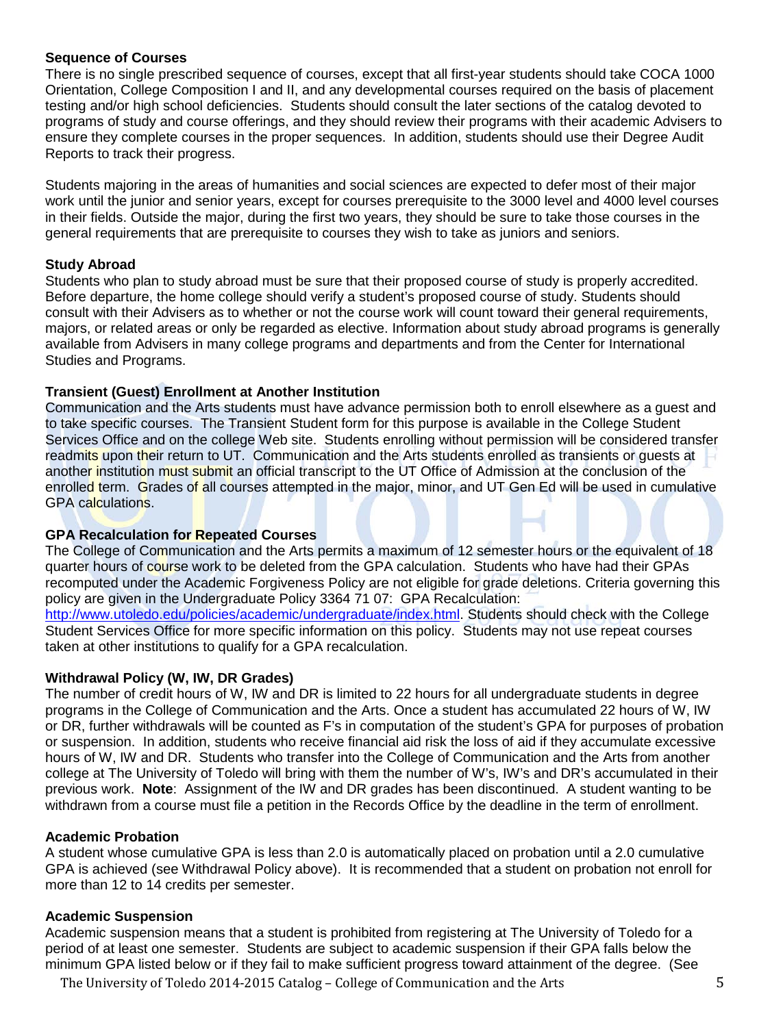#### **Sequence of Courses**

There is no single prescribed sequence of courses, except that all first-year students should take COCA 1000 Orientation, College Composition I and II, and any developmental courses required on the basis of placement testing and/or high school deficiencies. Students should consult the later sections of the catalog devoted to programs of study and course offerings, and they should review their programs with their academic Advisers to ensure they complete courses in the proper sequences. In addition, students should use their Degree Audit Reports to track their progress.

Students majoring in the areas of humanities and social sciences are expected to defer most of their major work until the junior and senior years, except for courses prerequisite to the 3000 level and 4000 level courses in their fields. Outside the major, during the first two years, they should be sure to take those courses in the general requirements that are prerequisite to courses they wish to take as juniors and seniors.

# **Study Abroad**

Students who plan to study abroad must be sure that their proposed course of study is properly accredited. Before departure, the home college should verify a student's proposed course of study. Students should consult with their Advisers as to whether or not the course work will count toward their general requirements, majors, or related areas or only be regarded as elective. Information about study abroad programs is generally available from Advisers in many college programs and departments and from the Center for International Studies and Programs.

# **Transient (Guest) Enrollment at Another Institution**

Communication and the Arts students must have advance permission both to enroll elsewhere as a guest and to take specific courses. The Transient Student form for this purpose is available in the College Student Services Office and on the college Web site. Students enrolling without permission will be considered transfer readmits upon their return to UT. Communication and the Arts students enrolled as transients or quests at another institution must submit an official transcript to the UT Office of Admission at the conclusion of the enrolled term. Grades of all courses attempted in the major, minor, and UT Gen Ed will be used in cumulative GPA calculations.

#### **GPA Recalculation for Repeated Courses**

The College of Communication and the Arts permits a maximum of 12 semester hours or the equivalent of 18 quarter hours of course work to be deleted from the GPA calculation. Students who have had their GPAs recomputed under the Academic Forgiveness Policy are not eligible for grade deletions. Criteria governing this policy are given in the Undergraduate Policy 3364 71 07: GPA Recalculation:

[http://www.utoledo.edu/policies/academic/undergraduate/index.html.](http://www.utoledo.edu/policies/academic/undergraduate/index.html) Students should check with the College Student Services Office for more specific information on this policy. Students may not use repeat courses taken at other institutions to qualify for a GPA recalculation.

# **Withdrawal Policy (W, IW, DR Grades)**

The number of credit hours of W, IW and DR is limited to 22 hours for all undergraduate students in degree programs in the College of Communication and the Arts. Once a student has accumulated 22 hours of W, IW or DR, further withdrawals will be counted as F's in computation of the student's GPA for purposes of probation or suspension. In addition, students who receive financial aid risk the loss of aid if they accumulate excessive hours of W, IW and DR. Students who transfer into the College of Communication and the Arts from another college at The University of Toledo will bring with them the number of W's, IW's and DR's accumulated in their previous work. **Note**: Assignment of the IW and DR grades has been discontinued. A student wanting to be withdrawn from a course must file a petition in the Records Office by the deadline in the term of enrollment.

#### **Academic Probation**

A student whose cumulative GPA is less than 2.0 is automatically placed on probation until a 2.0 cumulative GPA is achieved (see Withdrawal Policy above). It is recommended that a student on probation not enroll for more than 12 to 14 credits per semester.

#### **Academic Suspension**

Academic suspension means that a student is prohibited from registering at The University of Toledo for a period of at least one semester. Students are subject to academic suspension if their GPA falls below the minimum GPA listed below or if they fail to make sufficient progress toward attainment of the degree. (See

The University of Toledo 2014-2015 Catalog – College of Communication and the Arts 5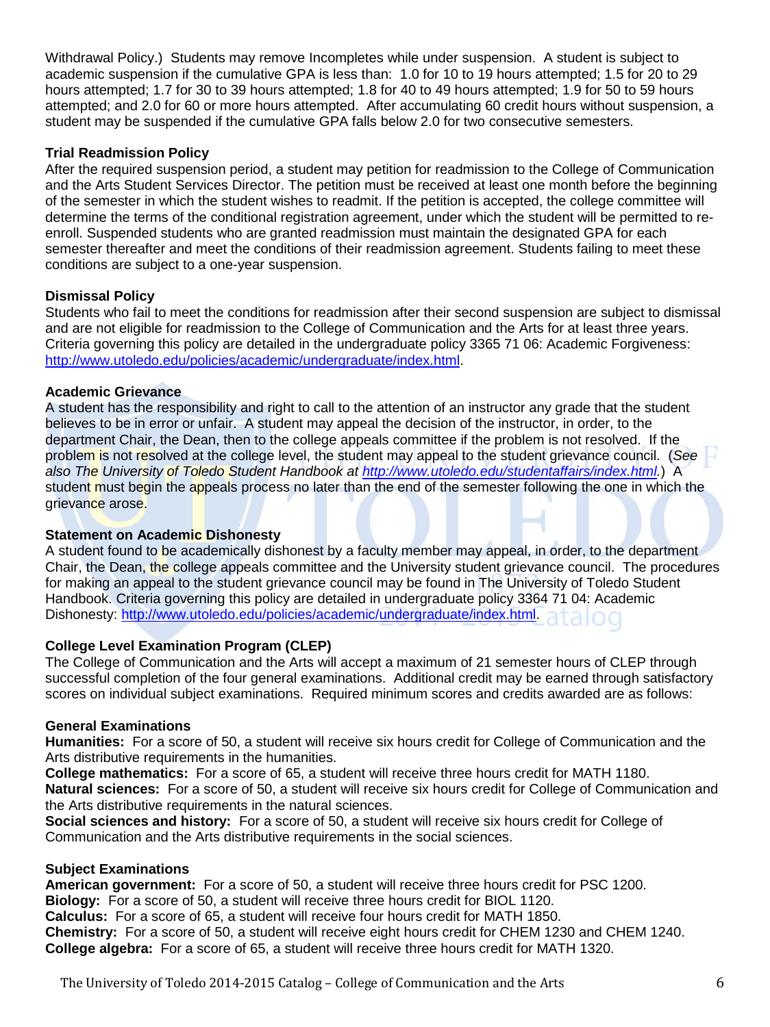Withdrawal Policy.) Students may remove Incompletes while under suspension. A student is subject to academic suspension if the cumulative GPA is less than: 1.0 for 10 to 19 hours attempted; 1.5 for 20 to 29 hours attempted; 1.7 for 30 to 39 hours attempted; 1.8 for 40 to 49 hours attempted; 1.9 for 50 to 59 hours attempted; and 2.0 for 60 or more hours attempted. After accumulating 60 credit hours without suspension, a student may be suspended if the cumulative GPA falls below 2.0 for two consecutive semesters.

# **Trial Readmission Policy**

After the required suspension period, a student may petition for readmission to the College of Communication and the Arts Student Services Director. The petition must be received at least one month before the beginning of the semester in which the student wishes to readmit. If the petition is accepted, the college committee will determine the terms of the conditional registration agreement, under which the student will be permitted to reenroll. Suspended students who are granted readmission must maintain the designated GPA for each semester thereafter and meet the conditions of their readmission agreement. Students failing to meet these conditions are subject to a one-year suspension.

# **Dismissal Policy**

Students who fail to meet the conditions for readmission after their second suspension are subject to dismissal and are not eligible for readmission to the College of Communication and the Arts for at least three years. Criteria governing this policy are detailed in the undergraduate policy 3365 71 06: Academic Forgiveness: [http://www.utoledo.edu/policies/academic/undergraduate/index.html.](http://www.utoledo.edu/policies/academic/undergraduate/index.html)

# **Academic Grievance**

A student has the responsibility and right to call to the attention of an instructor any grade that the student believes to be in error or unfair. A student may appeal the decision of the instructor, in order, to the department Chair, the Dean, then to the college appeals committee if the problem is not resolved. If the problem is not resolved at the college level, the student may appeal to the student grievance council. (*See also The University of Toledo Student Handbook at [http://www.utoledo.edu/studentaffairs/index.html.](http://www.utoledo.edu/studentaffairs/index.html)*) A student must begin the appeals process no later than the end of the semester following the one in which the grievance arose.

#### **Statement on Academic Dishonesty**

A student found to be academically dishonest by a faculty member may appeal, in order, to the department Chair, the Dean, the college appeals committee and the University student grievance council. The procedures for making an appeal to the student grievance council may be found in The University of Toledo Student Handbook. Criteria governing this policy are detailed in undergraduate policy 3364 71 04: Academic Dishonesty: [http://www.utoledo.edu/policies/academic/undergraduate/index.html.](http://www.utoledo.edu/policies/academic/undergraduate/index.html)

# **College Level Examination Program (CLEP)**

The College of Communication and the Arts will accept a maximum of 21 semester hours of CLEP through successful completion of the four general examinations. Additional credit may be earned through satisfactory scores on individual subject examinations. Required minimum scores and credits awarded are as follows:

#### **General Examinations**

**Humanities:** For a score of 50, a student will receive six hours credit for College of Communication and the Arts distributive requirements in the humanities.

**College mathematics:** For a score of 65, a student will receive three hours credit for MATH 1180. **Natural sciences:** For a score of 50, a student will receive six hours credit for College of Communication and the Arts distributive requirements in the natural sciences.

**Social sciences and history:** For a score of 50, a student will receive six hours credit for College of Communication and the Arts distributive requirements in the social sciences.

#### **Subject Examinations**

**American government:** For a score of 50, a student will receive three hours credit for PSC 1200. **Biology:** For a score of 50, a student will receive three hours credit for BIOL 1120. **Calculus:** For a score of 65, a student will receive four hours credit for MATH 1850. **Chemistry:** For a score of 50, a student will receive eight hours credit for CHEM 1230 and CHEM 1240. **College algebra:** For a score of 65, a student will receive three hours credit for MATH 1320.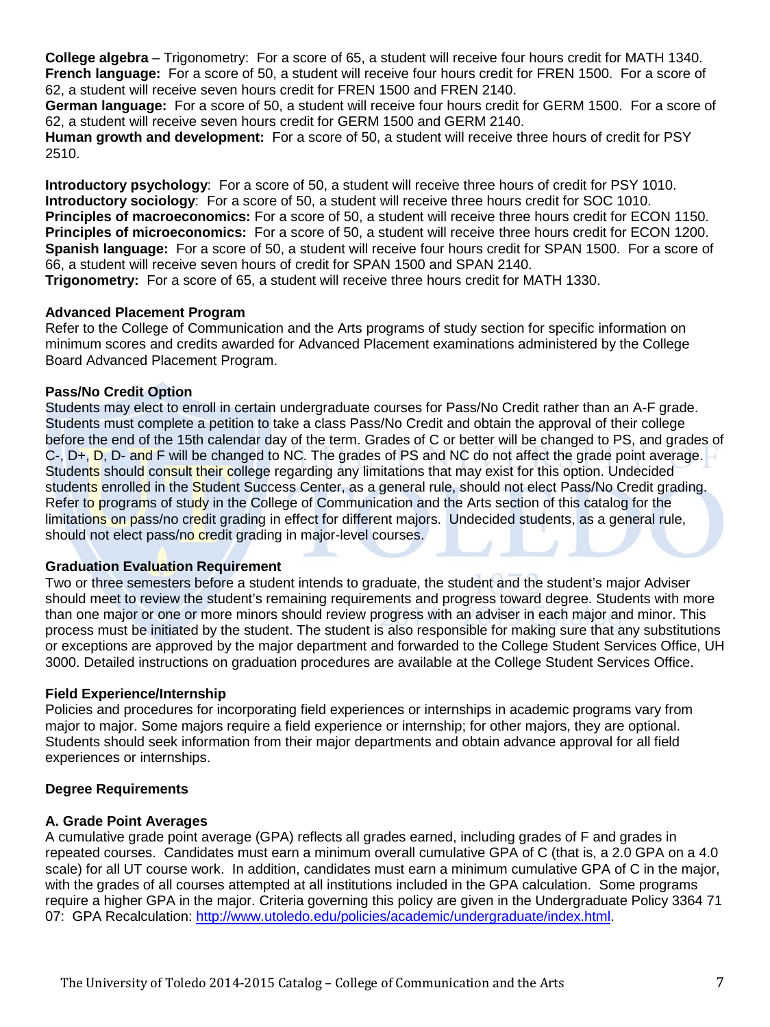**College algebra** – Trigonometry: For a score of 65, a student will receive four hours credit for MATH 1340. **French language:** For a score of 50, a student will receive four hours credit for FREN 1500. For a score of 62, a student will receive seven hours credit for FREN 1500 and FREN 2140.

**German language:** For a score of 50, a student will receive four hours credit for GERM 1500. For a score of 62, a student will receive seven hours credit for GERM 1500 and GERM 2140.

**Human growth and development:** For a score of 50, a student will receive three hours of credit for PSY 2510.

**Introductory psychology**: For a score of 50, a student will receive three hours of credit for PSY 1010. **Introductory sociology**: For a score of 50, a student will receive three hours credit for SOC 1010. **Principles of macroeconomics:** For a score of 50, a student will receive three hours credit for ECON 1150. **Principles of microeconomics:** For a score of 50, a student will receive three hours credit for ECON 1200. **Spanish language:** For a score of 50, a student will receive four hours credit for SPAN 1500. For a score of 66, a student will receive seven hours of credit for SPAN 1500 and SPAN 2140. **Trigonometry:** For a score of 65, a student will receive three hours credit for MATH 1330.

#### **Advanced Placement Program**

Refer to the College of Communication and the Arts programs of study section for specific information on minimum scores and credits awarded for Advanced Placement examinations administered by the College Board Advanced Placement Program.

# **Pass/No Credit Option**

Students may elect to enroll in certain undergraduate courses for Pass/No Credit rather than an A-F grade. Students must complete a petition to take a class Pass/No Credit and obtain the approval of their college before the end of the 15th calendar day of the term. Grades of C or better will be changed to PS, and grades of C-,  $D_{+}$ ,  $D$ ,  $D_{-}$  and F will be changed to NC. The grades of PS and NC do not affect the grade point average. Students should consult their college regarding any limitations that may exist for this option. Undecided students enrolled in the Student Success Center, as a general rule, should not elect Pass/No Credit grading. Refer to programs of study in the College of Communication and the Arts section of this catalog for the limitations on pass/no credit grading in effect for different majors. Undecided students, as a general rule, should not elect pass/no credit grading in major-level courses.

# **Graduation Evaluation Requirement**

Two or three semesters before a student intends to graduate, the student and the student's major Adviser should meet to review the student's remaining requirements and progress toward degree. Students with more than one major or one or more minors should review progress with an adviser in each major and minor. This process must be initiated by the student. The student is also responsible for making sure that any substitutions or exceptions are approved by the major department and forwarded to the College Student Services Office, UH 3000. Detailed instructions on graduation procedures are available at the College Student Services Office.

# **Field Experience/Internship**

Policies and procedures for incorporating field experiences or internships in academic programs vary from major to major. Some majors require a field experience or internship; for other majors, they are optional. Students should seek information from their major departments and obtain advance approval for all field experiences or internships.

# **Degree Requirements**

# **A. Grade Point Averages**

A cumulative grade point average (GPA) reflects all grades earned, including grades of F and grades in repeated courses. Candidates must earn a minimum overall cumulative GPA of C (that is, a 2.0 GPA on a 4.0 scale) for all UT course work. In addition, candidates must earn a minimum cumulative GPA of C in the major, with the grades of all courses attempted at all institutions included in the GPA calculation. Some programs require a higher GPA in the major. Criteria governing this policy are given in the Undergraduate Policy 3364 71 07: GPA Recalculation: [http://www.utoledo.edu/policies/academic/undergraduate/index.html.](http://www.utoledo.edu/policies/academic/undergraduate/index.html)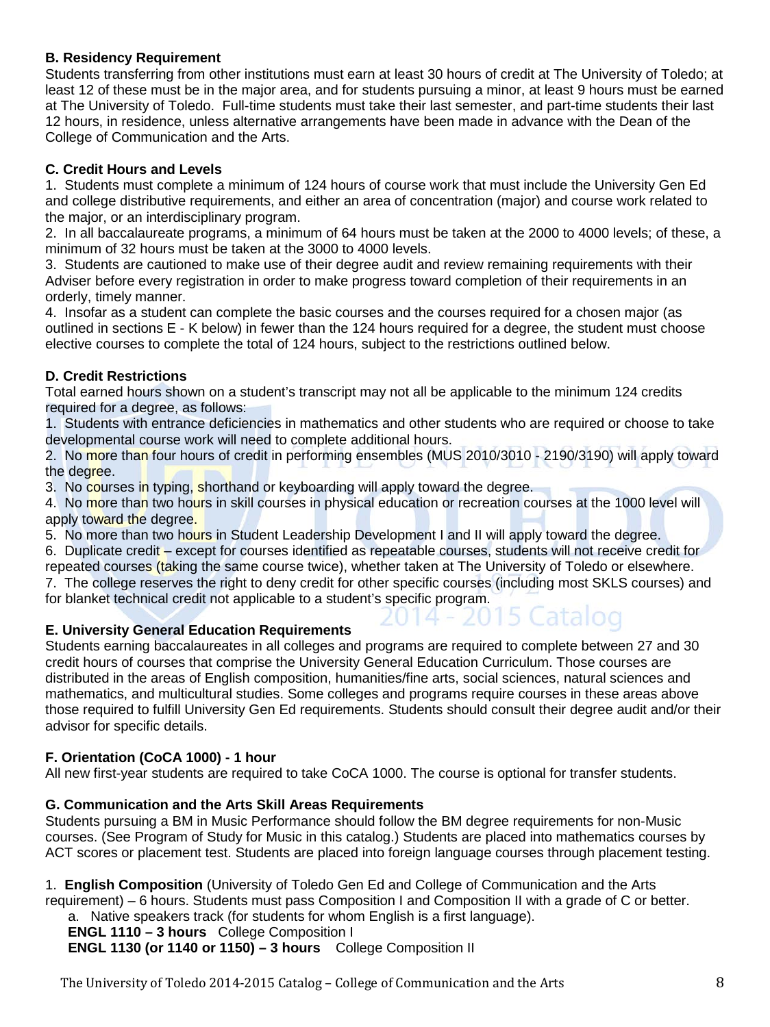# **B. Residency Requirement**

Students transferring from other institutions must earn at least 30 hours of credit at The University of Toledo; at least 12 of these must be in the major area, and for students pursuing a minor, at least 9 hours must be earned at The University of Toledo. Full-time students must take their last semester, and part-time students their last 12 hours, in residence, unless alternative arrangements have been made in advance with the Dean of the College of Communication and the Arts.

# **C. Credit Hours and Levels**

1. Students must complete a minimum of 124 hours of course work that must include the University Gen Ed and college distributive requirements, and either an area of concentration (major) and course work related to the major, or an interdisciplinary program.

2. In all baccalaureate programs, a minimum of 64 hours must be taken at the 2000 to 4000 levels; of these, a minimum of 32 hours must be taken at the 3000 to 4000 levels.

3. Students are cautioned to make use of their degree audit and review remaining requirements with their Adviser before every registration in order to make progress toward completion of their requirements in an orderly, timely manner.

4. Insofar as a student can complete the basic courses and the courses required for a chosen major (as outlined in sections E - K below) in fewer than the 124 hours required for a degree, the student must choose elective courses to complete the total of 124 hours, subject to the restrictions outlined below.

# **D. Credit Restrictions**

Total earned hours shown on a student's transcript may not all be applicable to the minimum 124 credits required for a degree, as follows:

1. Students with entrance deficiencies in mathematics and other students who are required or choose to take developmental course work will need to complete additional hours.

2. No more than four hours of credit in performing ensembles (MUS 2010/3010 - 2190/3190) will apply toward the degree.

3. No courses in typing, shorthand or keyboarding will apply toward the degree.

4. No more than two hours in skill courses in physical education or recreation courses at the 1000 level will apply toward the degree.

5. No more than two hours in Student Leadership Development I and II will apply toward the degree.

6. Duplicate credit – except for courses identified as repeatable courses, students will not receive credit for repeated courses (taking the same course twice), whether taken at The University of Toledo or elsewhere.

7. The college reserves the right to deny credit for other specific courses (including most SKLS courses) and for blanket technical credit not applicable to a student's specific program.

# **E. University General Education Requirements**

Students earning baccalaureates in all colleges and programs are required to complete between 27 and 30 credit hours of courses that comprise the University General Education Curriculum. Those courses are distributed in the areas of English composition, humanities/fine arts, social sciences, natural sciences and mathematics, and multicultural studies. Some colleges and programs require courses in these areas above those required to fulfill University Gen Ed requirements. Students should consult their degree audit and/or their advisor for specific details.

# **F. Orientation (CoCA 1000) - 1 hour**

All new first-year students are required to take CoCA 1000. The course is optional for transfer students.

# **G. Communication and the Arts Skill Areas Requirements**

Students pursuing a BM in Music Performance should follow the BM degree requirements for non-Music courses. (See Program of Study for Music in this catalog.) Students are placed into mathematics courses by ACT scores or placement test. Students are placed into foreign language courses through placement testing.

1. **English Composition** (University of Toledo Gen Ed and College of Communication and the Arts requirement) – 6 hours. Students must pass Composition I and Composition II with a grade of C or better. a. Native speakers track (for students for whom English is a first language).

**ENGL 1110 – 3 hours** College Composition I **ENGL 1130 (or 1140 or 1150) – 3 hours** College Composition II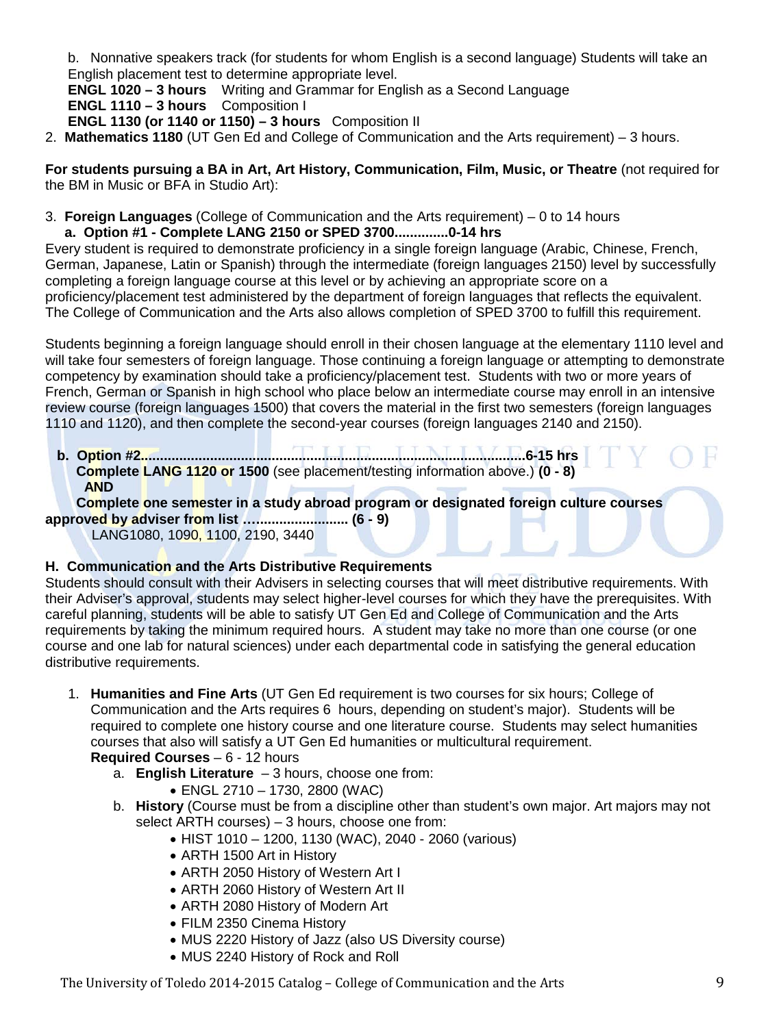b. Nonnative speakers track (for students for whom English is a second language) Students will take an English placement test to determine appropriate level.

**ENGL 1020 – 3 hours** Writing and Grammar for English as a Second Language **ENGL 1110 – 3 hours** Composition I **ENGL 1130 (or 1140 or 1150) – 3 hours** Composition II

2. **Mathematics 1180** (UT Gen Ed and College of Communication and the Arts requirement) – 3 hours.

**For students pursuing a BA in Art, Art History, Communication, Film, Music, or Theatre** (not required for the BM in Music or BFA in Studio Art):

3. **Foreign Languages** (College of Communication and the Arts requirement) – 0 to 14 hours **a. Option #1 - Complete LANG 2150 or SPED 3700..............0-14 hrs**

Every student is required to demonstrate proficiency in a single foreign language (Arabic, Chinese, French, German, Japanese, Latin or Spanish) through the intermediate (foreign languages 2150) level by successfully completing a foreign language course at this level or by achieving an appropriate score on a proficiency/placement test administered by the department of foreign languages that reflects the equivalent. The College of Communication and the Arts also allows completion of SPED 3700 to fulfill this requirement.

Students beginning a foreign language should enroll in their chosen language at the elementary 1110 level and will take four semesters of foreign language. Those continuing a foreign language or attempting to demonstrate competency by examination should take a proficiency/placement test. Students with two or more years of French, German or Spanish in high school who place below an intermediate course may enroll in an intensive review course (foreign languages 1500) that covers the material in the first two semesters (foreign languages 1110 and 1120), and then complete the second-year courses (foreign languages 2140 and 2150).

 **b. Option #2....................................................................................................6-15 hrs Complete LANG 1120 or 1500** (see placement/testing information above.) **(0 - 8) AND**

 **Complete one semester in a study abroad program or designated foreign culture courses approved by adviser from list …........................ (6 - 9)**

LANG1080, 1090, 1100, 2190, 3440

# **H. Communication and the Arts Distributive Requirements**

Students should consult with their Advisers in selecting courses that will meet distributive requirements. With their Adviser's approval, students may select higher-level courses for which they have the prerequisites. With careful planning, students will be able to satisfy UT Gen Ed and College of Communication and the Arts requirements by taking the minimum required hours. A student may take no more than one course (or one course and one lab for natural sciences) under each departmental code in satisfying the general education distributive requirements.

1. **Humanities and Fine Arts** (UT Gen Ed requirement is two courses for six hours; College of Communication and the Arts requires 6 hours, depending on student's major). Students will be required to complete one history course and one literature course. Students may select humanities courses that also will satisfy a UT Gen Ed humanities or multicultural requirement.

**Required Courses** – 6 - 12 hours

- a. **English Literature** 3 hours, choose one from:
	- ENGL 2710 1730, 2800 (WAC)
- b. **History** (Course must be from a discipline other than student's own major. Art majors may not select ARTH courses) – 3 hours, choose one from:
	- HIST 1010 1200, 1130 (WAC), 2040 2060 (various)
	- ARTH 1500 Art in History
	- ARTH 2050 History of Western Art I
	- ARTH 2060 History of Western Art II
	- ARTH 2080 History of Modern Art
	- FILM 2350 Cinema History
	- MUS 2220 History of Jazz (also US Diversity course)
	- MUS 2240 History of Rock and Roll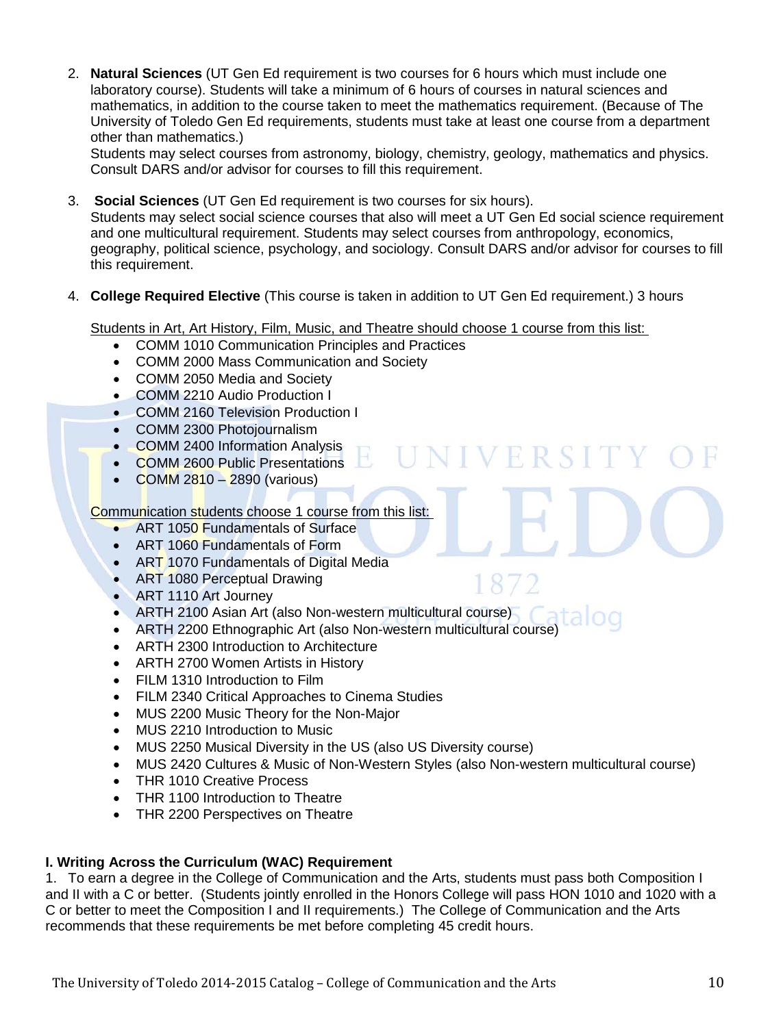2. **Natural Sciences** (UT Gen Ed requirement is two courses for 6 hours which must include one laboratory course). Students will take a minimum of 6 hours of courses in natural sciences and mathematics, in addition to the course taken to meet the mathematics requirement. (Because of The University of Toledo Gen Ed requirements, students must take at least one course from a department other than mathematics.)

Students may select courses from astronomy, biology, chemistry, geology, mathematics and physics. Consult DARS and/or advisor for courses to fill this requirement.

3. **Social Sciences** (UT Gen Ed requirement is two courses for six hours).

Students may select social science courses that also will meet a UT Gen Ed social science requirement and one multicultural requirement. Students may select courses from anthropology, economics, geography, political science, psychology, and sociology. Consult DARS and/or advisor for courses to fill this requirement.

UNIVERSIT

1872

4. **College Required Elective** (This course is taken in addition to UT Gen Ed requirement.) 3 hours

Students in Art, Art History, Film, Music, and Theatre should choose 1 course from this list:

- COMM 1010 Communication Principles and Practices
- COMM 2000 Mass Communication and Society
- COMM 2050 Media and Society
- COMM 2210 Audio Production I
- COMM 2160 Television Production I
- COMM 2300 Photojournalism
- COMM 2400 Information Analysis
- COMM 2600 Public Presentations
- COMM  $2810 2890$  (various)

Communication students choose 1 course from this list:

- ART 1050 Fundamentals of Surface
- ART 1060 Fundamentals of Form
- ART 1070 Fundamentals of Digital Media
- ART 1080 Perceptual Drawing
- ART 1110 Art Journey
- ARTH 2100 Asian Art (also Non-western multicultural course)
- ARTH 2200 Ethnographic Art (also Non-western multicultural course)
- ARTH 2300 Introduction to Architecture
- ARTH 2700 Women Artists in History
- FILM 1310 Introduction to Film
- FILM 2340 Critical Approaches to Cinema Studies
- MUS 2200 Music Theory for the Non-Major
- MUS 2210 Introduction to Music
- MUS 2250 Musical Diversity in the US (also US Diversity course)
- MUS 2420 Cultures & Music of Non-Western Styles (also Non-western multicultural course)
- THR 1010 Creative Process
- THR 1100 Introduction to Theatre
- THR 2200 Perspectives on Theatre

# **I. Writing Across the Curriculum (WAC) Requirement**

1. To earn a degree in the College of Communication and the Arts, students must pass both Composition I and II with a C or better. (Students jointly enrolled in the Honors College will pass HON 1010 and 1020 with a C or better to meet the Composition I and II requirements.) The College of Communication and the Arts recommends that these requirements be met before completing 45 credit hours.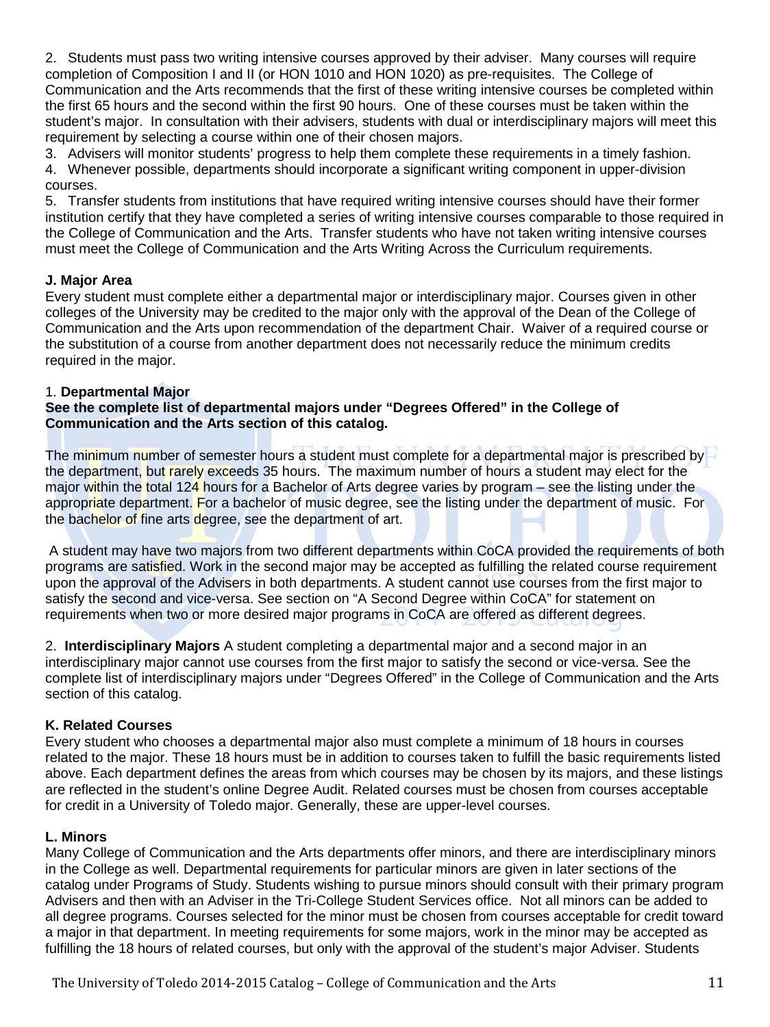2. Students must pass two writing intensive courses approved by their adviser. Many courses will require completion of Composition I and II (or HON 1010 and HON 1020) as pre-requisites. The College of Communication and the Arts recommends that the first of these writing intensive courses be completed within the first 65 hours and the second within the first 90 hours. One of these courses must be taken within the student's major. In consultation with their advisers, students with dual or interdisciplinary majors will meet this requirement by selecting a course within one of their chosen majors.

3. Advisers will monitor students' progress to help them complete these requirements in a timely fashion. 4. Whenever possible, departments should incorporate a significant writing component in upper-division courses.

5. Transfer students from institutions that have required writing intensive courses should have their former institution certify that they have completed a series of writing intensive courses comparable to those required in the College of Communication and the Arts. Transfer students who have not taken writing intensive courses must meet the College of Communication and the Arts Writing Across the Curriculum requirements.

# **J. Major Area**

Every student must complete either a departmental major or interdisciplinary major. Courses given in other colleges of the University may be credited to the major only with the approval of the Dean of the College of Communication and the Arts upon recommendation of the department Chair. Waiver of a required course or the substitution of a course from another department does not necessarily reduce the minimum credits required in the major.

# 1. **Departmental Major**

# **See the complete list of departmental majors under "Degrees Offered" in the College of Communication and the Arts section of this catalog.**

The minimum number of semester hours a student must complete for a departmental major is prescribed by the department, but rarely exceeds 35 hours. The maximum number of hours a student may elect for the major within the total 124 hours for a Bachelor of Arts degree varies by program – see the listing under the appropriate department. For a bachelor of music degree, see the listing under the department of music. For the bachelor of fine arts degree, see the department of art.

A student may have two majors from two different departments within CoCA provided the requirements of both programs are satisfied. Work in the second major may be accepted as fulfilling the related course requirement upon the approval of the Advisers in both departments. A student cannot use courses from the first major to satisfy the second and vice-versa. See section on "A Second Degree within CoCA" for statement on requirements when two or more desired major programs in CoCA are offered as different degrees.

2. **Interdisciplinary Majors** A student completing a departmental major and a second major in an interdisciplinary major cannot use courses from the first major to satisfy the second or vice-versa. See the complete list of interdisciplinary majors under "Degrees Offered" in the College of Communication and the Arts section of this catalog.

# **K. Related Courses**

Every student who chooses a departmental major also must complete a minimum of 18 hours in courses related to the major. These 18 hours must be in addition to courses taken to fulfill the basic requirements listed above. Each department defines the areas from which courses may be chosen by its majors, and these listings are reflected in the student's online Degree Audit. Related courses must be chosen from courses acceptable for credit in a University of Toledo major. Generally, these are upper-level courses.

#### **L. Minors**

Many College of Communication and the Arts departments offer minors, and there are interdisciplinary minors in the College as well. Departmental requirements for particular minors are given in later sections of the catalog under Programs of Study. Students wishing to pursue minors should consult with their primary program Advisers and then with an Adviser in the Tri-College Student Services office. Not all minors can be added to all degree programs. Courses selected for the minor must be chosen from courses acceptable for credit toward a major in that department. In meeting requirements for some majors, work in the minor may be accepted as fulfilling the 18 hours of related courses, but only with the approval of the student's major Adviser. Students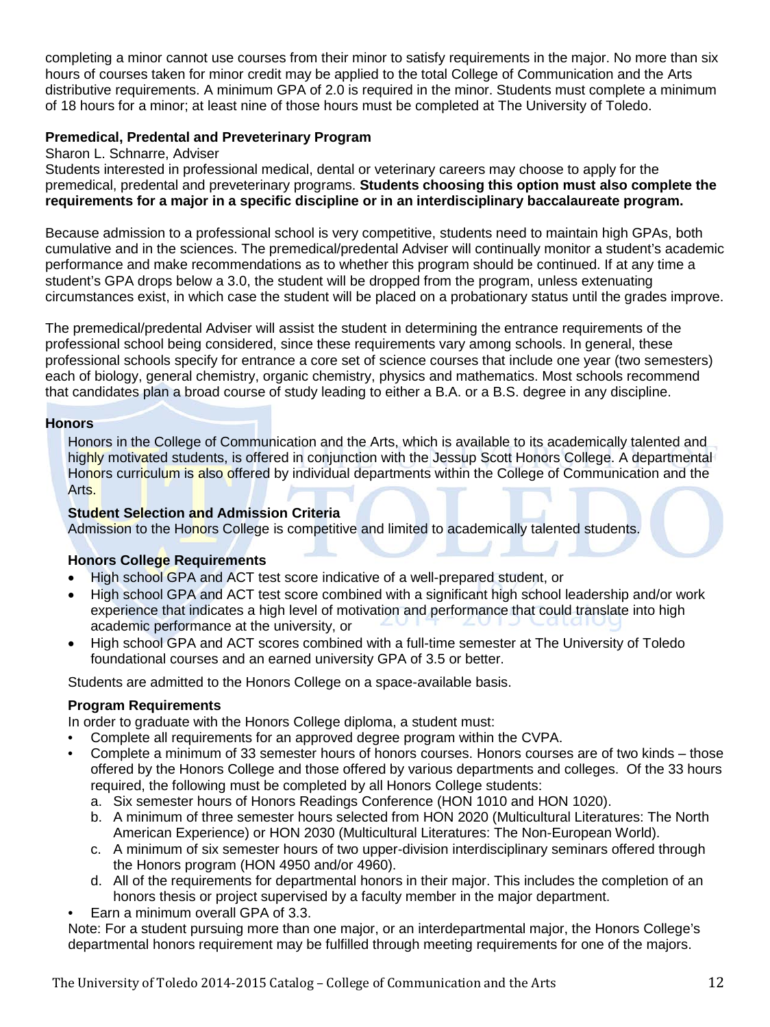completing a minor cannot use courses from their minor to satisfy requirements in the major. No more than six hours of courses taken for minor credit may be applied to the total College of Communication and the Arts distributive requirements. A minimum GPA of 2.0 is required in the minor. Students must complete a minimum of 18 hours for a minor; at least nine of those hours must be completed at The University of Toledo.

# **Premedical, Predental and Preveterinary Program**

#### Sharon L. Schnarre, Adviser

Students interested in professional medical, dental or veterinary careers may choose to apply for the premedical, predental and preveterinary programs. **Students choosing this option must also complete the requirements for a major in a specific discipline or in an interdisciplinary baccalaureate program.** 

Because admission to a professional school is very competitive, students need to maintain high GPAs, both cumulative and in the sciences. The premedical/predental Adviser will continually monitor a student's academic performance and make recommendations as to whether this program should be continued. If at any time a student's GPA drops below a 3.0, the student will be dropped from the program, unless extenuating circumstances exist, in which case the student will be placed on a probationary status until the grades improve.

The premedical/predental Adviser will assist the student in determining the entrance requirements of the professional school being considered, since these requirements vary among schools. In general, these professional schools specify for entrance a core set of science courses that include one year (two semesters) each of biology, general chemistry, organic chemistry, physics and mathematics. Most schools recommend that candidates plan a broad course of study leading to either a B.A. or a B.S. degree in any discipline.

#### **Honors**

Honors in the College of Communication and the Arts, which is available to its academically talented and highly motivated students, is offered in conjunction with the Jessup Scott Honors College. A departmental Honors curriculum is also offered by individual departments within the College of Communication and the Arts.

#### **Student Selection and Admission Criteria**

Admission to the Honors College is competitive and limited to academically talented students.

#### **Honors College Requirements**

- High school GPA and ACT test score indicative of a well-prepared student, or
- High school GPA and ACT test score combined with a significant high school leadership and/or work experience that indicates a high level of motivation and performance that could translate into high academic performance at the university, or
- High school GPA and ACT scores combined with a full-time semester at The University of Toledo foundational courses and an earned university GPA of 3.5 or better.

Students are admitted to the Honors College on a space-available basis.

#### **Program Requirements**

In order to graduate with the Honors College diploma, a student must:

- Complete all requirements for an approved degree program within the CVPA.
- Complete a minimum of 33 semester hours of honors courses. Honors courses are of two kinds those offered by the Honors College and those offered by various departments and colleges. Of the 33 hours required, the following must be completed by all Honors College students:
	- a. Six semester hours of Honors Readings Conference (HON 1010 and HON 1020).
	- b. A minimum of three semester hours selected from HON 2020 (Multicultural Literatures: The North American Experience) or HON 2030 (Multicultural Literatures: The Non-European World).
	- c. A minimum of six semester hours of two upper-division interdisciplinary seminars offered through the Honors program (HON 4950 and/or 4960).
	- d. All of the requirements for departmental honors in their major. This includes the completion of an honors thesis or project supervised by a faculty member in the major department.
- Earn a minimum overall GPA of 3.3.

Note: For a student pursuing more than one major, or an interdepartmental major, the Honors College's departmental honors requirement may be fulfilled through meeting requirements for one of the majors.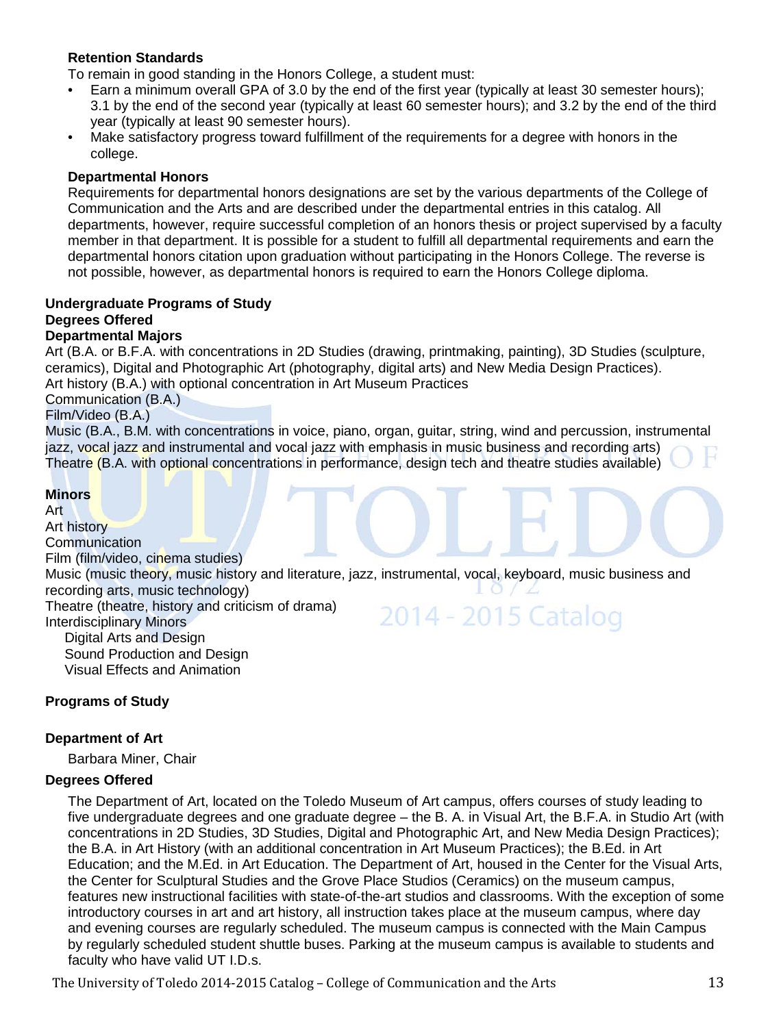# **Retention Standards**

To remain in good standing in the Honors College, a student must:

- Earn a minimum overall GPA of 3.0 by the end of the first year (typically at least 30 semester hours); 3.1 by the end of the second year (typically at least 60 semester hours); and 3.2 by the end of the third year (typically at least 90 semester hours).
- Make satisfactory progress toward fulfillment of the requirements for a degree with honors in the college.

#### **Departmental Honors**

Requirements for departmental honors designations are set by the various departments of the College of Communication and the Arts and are described under the departmental entries in this catalog. All departments, however, require successful completion of an honors thesis or project supervised by a faculty member in that department. It is possible for a student to fulfill all departmental requirements and earn the departmental honors citation upon graduation without participating in the Honors College. The reverse is not possible, however, as departmental honors is required to earn the Honors College diploma.

#### **Undergraduate Programs of Study Degrees Offered Departmental Majors**

Art (B.A. or B.F.A. with concentrations in 2D Studies (drawing, printmaking, painting), 3D Studies (sculpture, ceramics), Digital and Photographic Art (photography, digital arts) and New Media Design Practices).

Art history (B.A.) with optional concentration in Art Museum Practices

Communication (B.A.)

Film/Video (B.A.)

Music (B.A., B.M. with concentrations in voice, piano, organ, guitar, string, wind and percussion, instrumental jazz, vocal jazz and instrumental and vocal jazz with emphasis in music business and recording arts) Theatre (B.A. with optional concentrations in performance, design tech and theatre studies available)

#### **Minors**

Art Art history **Communication** Film (film/video, cinema studies) Music (music theory, music history and literature, jazz, instrumental, vocal, keyboard, music business and recording arts, music technology) Theatre (theatre, history and criticism of drama) 2014 - 2015 Catalog Interdisciplinary Minors Digital Arts and Design Sound Production and Design Visual Effects and Animation

#### **Programs of Study**

#### **Department of Art**

Barbara Miner, Chair

#### **Degrees Offered**

The Department of Art, located on the Toledo Museum of Art campus, offers courses of study leading to five undergraduate degrees and one graduate degree – the B. A. in Visual Art, the B.F.A. in Studio Art (with concentrations in 2D Studies, 3D Studies, Digital and Photographic Art, and New Media Design Practices); the B.A. in Art History (with an additional concentration in Art Museum Practices); the B.Ed. in Art Education; and the M.Ed. in Art Education. The Department of Art, housed in the Center for the Visual Arts, the Center for Sculptural Studies and the Grove Place Studios (Ceramics) on the museum campus, features new instructional facilities with state-of-the-art studios and classrooms. With the exception of some introductory courses in art and art history, all instruction takes place at the museum campus, where day and evening courses are regularly scheduled. The museum campus is connected with the Main Campus by regularly scheduled student shuttle buses. Parking at the museum campus is available to students and faculty who have valid UT I.D.s.

The University of Toledo 2014-2015 Catalog – College of Communication and the Arts 13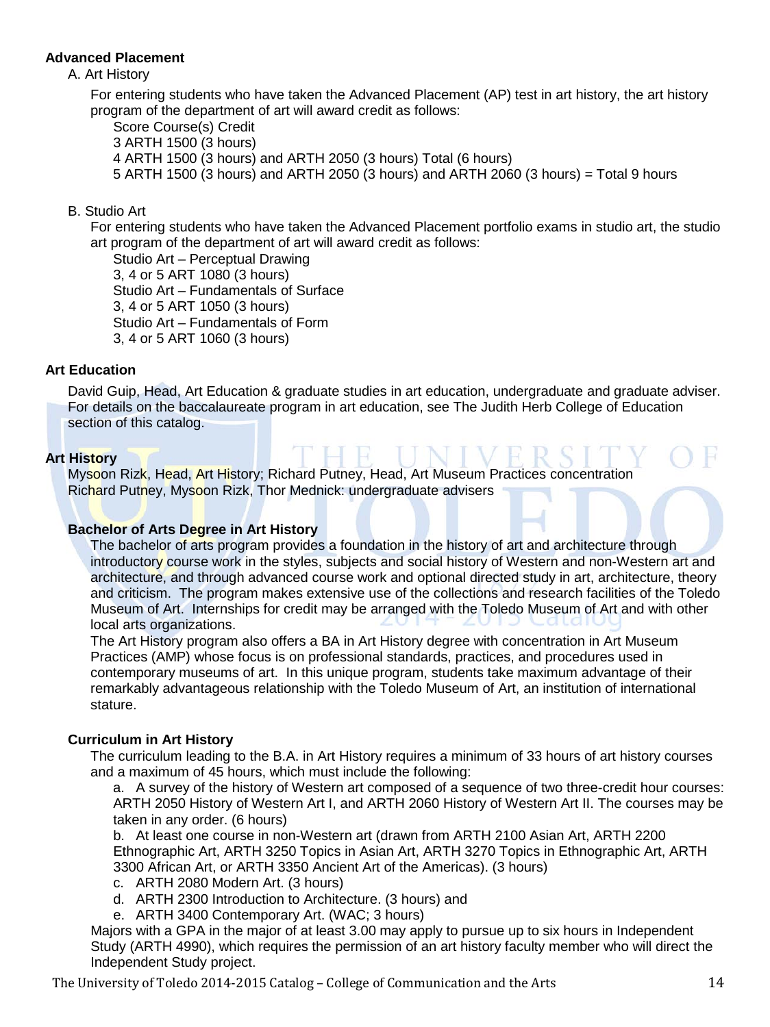# **Advanced Placement**

#### A. Art History

For entering students who have taken the Advanced Placement (AP) test in art history, the art history program of the department of art will award credit as follows:

Score Course(s) Credit 3 ARTH 1500 (3 hours) 4 ARTH 1500 (3 hours) and ARTH 2050 (3 hours) Total (6 hours) 5 ARTH 1500 (3 hours) and ARTH 2050 (3 hours) and ARTH 2060 (3 hours) = Total 9 hours

# B. Studio Art

For entering students who have taken the Advanced Placement portfolio exams in studio art, the studio art program of the department of art will award credit as follows:

Studio Art – Perceptual Drawing 3, 4 or 5 ART 1080 (3 hours) Studio Art – Fundamentals of Surface 3, 4 or 5 ART 1050 (3 hours) Studio Art – Fundamentals of Form 3, 4 or 5 ART 1060 (3 hours)

# **Art Education**

David Guip, Head, Art Education & graduate studies in art education, undergraduate and graduate adviser. For details on the baccalaureate program in art education, see The Judith Herb College of Education section of this catalog.

#### **Art History**

Mysoon Rizk, Head, Art History; Richard Putney, Head, Art Museum Practices concentration Richard Putney, Mysoon Rizk, Thor Mednick: undergraduate advisers

# **Bachelor of Arts Degree in Art History**

The bachelor of arts program provides a foundation in the history of art and architecture through introductory course work in the styles, subjects and social history of Western and non-Western art and architecture, and through advanced course work and optional directed study in art, architecture, theory and criticism. The program makes extensive use of the collections and research facilities of the Toledo Museum of Art. Internships for credit may be arranged with the Toledo Museum of Art and with other local arts organizations.

The Art History program also offers a BA in Art History degree with concentration in Art Museum Practices (AMP) whose focus is on professional standards, practices, and procedures used in contemporary museums of art. In this unique program, students take maximum advantage of their remarkably advantageous relationship with the Toledo Museum of Art, an institution of international stature.

# **Curriculum in Art History**

The curriculum leading to the B.A. in Art History requires a minimum of 33 hours of art history courses and a maximum of 45 hours, which must include the following:

a. A survey of the history of Western art composed of a sequence of two three-credit hour courses: ARTH 2050 History of Western Art I, and ARTH 2060 History of Western Art II. The courses may be taken in any order. (6 hours)

b. At least one course in non-Western art (drawn from ARTH 2100 Asian Art, ARTH 2200 Ethnographic Art, ARTH 3250 Topics in Asian Art, ARTH 3270 Topics in Ethnographic Art, ARTH 3300 African Art, or ARTH 3350 Ancient Art of the Americas). (3 hours)

- c. ARTH 2080 Modern Art. (3 hours)
- d. ARTH 2300 Introduction to Architecture. (3 hours) and
- e. ARTH 3400 Contemporary Art. (WAC; 3 hours)

Majors with a GPA in the major of at least 3.00 may apply to pursue up to six hours in Independent Study (ARTH 4990), which requires the permission of an art history faculty member who will direct the Independent Study project.

The University of Toledo 2014-2015 Catalog – College of Communication and the Arts 14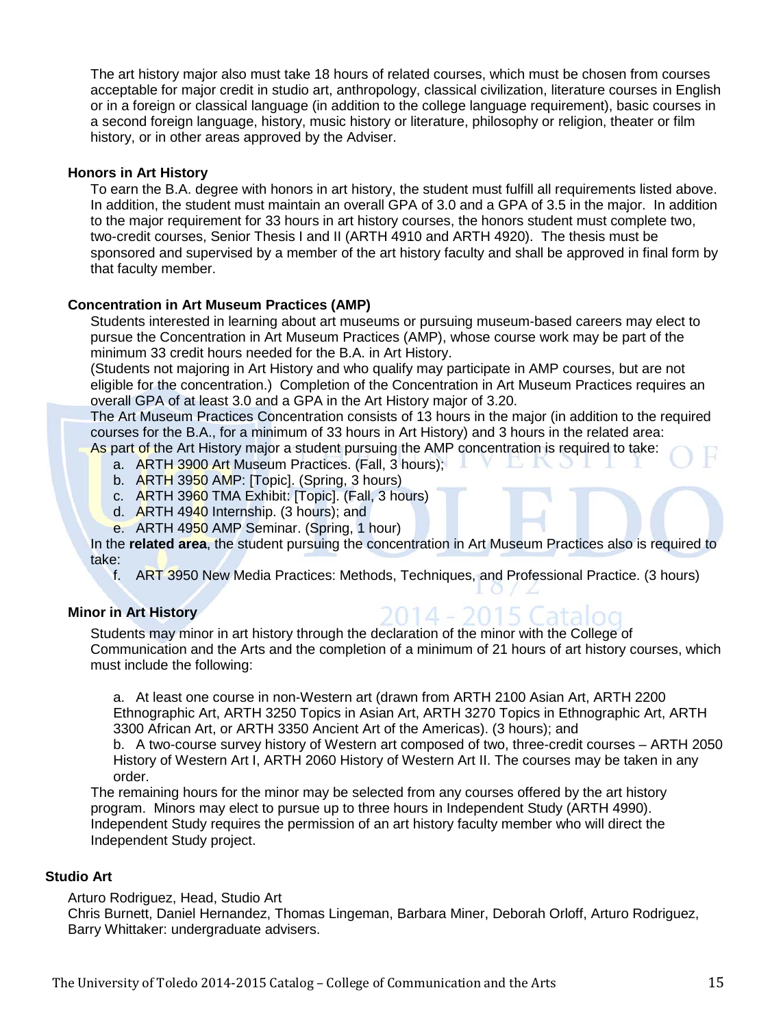The art history major also must take 18 hours of related courses, which must be chosen from courses acceptable for major credit in studio art, anthropology, classical civilization, literature courses in English or in a foreign or classical language (in addition to the college language requirement), basic courses in a second foreign language, history, music history or literature, philosophy or religion, theater or film history, or in other areas approved by the Adviser.

#### **Honors in Art History**

To earn the B.A. degree with honors in art history, the student must fulfill all requirements listed above. In addition, the student must maintain an overall GPA of 3.0 and a GPA of 3.5 in the major. In addition to the major requirement for 33 hours in art history courses, the honors student must complete two, two-credit courses, Senior Thesis I and II (ARTH 4910 and ARTH 4920). The thesis must be sponsored and supervised by a member of the art history faculty and shall be approved in final form by that faculty member.

#### **Concentration in Art Museum Practices (AMP)**

Students interested in learning about art museums or pursuing museum-based careers may elect to pursue the Concentration in Art Museum Practices (AMP), whose course work may be part of the minimum 33 credit hours needed for the B.A. in Art History.

(Students not majoring in Art History and who qualify may participate in AMP courses, but are not eligible for the concentration.) Completion of the Concentration in Art Museum Practices requires an overall GPA of at least 3.0 and a GPA in the Art History major of 3.20.

The Art Museum Practices Concentration consists of 13 hours in the major (in addition to the required courses for the B.A., for a minimum of 33 hours in Art History) and 3 hours in the related area:

- As part of the Art History major a student pursuing the AMP concentration is required to take:
	- a. ARTH 3900 Art Museum Practices. (Fall, 3 hours);
	- b. ARTH 3950 AMP: [Topic]. (Spring, 3 hours)
	- c. ARTH 3960 TMA Exhibit: [Topic]. (Fall, 3 hours)
	- d. ARTH 4940 Internship. (3 hours); and
	- e. ARTH 4950 AMP Seminar. (Spring, 1 hour)

In the **related area**, the student pursuing the concentration in Art Museum Practices also is required to take:

f. ART 3950 New Media Practices: Methods, Techniques, and Professional Practice. (3 hours)

#### **Minor in Art History**

#### 014 - 2015 Ca Students may minor in art history through the declaration of the minor with the College of Communication and the Arts and the completion of a minimum of 21 hours of art history courses, which must include the following:

a. At least one course in non-Western art (drawn from ARTH 2100 Asian Art, ARTH 2200 Ethnographic Art, ARTH 3250 Topics in Asian Art, ARTH 3270 Topics in Ethnographic Art, ARTH 3300 African Art, or ARTH 3350 Ancient Art of the Americas). (3 hours); and

b. A two-course survey history of Western art composed of two, three-credit courses – ARTH 2050 History of Western Art I, ARTH 2060 History of Western Art II. The courses may be taken in any order.

The remaining hours for the minor may be selected from any courses offered by the art history program. Minors may elect to pursue up to three hours in Independent Study (ARTH 4990). Independent Study requires the permission of an art history faculty member who will direct the Independent Study project.

# **Studio Art**

Arturo Rodriguez, Head, Studio Art

Chris Burnett, Daniel Hernandez, Thomas Lingeman, Barbara Miner, Deborah Orloff, Arturo Rodriguez, Barry Whittaker: undergraduate advisers.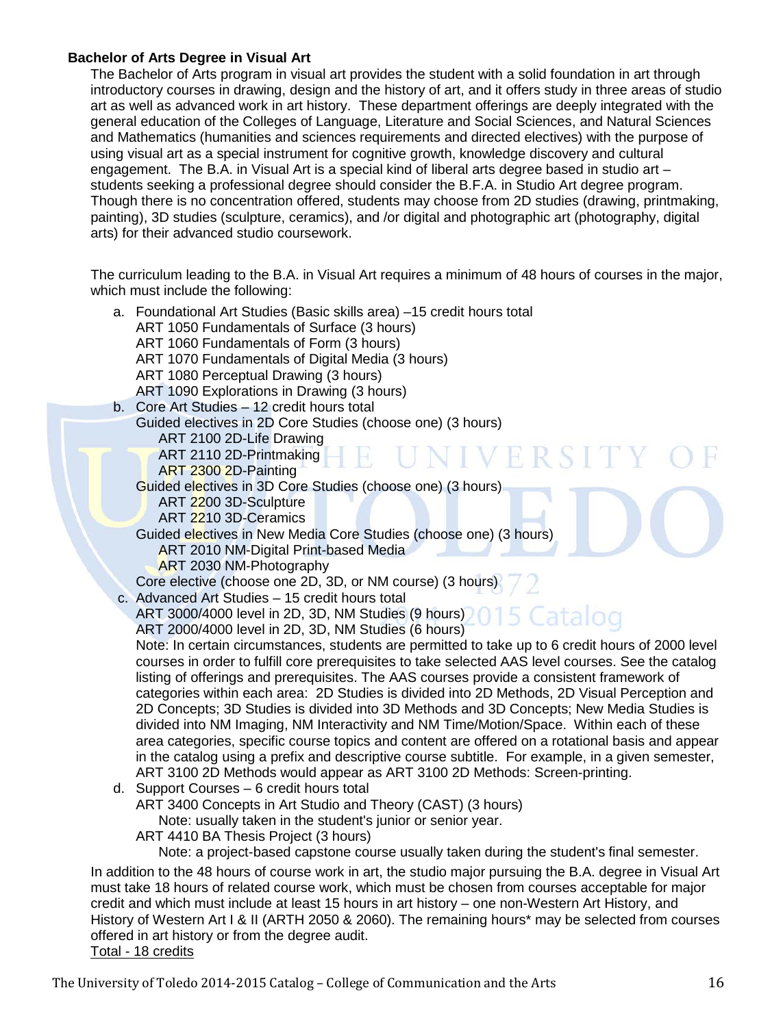# **Bachelor of Arts Degree in Visual Art**

The Bachelor of Arts program in visual art provides the student with a solid foundation in art through introductory courses in drawing, design and the history of art, and it offers study in three areas of studio art as well as advanced work in art history. These department offerings are deeply integrated with the general education of the Colleges of Language, Literature and Social Sciences, and Natural Sciences and Mathematics (humanities and sciences requirements and directed electives) with the purpose of using visual art as a special instrument for cognitive growth, knowledge discovery and cultural engagement. The B.A. in Visual Art is a special kind of liberal arts degree based in studio art – students seeking a professional degree should consider the B.F.A. in Studio Art degree program. Though there is no concentration offered, students may choose from 2D studies (drawing, printmaking, painting), 3D studies (sculpture, ceramics), and /or digital and photographic art (photography, digital arts) for their advanced studio coursework.

The curriculum leading to the B.A. in Visual Art requires a minimum of 48 hours of courses in the major, which must include the following:

| a. Foundational Art Studies (Basic skills area) -15 credit hours total                                     |  |
|------------------------------------------------------------------------------------------------------------|--|
| ART 1050 Fundamentals of Surface (3 hours)                                                                 |  |
| ART 1060 Fundamentals of Form (3 hours)                                                                    |  |
| ART 1070 Fundamentals of Digital Media (3 hours)                                                           |  |
| ART 1080 Perceptual Drawing (3 hours)                                                                      |  |
| ART 1090 Explorations in Drawing (3 hours)                                                                 |  |
| b. Core Art Studies - 12 credit hours total                                                                |  |
| Guided electives in 2D Core Studies (choose one) (3 hours)                                                 |  |
| ART 2100 2D-Life Drawing                                                                                   |  |
| NIVERSITY<br>ART 2110 2D-Printmaking<br>ART 2300 2D-Painting                                               |  |
| Guided electives in 3D Core Studies (choose one) (3 hours)                                                 |  |
| ART 2200 3D-Sculpture                                                                                      |  |
| ART 2210 3D-Ceramics                                                                                       |  |
| Guided electives in New Media Core Studies (choose one) (3 hours)                                          |  |
| <b>ART 2010 NM-Digital Print-based Media</b>                                                               |  |
| ART 2030 NM-Photography                                                                                    |  |
| Core elective (choose one 2D, 3D, or NM course) (3 hours)                                                  |  |
| c. Advanced Art Studies - 15 credit hours total                                                            |  |
| ART 3000/4000 level in 2D, 3D, NM Studies (9 hours) 015 Catalog                                            |  |
| ART 2000/4000 level in 2D, 3D, NM Studies (6 hours)                                                        |  |
| Note: In certain circumstances, students are permitted to take up to 6 credit hours of 2000 level          |  |
| courses in order to fulfill core prerequisites to take selected AAS level courses. See the catalog         |  |
| listing of offerings and prerequisites. The AAS courses provide a consistent framework of                  |  |
| categories within each area: 2D Studies is divided into 2D Methods, 2D Visual Perception and               |  |
| 2D Concepts; 3D Studies is divided into 3D Methods and 3D Concepts; New Media Studies is                   |  |
| divided into NM Imaging, NM Interactivity and NM Time/Motion/Space. Within each of these                   |  |
| area categories, specific course topics and content are offered on a rotational basis and appear           |  |
| in the catalog using a prefix and descriptive course subtitle. For example, in a given semester,           |  |
| ART 3100 2D Methods would appear as ART 3100 2D Methods: Screen-printing.                                  |  |
| d. Support Courses - 6 credit hours total                                                                  |  |
| ART 3400 Concepts in Art Studio and Theory (CAST) (3 hours)                                                |  |
| Note: usually taken in the student's junior or senior year.                                                |  |
| ART 4410 BA Thesis Project (3 hours)                                                                       |  |
| Note: a project-based capstone course usually taken during the student's final semester.                   |  |
| In addition to the 48 hours of course work in art, the studio major pursuing the B.A. degree in Visual Art |  |
| must take 18 hours of related course work, which must be chosen from courses acceptable for major          |  |
| credit and which must include at least 15 hours in art history – one non-Western Art History, and          |  |
| History of Western Art I & II (ARTH 2050 & 2060). The remaining hours* may be selected from courses        |  |
| offered in art history or from the degree audit.                                                           |  |
|                                                                                                            |  |

Total - 18 credits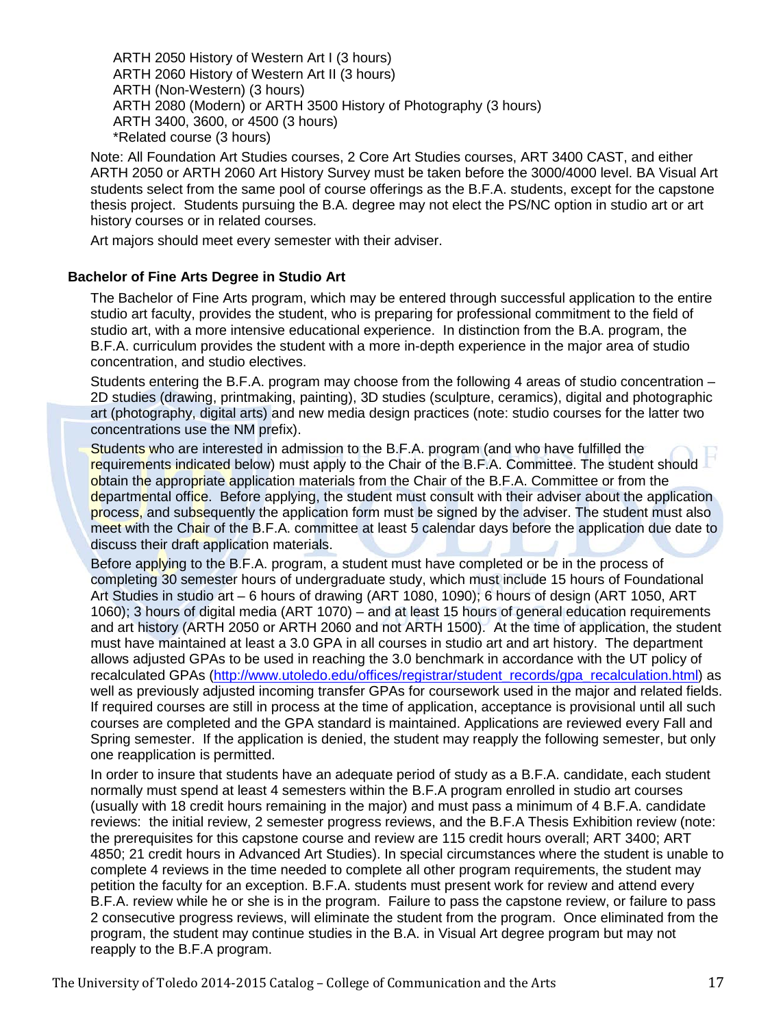ARTH 2050 History of Western Art I (3 hours) ARTH 2060 History of Western Art II (3 hours) ARTH (Non-Western) (3 hours) ARTH 2080 (Modern) or ARTH 3500 History of Photography (3 hours) ARTH 3400, 3600, or 4500 (3 hours) \*Related course (3 hours)

Note: All Foundation Art Studies courses, 2 Core Art Studies courses, ART 3400 CAST, and either ARTH 2050 or ARTH 2060 Art History Survey must be taken before the 3000/4000 level. BA Visual Art students select from the same pool of course offerings as the B.F.A. students, except for the capstone thesis project. Students pursuing the B.A. degree may not elect the PS/NC option in studio art or art history courses or in related courses.

Art majors should meet every semester with their adviser.

#### **Bachelor of Fine Arts Degree in Studio Art**

The Bachelor of Fine Arts program, which may be entered through successful application to the entire studio art faculty, provides the student, who is preparing for professional commitment to the field of studio art, with a more intensive educational experience. In distinction from the B.A. program, the B.F.A. curriculum provides the student with a more in-depth experience in the major area of studio concentration, and studio electives.

Students entering the B.F.A. program may choose from the following 4 areas of studio concentration – 2D studies (drawing, printmaking, painting), 3D studies (sculpture, ceramics), digital and photographic art (photography, digital arts) and new media design practices (note: studio courses for the latter two concentrations use the NM prefix).

Students who are interested in admission to the B.F.A. program (and who have fulfilled the requirements indicated below) must apply to the Chair of the B.F.A. Committee. The student should obtain the appropriate application materials from the Chair of the B.F.A. Committee or from the departmental office. Before applying, the student must consult with their adviser about the application process, and subsequently the application form must be signed by the adviser. The student must also meet with the Chair of the B.F.A. committee at least 5 calendar days before the application due date to discuss their draft application materials.

Before applying to the B.F.A. program, a student must have completed or be in the process of completing 30 semester hours of undergraduate study, which must include 15 hours of Foundational Art Studies in studio art – 6 hours of drawing (ART 1080, 1090); 6 hours of design (ART 1050, ART 1060); 3 hours of digital media (ART 1070) – and at least 15 hours of general education requirements and art history (ARTH 2050 or ARTH 2060 and not ARTH 1500). At the time of application, the student must have maintained at least a 3.0 GPA in all courses in studio art and art history. The department allows adjusted GPAs to be used in reaching the 3.0 benchmark in accordance with the UT policy of recalculated GPAs [\(http://www.utoledo.edu/offices/registrar/student\\_records/gpa\\_recalculation.html\)](http://www.utoledo.edu/offices/registrar/student_records/gpa_recalculation.html) as well as previously adjusted incoming transfer GPAs for coursework used in the major and related fields. If required courses are still in process at the time of application, acceptance is provisional until all such courses are completed and the GPA standard is maintained. Applications are reviewed every Fall and Spring semester. If the application is denied, the student may reapply the following semester, but only one reapplication is permitted.

In order to insure that students have an adequate period of study as a B.F.A. candidate, each student normally must spend at least 4 semesters within the B.F.A program enrolled in studio art courses (usually with 18 credit hours remaining in the major) and must pass a minimum of 4 B.F.A. candidate reviews: the initial review, 2 semester progress reviews, and the B.F.A Thesis Exhibition review (note: the prerequisites for this capstone course and review are 115 credit hours overall; ART 3400; ART 4850; 21 credit hours in Advanced Art Studies). In special circumstances where the student is unable to complete 4 reviews in the time needed to complete all other program requirements, the student may petition the faculty for an exception. B.F.A. students must present work for review and attend every B.F.A. review while he or she is in the program. Failure to pass the capstone review, or failure to pass 2 consecutive progress reviews, will eliminate the student from the program. Once eliminated from the program, the student may continue studies in the B.A. in Visual Art degree program but may not reapply to the B.F.A program.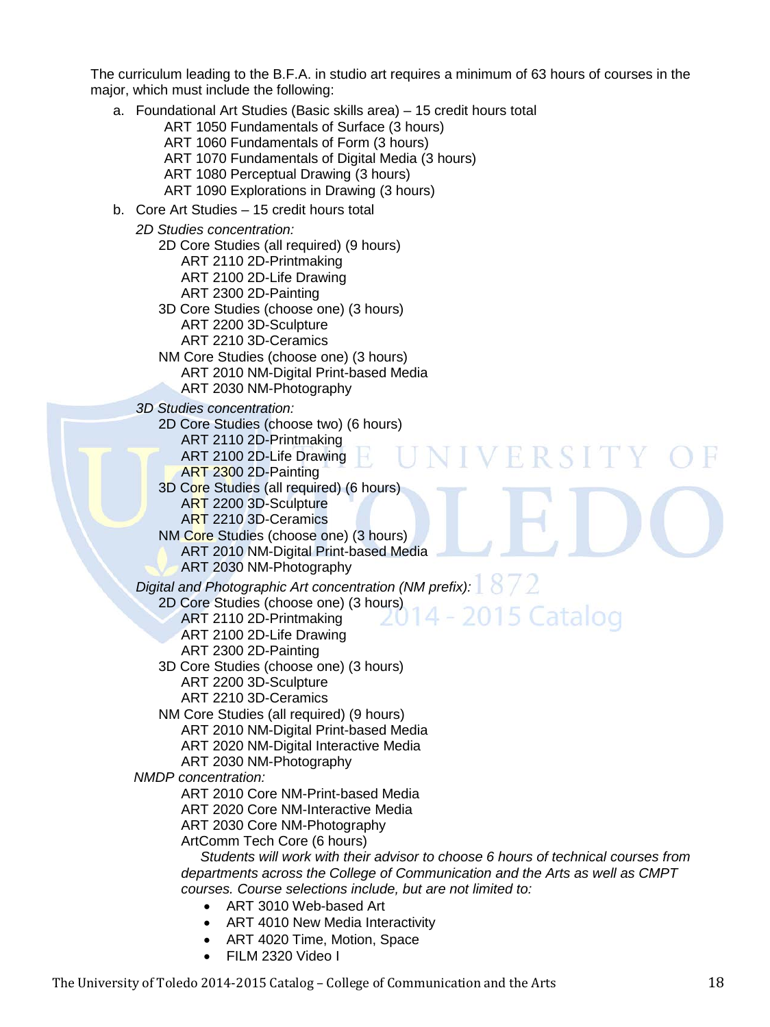The curriculum leading to the B.F.A. in studio art requires a minimum of 63 hours of courses in the major, which must include the following:

- a. Foundational Art Studies (Basic skills area) 15 credit hours total
	- ART 1050 Fundamentals of Surface (3 hours)
	- ART 1060 Fundamentals of Form (3 hours)
	- ART 1070 Fundamentals of Digital Media (3 hours)
	- ART 1080 Perceptual Drawing (3 hours)
	- ART 1090 Explorations in Drawing (3 hours)
- b. Core Art Studies 15 credit hours total
	- *2D Studies concentration:*
		- 2D Core Studies (all required) (9 hours)
			- ART 2110 2D-Printmaking
			- ART 2100 2D-Life Drawing
			- ART 2300 2D-Painting
		- 3D Core Studies (choose one) (3 hours)
			- ART 2200 3D-Sculpture
			- ART 2210 3D-Ceramics
		- NM Core Studies (choose one) (3 hours) ART 2010 NM-Digital Print-based Media
			- ART 2030 NM-Photography
	- *3D Studies concentration:*
		- 2D Core Studies (choose two) (6 hours)
			- ART 2110 2D-Printmaking
			- ART 2100 2D-Life Drawing
			- ART 2300 2D-Painting
		- 3D Core Studies (all required) (6 hours) ART 2200 3D-Sculpture ART 2210 3D-Ceramics
		- NM Core Studies (choose one) (3 hours) ART 2010 NM-Digital Print-based Media ART 2030 NM-Photography
	- *Digital and Photographic Art concentration (NM prefix):*
		- 2D Core Studies (choose one) (3 hours)
			- ART 2110 2D-Printmaking
			- ART 2100 2D-Life Drawing
			- ART 2300 2D-Painting
		- 3D Core Studies (choose one) (3 hours)
			- ART 2200 3D-Sculpture
			- ART 2210 3D-Ceramics
		- NM Core Studies (all required) (9 hours)
			- ART 2010 NM-Digital Print-based Media
			- ART 2020 NM-Digital Interactive Media
			- ART 2030 NM-Photography
	- *NMDP concentration:*
		- ART 2010 Core NM-Print-based Media
		- ART 2020 Core NM-Interactive Media
		- ART 2030 Core NM-Photography
		- ArtComm Tech Core (6 hours)
		- *Students will work with their advisor to choose 6 hours of technical courses from departments across the College of Communication and the Arts as well as CMPT courses. Course selections include, but are not limited to:*

IVERSITY

2015 Catalog

- ART 3010 Web-based Art
- ART 4010 New Media Interactivity
- ART 4020 Time, Motion, Space
- FILM 2320 Video I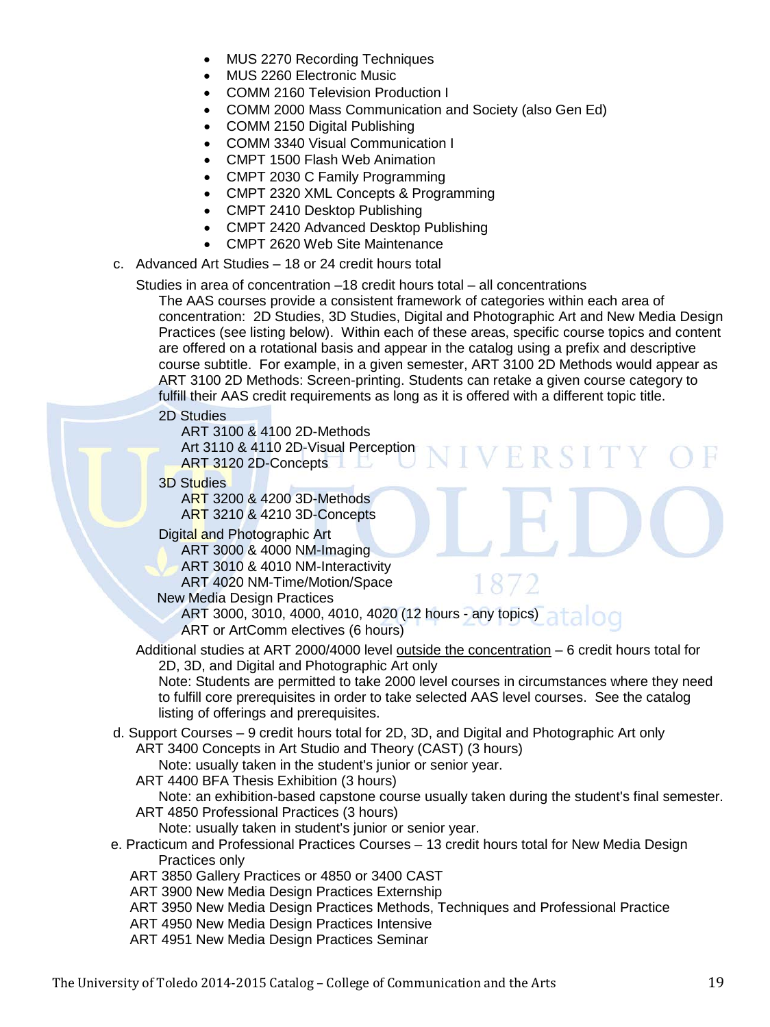- MUS 2270 Recording Techniques
- MUS 2260 Electronic Music
- COMM 2160 Television Production I
- COMM 2000 Mass Communication and Society (also Gen Ed)
- COMM 2150 Digital Publishing
- COMM 3340 Visual Communication I
- CMPT 1500 Flash Web Animation
- CMPT 2030 C Family Programming
- CMPT 2320 XML Concepts & Programming
- CMPT 2410 Desktop Publishing
- CMPT 2420 Advanced Desktop Publishing
- CMPT 2620 Web Site Maintenance
- c. Advanced Art Studies 18 or 24 credit hours total

Studies in area of concentration –18 credit hours total – all concentrations

The AAS courses provide a consistent framework of categories within each area of concentration: 2D Studies, 3D Studies, Digital and Photographic Art and New Media Design Practices (see listing below). Within each of these areas, specific course topics and content are offered on a rotational basis and appear in the catalog using a prefix and descriptive course subtitle. For example, in a given semester, ART 3100 2D Methods would appear as ART 3100 2D Methods: Screen-printing. Students can retake a given course category to fulfill their AAS credit requirements as long as it is offered with a different topic title.

H

2D Studies

ART 3100 & 4100 2D-Methods Art 3110 & 4110 2D-Visual Perception ART 3120 2D-Concepts

3D Studies

ART 3200 & 4200 3D-Methods ART 3210 & 4210 3D-Concepts

Digital and Photographic Art

ART 3000 & 4000 NM-Imaging ART 3010 & 4010 NM-Interactivity ART 4020 NM-Time/Motion/Space

New Media Design Practices

ART 3000, 3010, 4000, 4010, 4020 (12 hours - any topics) ART or ArtComm electives (6 hours)

Additional studies at ART 2000/4000 level outside the concentration - 6 credit hours total for 2D, 3D, and Digital and Photographic Art only

Note: Students are permitted to take 2000 level courses in circumstances where they need to fulfill core prerequisites in order to take selected AAS level courses. See the catalog listing of offerings and prerequisites.

d. Support Courses – 9 credit hours total for 2D, 3D, and Digital and Photographic Art only

ART 3400 Concepts in Art Studio and Theory (CAST) (3 hours)

- Note: usually taken in the student's junior or senior year.
- ART 4400 BFA Thesis Exhibition (3 hours)

Note: an exhibition-based capstone course usually taken during the student's final semester. ART 4850 Professional Practices (3 hours)

Note: usually taken in student's junior or senior year.

- e. Practicum and Professional Practices Courses 13 credit hours total for New Media Design Practices only
	- ART 3850 Gallery Practices or 4850 or 3400 CAST
	- ART 3900 New Media Design Practices Externship
	- ART 3950 New Media Design Practices Methods, Techniques and Professional Practice
	- ART 4950 New Media Design Practices Intensive
	- ART 4951 New Media Design Practices Seminar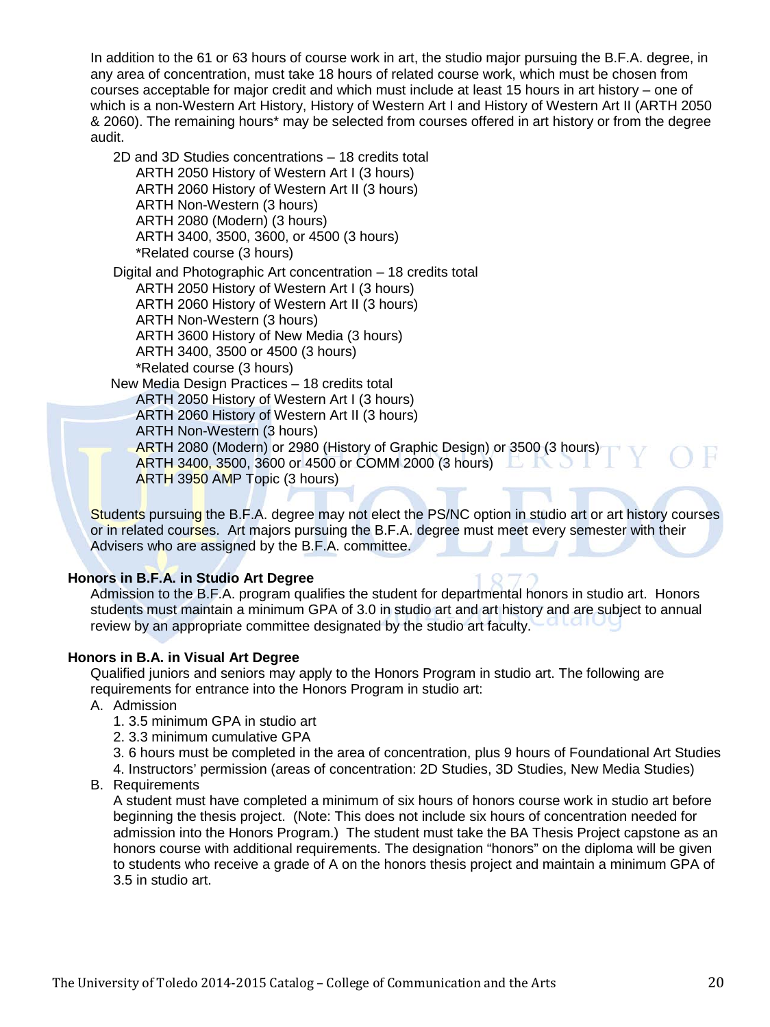In addition to the 61 or 63 hours of course work in art, the studio major pursuing the B.F.A. degree, in any area of concentration, must take 18 hours of related course work, which must be chosen from courses acceptable for major credit and which must include at least 15 hours in art history – one of which is a non-Western Art History, History of Western Art I and History of Western Art II (ARTH 2050 & 2060). The remaining hours\* may be selected from courses offered in art history or from the degree audit.

2D and 3D Studies concentrations – 18 credits total ARTH 2050 History of Western Art I (3 hours) ARTH 2060 History of Western Art II (3 hours) ARTH Non-Western (3 hours) ARTH 2080 (Modern) (3 hours) ARTH 3400, 3500, 3600, or 4500 (3 hours) \*Related course (3 hours)

Digital and Photographic Art concentration – 18 credits total ARTH 2050 History of Western Art I (3 hours) ARTH 2060 History of Western Art II (3 hours) ARTH Non-Western (3 hours) ARTH 3600 History of New Media (3 hours) ARTH 3400, 3500 or 4500 (3 hours) \*Related course (3 hours)

 New Media Design Practices – 18 credits total ARTH 2050 History of Western Art I (3 hours) ARTH 2060 History of Western Art II (3 hours)

ARTH Non-Western (3 hours)

ARTH 2080 (Modern) or 2980 (History of Graphic Design) or 3500 (3 hours) ARTH 3400, 3500, 3600 or 4500 or COMM 2000 (3 hours) ARTH 3950 AMP Topic (3 hours)

Students pursuing the B.F.A. degree may not elect the PS/NC option in studio art or art history courses or in related courses. Art majors pursuing the B.F.A. degree must meet every semester with their Advisers who are assigned by the B.F.A. committee.

# **Honors in B.F.A. in Studio Art Degree**

Admission to the B.F.A. program qualifies the student for departmental honors in studio art. Honors students must maintain a minimum GPA of 3.0 in studio art and art history and are subject to annual review by an appropriate committee designated by the studio art faculty.

# **Honors in B.A. in Visual Art Degree**

Qualified juniors and seniors may apply to the Honors Program in studio art. The following are requirements for entrance into the Honors Program in studio art:

A. Admission

1. 3.5 minimum GPA in studio art

2. 3.3 minimum cumulative GPA

- 3. 6 hours must be completed in the area of concentration, plus 9 hours of Foundational Art Studies
- 4. Instructors' permission (areas of concentration: 2D Studies, 3D Studies, New Media Studies)
- B. Requirements

A student must have completed a minimum of six hours of honors course work in studio art before beginning the thesis project. (Note: This does not include six hours of concentration needed for admission into the Honors Program.) The student must take the BA Thesis Project capstone as an honors course with additional requirements. The designation "honors" on the diploma will be given to students who receive a grade of A on the honors thesis project and maintain a minimum GPA of 3.5 in studio art.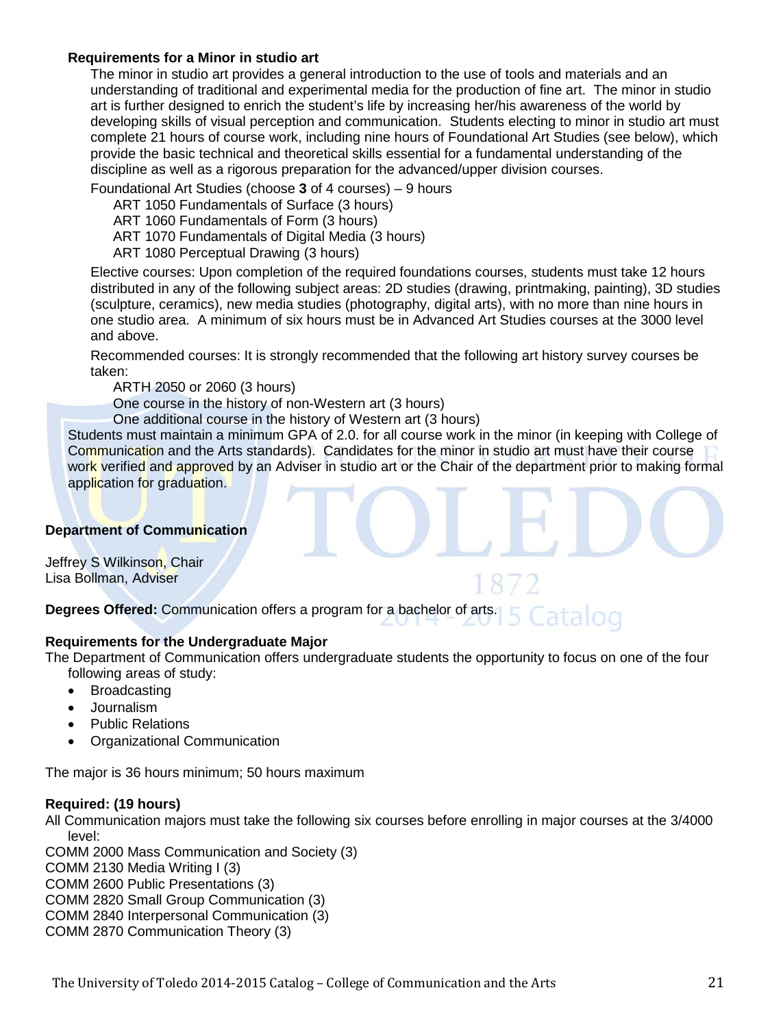#### **Requirements for a Minor in studio art**

The minor in studio art provides a general introduction to the use of tools and materials and an understanding of traditional and experimental media for the production of fine art. The minor in studio art is further designed to enrich the student's life by increasing her/his awareness of the world by developing skills of visual perception and communication. Students electing to minor in studio art must complete 21 hours of course work, including nine hours of Foundational Art Studies (see below), which provide the basic technical and theoretical skills essential for a fundamental understanding of the discipline as well as a rigorous preparation for the advanced/upper division courses.

Foundational Art Studies (choose **3** of 4 courses) – 9 hours

ART 1050 Fundamentals of Surface (3 hours)

ART 1060 Fundamentals of Form (3 hours)

ART 1070 Fundamentals of Digital Media (3 hours)

ART 1080 Perceptual Drawing (3 hours)

Elective courses: Upon completion of the required foundations courses, students must take 12 hours distributed in any of the following subject areas: 2D studies (drawing, printmaking, painting), 3D studies (sculpture, ceramics), new media studies (photography, digital arts), with no more than nine hours in one studio area. A minimum of six hours must be in Advanced Art Studies courses at the 3000 level and above.

Recommended courses: It is strongly recommended that the following art history survey courses be taken:

ARTH 2050 or 2060 (3 hours)

One course in the history of non-Western art (3 hours)

One additional course in the history of Western art (3 hours)

Students must maintain a minimum GPA of 2.0. for all course work in the minor (in keeping with College of Communication and the Arts standards). Candidates for the minor in studio art must have their course work verified and approved by an Adviser in studio art or the Chair of the department prior to making formal application for graduation.

#### **Department of Communication**

Jeffrey S Wilkinson, Chair Lisa Bollman, Adviser

**Degrees Offered:** Communication offers a program for a bachelor of arts.

#### **Requirements for the Undergraduate Major**

The Department of Communication offers undergraduate students the opportunity to focus on one of the four following areas of study:

- Broadcasting
- Journalism
- Public Relations
- Organizational Communication

The major is 36 hours minimum; 50 hours maximum

#### **Required: (19 hours)**

All Communication majors must take the following six courses before enrolling in major courses at the 3/4000 level:

COMM 2000 Mass Communication and Society (3) COMM 2130 Media Writing I (3) COMM 2600 Public Presentations (3) COMM 2820 Small Group Communication (3) COMM 2840 Interpersonal Communication (3) COMM 2870 Communication Theory (3)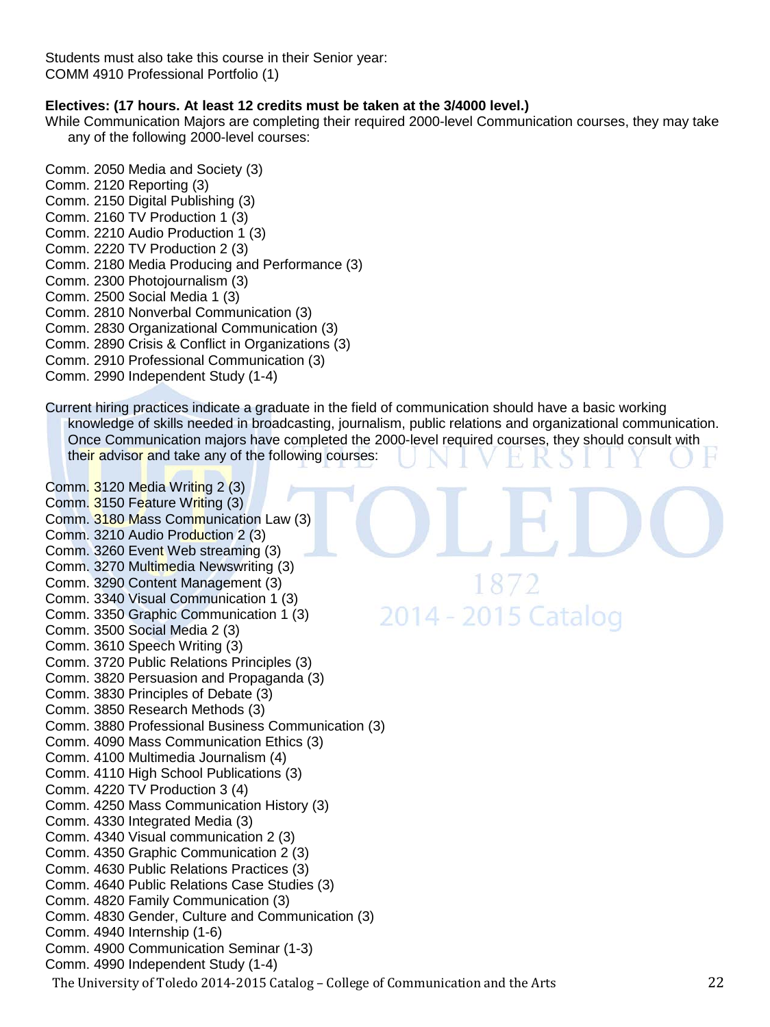Students must also take this course in their Senior year: COMM 4910 Professional Portfolio (1)

# **Electives: (17 hours. At least 12 credits must be taken at the 3/4000 level.)**

While Communication Majors are completing their required 2000-level Communication courses, they may take any of the following 2000-level courses:

- Comm. 2050 Media and Society (3) Comm. 2120 Reporting (3) Comm. 2150 Digital Publishing (3) Comm. 2160 TV Production 1 (3) Comm. 2210 Audio Production 1 (3) Comm. 2220 TV Production 2 (3) Comm. 2180 Media Producing and Performance (3) Comm. 2300 Photojournalism (3) Comm. 2500 Social Media 1 (3) Comm. 2810 Nonverbal Communication (3) Comm. 2830 Organizational Communication (3)
- Comm. 2890 Crisis & Conflict in Organizations (3)
- Comm. 2910 Professional Communication (3)
- Comm. 2990 Independent Study (1-4)

Current hiring practices indicate a graduate in the field of communication should have a basic working knowledge of skills needed in broadcasting, journalism, public relations and organizational communication. Once Communication majors have completed the 2000-level required courses, they should consult with their advisor and take any of the following courses:

1872

2014 - 2015 Catalog

The University of Toledo 2014-2015 Catalog – College of Communication and the Arts 22 Comm. 3120 Media Writing 2 (3) Comm. 3150 Feature Writing (3) Comm. 3180 Mass Communication Law (3) Comm. 3210 Audio Production 2 (3) Comm. 3260 Event Web streaming (3) Comm. 3270 Multimedia Newswriting (3) Comm. 3290 Content Management (3) Comm. 3340 Visual Communication 1 (3) Comm. 3350 Graphic Communication 1 (3) Comm. 3500 Social Media 2 (3) Comm. 3610 Speech Writing (3) Comm. 3720 Public Relations Principles (3) Comm. 3820 Persuasion and Propaganda (3) Comm. 3830 Principles of Debate (3) Comm. 3850 Research Methods (3) Comm. 3880 Professional Business Communication (3) Comm. 4090 Mass Communication Ethics (3) Comm. 4100 Multimedia Journalism (4) Comm. 4110 High School Publications (3) Comm. 4220 TV Production 3 (4) Comm. 4250 Mass Communication History (3) Comm. 4330 Integrated Media (3) Comm. 4340 Visual communication 2 (3) Comm. 4350 Graphic Communication 2 (3) Comm. 4630 Public Relations Practices (3) Comm. 4640 Public Relations Case Studies (3) Comm. 4820 Family Communication (3) Comm. 4830 Gender, Culture and Communication (3) Comm. 4940 Internship (1-6) Comm. 4900 Communication Seminar (1-3) Comm. 4990 Independent Study (1-4)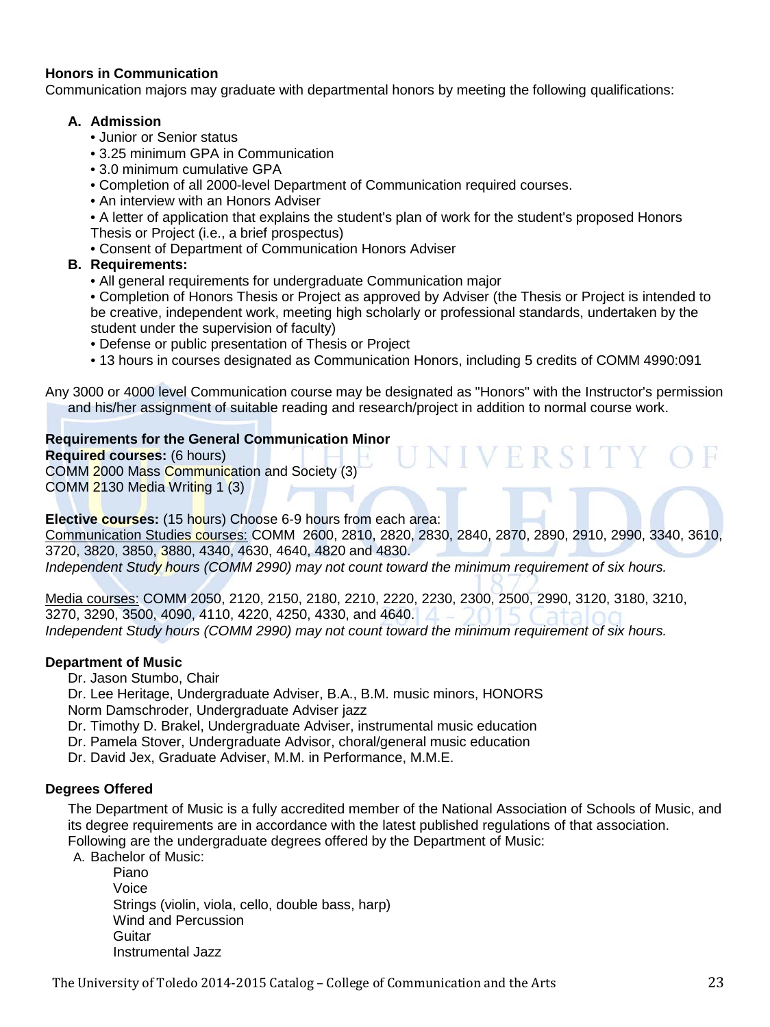# **Honors in Communication**

Communication majors may graduate with departmental honors by meeting the following qualifications:

#### **A. Admission**

- Junior or Senior status
- 3.25 minimum GPA in Communication
- 3.0 minimum cumulative GPA
- Completion of all 2000-level Department of Communication required courses.
- An interview with an Honors Adviser
- A letter of application that explains the student's plan of work for the student's proposed Honors Thesis or Project (i.e., a brief prospectus)
- Consent of Department of Communication Honors Adviser

# **B. Requirements:**

• All general requirements for undergraduate Communication major

• Completion of Honors Thesis or Project as approved by Adviser (the Thesis or Project is intended to be creative, independent work, meeting high scholarly or professional standards, undertaken by the student under the supervision of faculty)

• Defense or public presentation of Thesis or Project

• 13 hours in courses designated as Communication Honors, including 5 credits of COMM 4990:091

VIVERSITY

Any 3000 or 4000 level Communication course may be designated as "Honors" with the Instructor's permission and his/her assignment of suitable reading and research/project in addition to normal course work.

#### **Requirements for the General Communication Minor**

**Required courses:** (6 hours) COMM 2000 Mass Communication and Society (3) COMM 2130 Media Writing 1 (3)

# **Elective courses:** (15 hours) Choose 6-9 hours from each area:

Communication Studies courses: COMM 2600, 2810, 2820, 2830, 2840, 2870, 2890, 2910, 2990, 3340, 3610, 3720, 3820, 3850, 3880, 4340, 4630, 4640, 4820 and 4830.

*Independent Study hours (COMM 2990) may not count toward the minimum requirement of six hours.*

Media courses: COMM 2050, 2120, 2150, 2180, 2210, 2220, 2230, 2300, 2500, 2990, 3120, 3180, 3210, 3270, 3290, 3500, 4090, 4110, 4220, 4250, 4330, and 4640. *Independent Study hours (COMM 2990) may not count toward the minimum requirement of six hours.*

#### **[Department of Music](http://www.utoledo.edu/as/music/index.html)**

Dr. Jason Stumbo, Chair

Dr. Lee Heritage, Undergraduate Adviser, B.A., B.M. music minors, HONORS Norm Damschroder, Undergraduate Adviser jazz

- Dr. Timothy D. Brakel, Undergraduate Adviser, instrumental music education
- Dr. Pamela Stover, Undergraduate Advisor, choral/general music education
- Dr. David Jex, Graduate Adviser, M.M. in Performance, M.M.E.

# **Degrees Offered**

The Department of Music is a fully accredited member of the National Association of Schools of Music, and its degree requirements are in accordance with the latest published regulations of that association. Following are the undergraduate degrees offered by the Department of Music:

A. Bachelor of Music:

Piano Voice Strings (violin, viola, cello, double bass, harp) Wind and Percussion **Guitar** Instrumental Jazz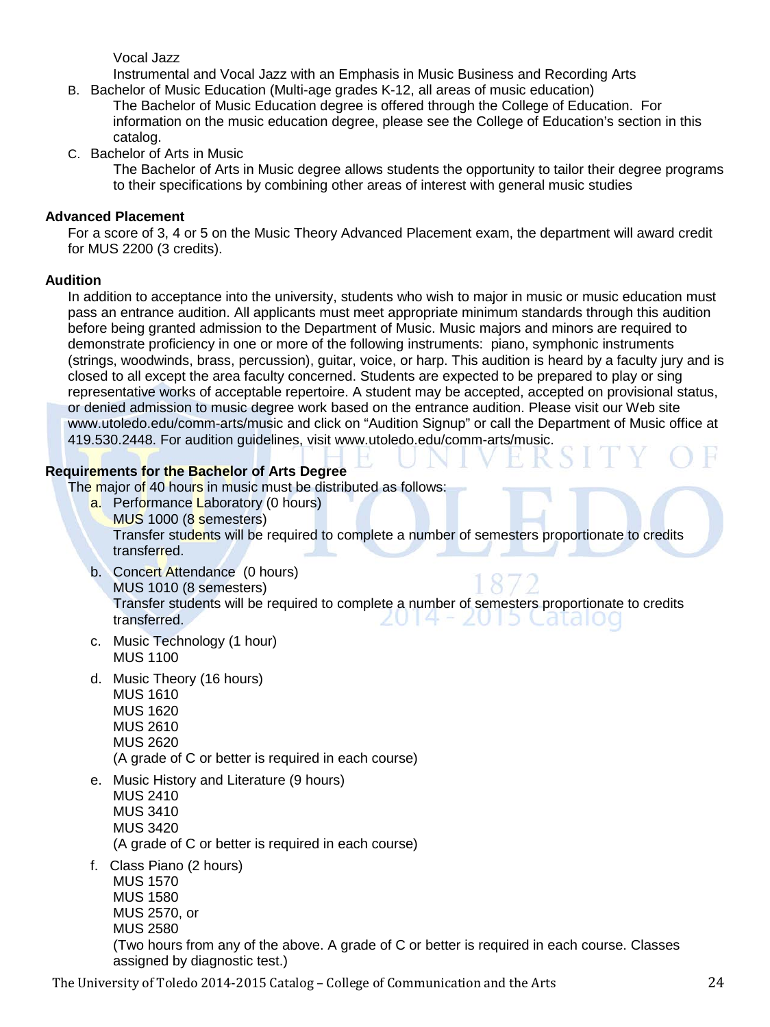Vocal Jazz

Instrumental and Vocal Jazz with an Emphasis in Music Business and Recording Arts

- B. Bachelor of Music Education (Multi-age grades K-12, all areas of music education) The Bachelor of Music Education degree is offered through the College of Education. For information on the music education degree, please see the College of Education's section in this catalog.
- C. Bachelor of Arts in Music

The Bachelor of Arts in Music degree allows students the opportunity to tailor their degree programs to their specifications by combining other areas of interest with general music studies

# **Advanced Placement**

For a score of 3, 4 or 5 on the Music Theory Advanced Placement exam, the department will award credit for MUS 2200 (3 credits).

# **Audition**

In addition to acceptance into the university, students who wish to major in music or music education must pass an entrance audition. All applicants must meet appropriate minimum standards through this audition before being granted admission to the Department of Music. Music majors and minors are required to demonstrate proficiency in one or more of the following instruments: piano, symphonic instruments (strings, woodwinds, brass, percussion), guitar, voice, or harp. This audition is heard by a faculty jury and is closed to all except the area faculty concerned. Students are expected to be prepared to play or sing representative works of acceptable repertoire. A student may be accepted, accepted on provisional status, or denied admission to music degree work based on the entrance audition. Please visit our Web site www.utoledo.edu/comm-arts/music and click on "Audition Signup" or call the Department of Music office at 419.530.2448. For audition guidelines, visit www.utoledo.edu/comm-arts/music.

# **Requirements for the Bachelor of Arts Degree**

The major of 40 hours in music must be distributed as follows:

- a. Performance Laboratory (0 hours) MUS 1000 (8 semesters) Transfer students will be required to complete a number of semesters proportionate to credits transferred.
- b. Concert Attendance (0 hours) MUS 1010 (8 semesters) Transfer students will be required to complete a number of semesters proportionate to credits transferred. <u> 2014 - 2015 Catalog</u>
- c. Music Technology (1 hour) MUS 1100
- d. Music Theory (16 hours) MUS 1610 MUS 1620 MUS 2610 MUS 2620 (A grade of C or better is required in each course)
- e. Music History and Literature (9 hours) MUS 2410 MUS 3410 MUS 3420 (A grade of C or better is required in each course)
- f. Class Piano (2 hours)

MUS 1570 MUS 1580 MUS 2570, or MUS 2580 (Two hours from any of the above. A grade of C or better is required in each course. Classes assigned by diagnostic test.)

The University of Toledo 2014-2015 Catalog – College of Communication and the Arts 24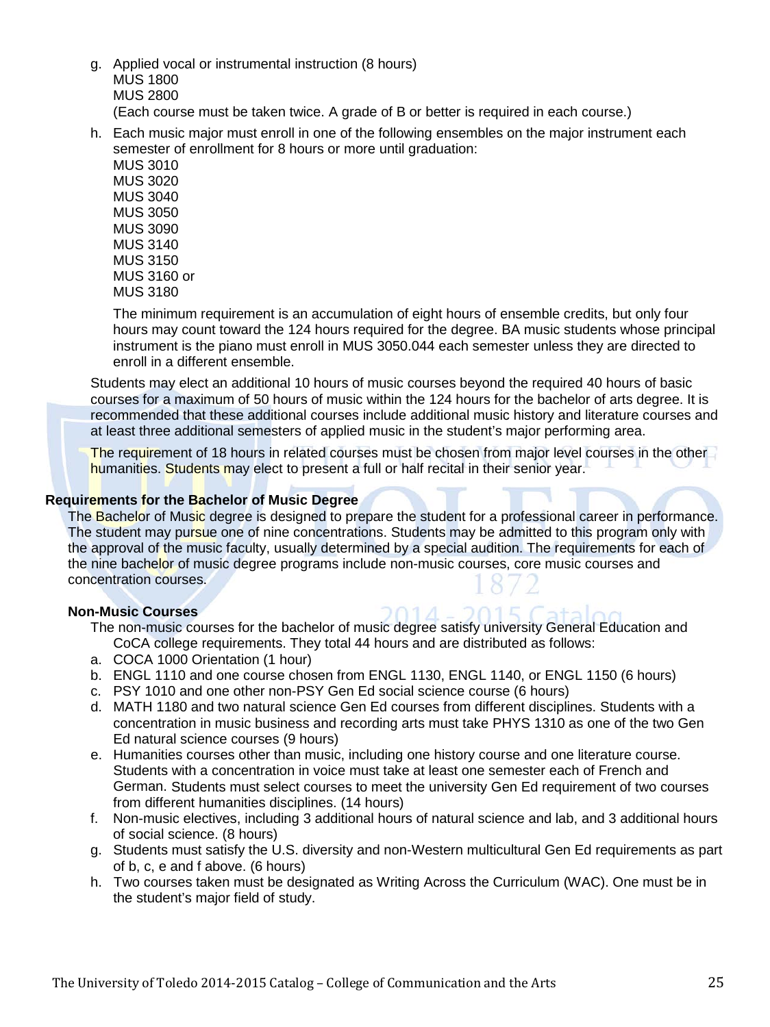- g. Applied vocal or instrumental instruction (8 hours) MUS 1800 MUS 2800 (Each course must be taken twice. A grade of B or better is required in each course.)
- h. Each music major must enroll in one of the following ensembles on the major instrument each semester of enrollment for 8 hours or more until graduation:

MUS 3010 MUS 3020 MUS 3040 MUS 3050 MUS 3090 MUS 3140 MUS 3150 MUS 3160 or MUS 3180

The minimum requirement is an accumulation of eight hours of ensemble credits, but only four hours may count toward the 124 hours required for the degree. BA music students whose principal instrument is the piano must enroll in MUS 3050.044 each semester unless they are directed to enroll in a different ensemble.

Students may elect an additional 10 hours of music courses beyond the required 40 hours of basic courses for a maximum of 50 hours of music within the 124 hours for the bachelor of arts degree. It is recommended that these additional courses include additional music history and literature courses and at least three additional semesters of applied music in the student's major performing area.

The requirement of 18 hours in related courses must be chosen from major level courses in the other humanities. Students may elect to present a full or half recital in their senior year.

# **Requirements for the Bachelor of Music Degree**

The Bachelor of Music degree is designed to prepare the student for a professional career in performance. The student may pursue one of nine concentrations. Students may be admitted to this program only with the approval of the music faculty, usually determined by a special audition. The requirements for each of the nine bachelor of music degree programs include non-music courses, core music courses and concentration courses.

#### **Non-Music Courses**

The non-music courses for the bachelor of music degree satisfy university General Education and CoCA college requirements. They total 44 hours and are distributed as follows:

 $2015C - 4$ 

- a. COCA 1000 Orientation (1 hour)
- b. ENGL 1110 and one course chosen from ENGL 1130, ENGL 1140, or ENGL 1150 (6 hours)
- c. PSY 1010 and one other non-PSY Gen Ed social science course (6 hours)
- d. MATH 1180 and two natural science Gen Ed courses from different disciplines. Students with a concentration in music business and recording arts must take PHYS 1310 as one of the two Gen Ed natural science courses (9 hours)
- e. Humanities courses other than music, including one history course and one literature course. Students with a concentration in voice must take at least one semester each of French and German. Students must select courses to meet the university Gen Ed requirement of two courses from different humanities disciplines. (14 hours)
- f. Non-music electives, including 3 additional hours of natural science and lab, and 3 additional hours of social science. (8 hours)
- g. Students must satisfy the U.S. diversity and non-Western multicultural Gen Ed requirements as part of b, c, e and f above. (6 hours)
- h. Two courses taken must be designated as Writing Across the Curriculum (WAC). One must be in the student's major field of study.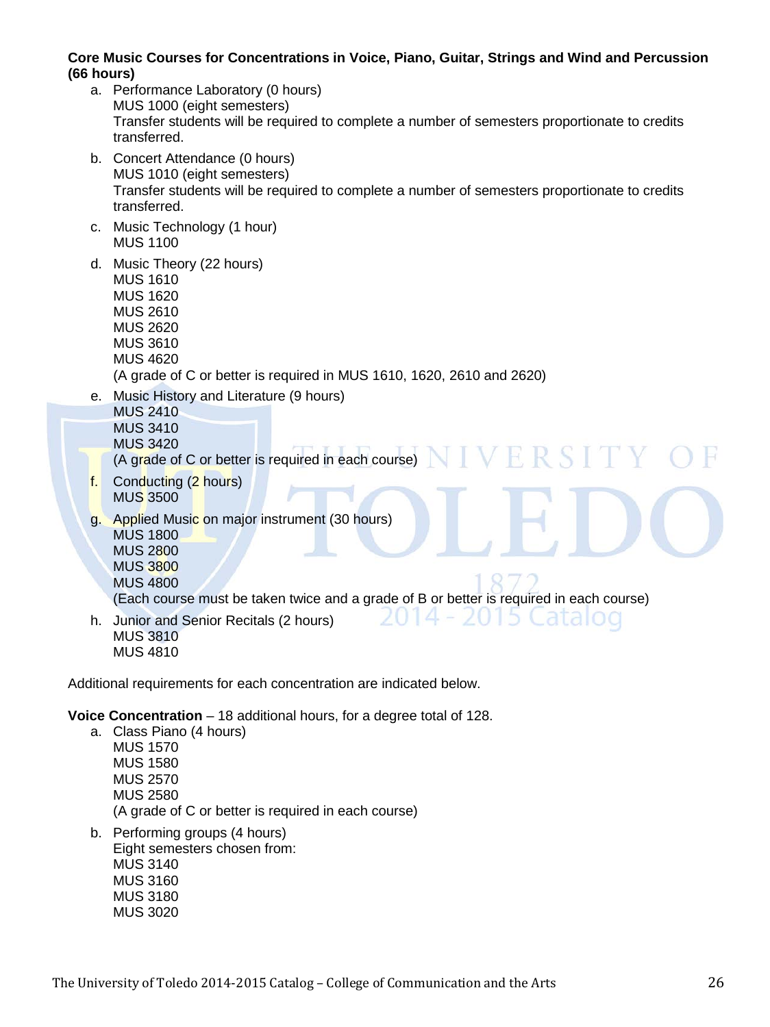# **Core Music Courses for Concentrations in Voice, Piano, Guitar, Strings and Wind and Percussion (66 hours)**

- a. Performance Laboratory (0 hours) MUS 1000 (eight semesters) Transfer students will be required to complete a number of semesters proportionate to credits transferred.
- b. Concert Attendance (0 hours) MUS 1010 (eight semesters) Transfer students will be required to complete a number of semesters proportionate to credits transferred.
- c. Music Technology (1 hour) MUS 1100
- d. Music Theory (22 hours) MUS 1610 MUS 1620 MUS 2610 MUS 2620 MUS 3610 MUS 4620 (A grade of C or better is required in MUS 1610, 1620, 2610 and 2620)
- e. Music History and Literature (9 hours)
	- MUS 2410 MUS 3410 MUS 3420
	- (A grade of C or better is required in each course)  $NINERST$
- f. Conducting (2 hours) MUS 3500
- g. Applied Music on major instrument (30 hours) MUS 1800 MUS 2800 MUS 3800 MUS 4800

(Each course must be taken twice and a grade of B or better is required in each course)

 $14 - 20$ 

5.

h. Junior and Senior Recitals (2 hours) MUS 3810 MUS 4810

Additional requirements for each concentration are indicated below.

**Voice Concentration** – 18 additional hours, for a degree total of 128.

- a. Class Piano (4 hours) MUS 1570 MUS 1580 MUS 2570 MUS 2580 (A grade of C or better is required in each course)
- b. Performing groups (4 hours) Eight semesters chosen from: MUS 3140 MUS 3160 MUS 3180 MUS 3020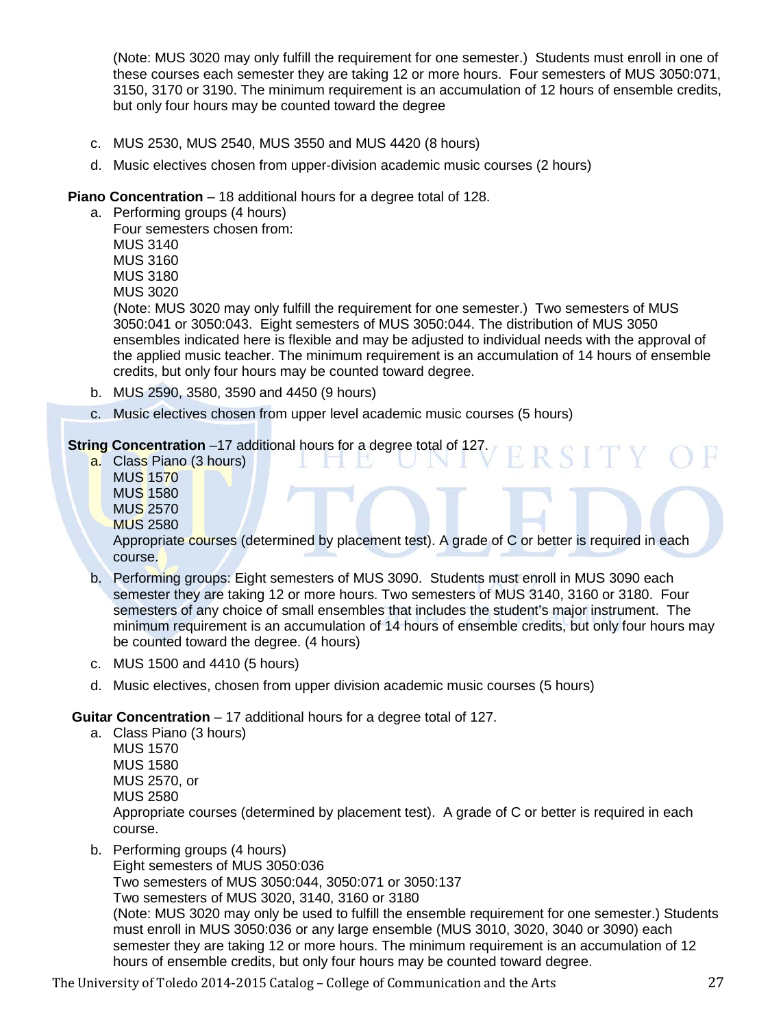(Note: MUS 3020 may only fulfill the requirement for one semester.) Students must enroll in one of these courses each semester they are taking 12 or more hours. Four semesters of MUS 3050:071, 3150, 3170 or 3190. The minimum requirement is an accumulation of 12 hours of ensemble credits, but only four hours may be counted toward the degree

- c. MUS 2530, MUS 2540, MUS 3550 and MUS 4420 (8 hours)
- d. Music electives chosen from upper-division academic music courses (2 hours)

# **Piano Concentration** – 18 additional hours for a degree total of 128.

a. Performing groups (4 hours) Four semesters chosen from: MUS 3140 MUS 3160 MUS 3180

MUS 3020

(Note: MUS 3020 may only fulfill the requirement for one semester.) Two semesters of MUS 3050:041 or 3050:043. Eight semesters of MUS 3050:044. The distribution of MUS 3050 ensembles indicated here is flexible and may be adjusted to individual needs with the approval of the applied music teacher. The minimum requirement is an accumulation of 14 hours of ensemble credits, but only four hours may be counted toward degree.

RSITY

- b. MUS 2590, 3580, 3590 and 4450 (9 hours)
- c. Music electives chosen from upper level academic music courses (5 hours)

# **String Concentration** –17 additional hours for a degree total of 127.

a. Class Piano (3 hours) MUS 1570 MUS 1580 MUS 2570 MUS 2580

Appropriate courses (determined by placement test). A grade of C or better is required in each course.

- b. Performing groups: Eight semesters of MUS 3090. Students must enroll in MUS 3090 each semester they are taking 12 or more hours. Two semesters of MUS 3140, 3160 or 3180. Four semesters of any choice of small ensembles that includes the student's major instrument. The minimum requirement is an accumulation of 14 hours of ensemble credits, but only four hours may be counted toward the degree. (4 hours)
- c. MUS 1500 and 4410 (5 hours)
- d. Music electives, chosen from upper division academic music courses (5 hours)

#### **Guitar Concentration** – 17 additional hours for a degree total of 127.

- a. Class Piano (3 hours) MUS 1570 MUS 1580 MUS 2570, or MUS 2580 Appropriate courses (determined by placement test). A grade of C or better is required in each course.
- b. Performing groups (4 hours)

Eight semesters of MUS 3050:036 Two semesters of MUS 3050:044, 3050:071 or 3050:137 Two semesters of MUS 3020, 3140, 3160 or 3180 (Note: MUS 3020 may only be used to fulfill the ensemble requirement for one semester.) Students must enroll in MUS 3050:036 or any large ensemble (MUS 3010, 3020, 3040 or 3090) each semester they are taking 12 or more hours. The minimum requirement is an accumulation of 12 hours of ensemble credits, but only four hours may be counted toward degree.

The University of Toledo 2014-2015 Catalog – College of Communication and the Arts 27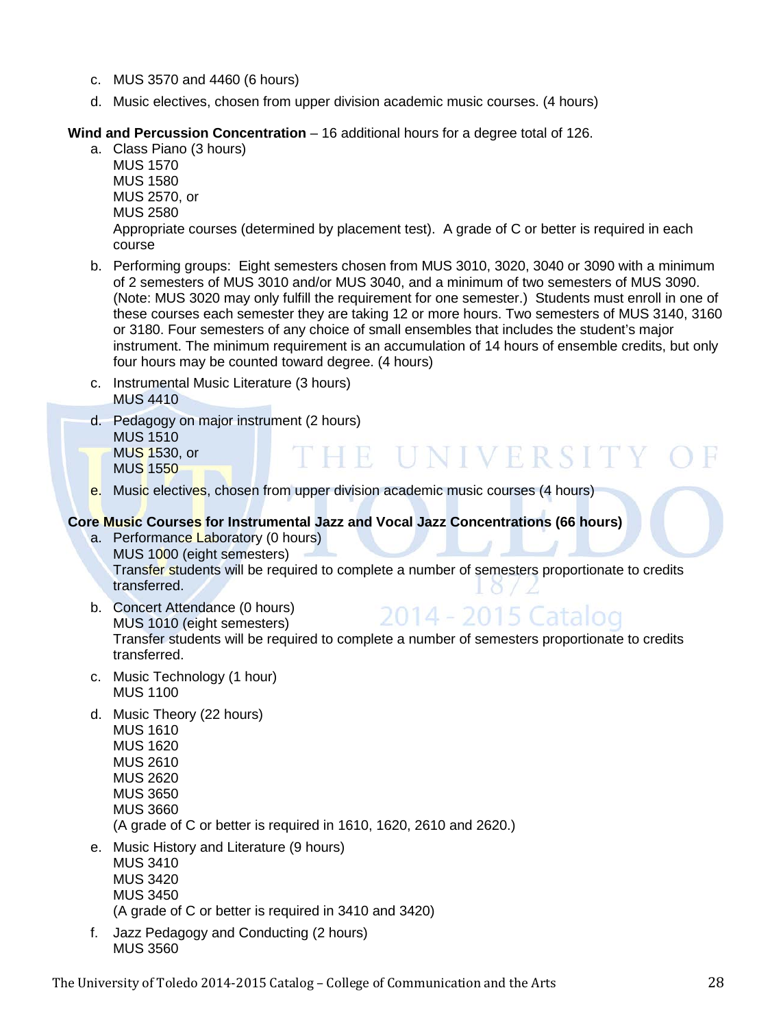- c. MUS 3570 and 4460 (6 hours)
- d. Music electives, chosen from upper division academic music courses. (4 hours)

# **Wind and Percussion Concentration** – 16 additional hours for a degree total of 126.

- a. Class Piano (3 hours) MUS 1570 MUS 1580 MUS 2570, or MUS 2580 Appropriate courses (determined by placement test). A grade of C or better is required in each course
- b. Performing groups: Eight semesters chosen from MUS 3010, 3020, 3040 or 3090 with a minimum of 2 semesters of MUS 3010 and/or MUS 3040, and a minimum of two semesters of MUS 3090. (Note: MUS 3020 may only fulfill the requirement for one semester.) Students must enroll in one of these courses each semester they are taking 12 or more hours. Two semesters of MUS 3140, 3160 or 3180. Four semesters of any choice of small ensembles that includes the student's major instrument. The minimum requirement is an accumulation of 14 hours of ensemble credits, but only four hours may be counted toward degree. (4 hours)
- c. Instrumental Music Literature (3 hours) MUS 4410
- d. Pedagogy on major instrument (2 hours) MUS 1510 HE UNIVERSITY MUS 1530, or MUS 1550
- e. Music electives, chosen from upper division academic music courses (4 hours)

# **Core Music Courses for Instrumental Jazz and Vocal Jazz Concentrations (66 hours)**

- a. Performance Laboratory (0 hours) MUS 1000 (eight semesters) Transfer students will be required to complete a number of semesters proportionate to credits transferred.
- b. Concert Attendance (0 hours) 2014 - 2015 Catalog MUS 1010 (eight semesters) Transfer students will be required to complete a number of semesters proportionate to credits transferred.
- c. Music Technology (1 hour) MUS 1100
- d. Music Theory (22 hours) MUS 1610
	- MUS 1620 MUS 2610 MUS 2620 MUS 3650 MUS 3660 (A grade of C or better is required in 1610, 1620, 2610 and 2620.)
- e. Music History and Literature (9 hours)
	- MUS 3410 MUS 3420 MUS 3450 (A grade of C or better is required in 3410 and 3420)
- f. Jazz Pedagogy and Conducting (2 hours) MUS 3560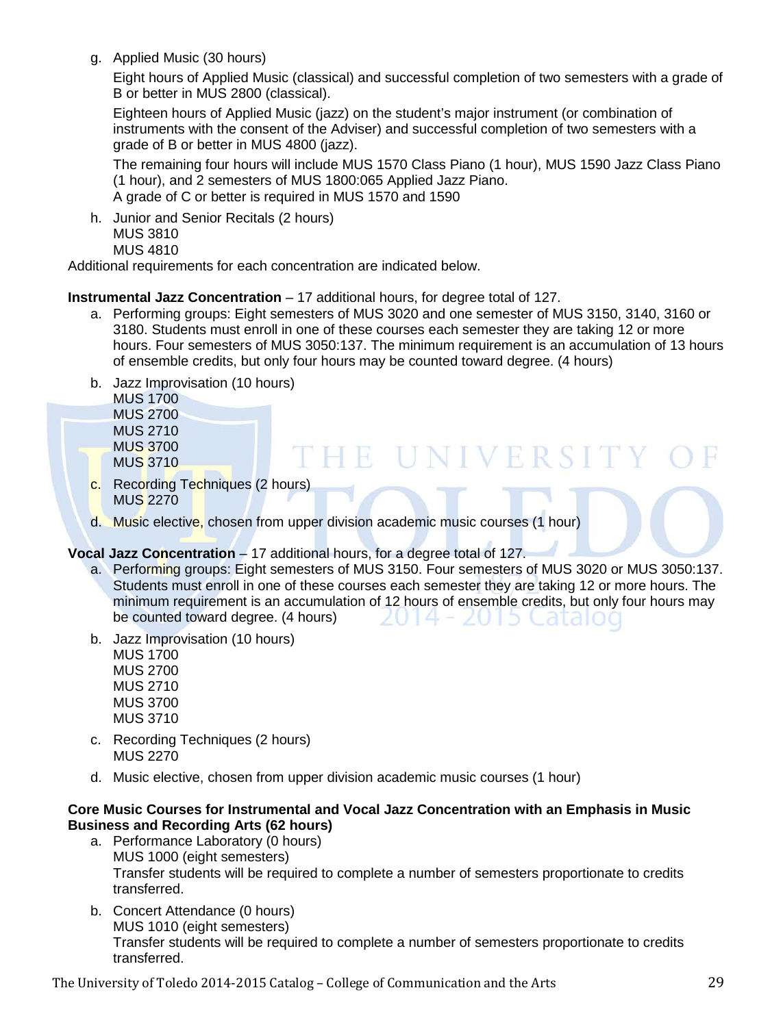g. Applied Music (30 hours)

Eight hours of Applied Music (classical) and successful completion of two semesters with a grade of B or better in MUS 2800 (classical).

Eighteen hours of Applied Music (jazz) on the student's major instrument (or combination of instruments with the consent of the Adviser) and successful completion of two semesters with a grade of B or better in MUS 4800 (jazz).

The remaining four hours will include MUS 1570 Class Piano (1 hour), MUS 1590 Jazz Class Piano (1 hour), and 2 semesters of MUS 1800:065 Applied Jazz Piano. A grade of C or better is required in MUS 1570 and 1590

h. Junior and Senior Recitals (2 hours) MUS 3810 MUS 4810

Additional requirements for each concentration are indicated below.

# **Instrumental Jazz Concentration** – 17 additional hours, for degree total of 127.

- a. Performing groups: Eight semesters of MUS 3020 and one semester of MUS 3150, 3140, 3160 or 3180. Students must enroll in one of these courses each semester they are taking 12 or more hours. Four semesters of MUS 3050:137. The minimum requirement is an accumulation of 13 hours of ensemble credits, but only four hours may be counted toward degree. (4 hours)
- b. Jazz Improvisation (10 hours)

MUS 1700 MUS 2700 MUS 2710 MUS 3700 MUS 3710

# THE UNIVERSITY

- c. Recording Techniques (2 hours) MUS 2270
- d. Music elective, chosen from upper division academic music courses (1 hour)

# **Vocal Jazz Concentration** – 17 additional hours, for a degree total of 127.

- a. Performing groups: Eight semesters of MUS 3150. Four semesters of MUS 3020 or MUS 3050:137. Students must enroll in one of these courses each semester they are taking 12 or more hours. The minimum requirement is an accumulation of 12 hours of ensemble credits, but only four hours may be counted toward degree. (4 hours) 2014 - 2015
- b. Jazz Improvisation (10 hours)

MUS 1700 MUS 2700 MUS 2710 MUS 3700 MUS 3710

- c. Recording Techniques (2 hours) MUS 2270
- d. Music elective, chosen from upper division academic music courses (1 hour)

# **Core Music Courses for Instrumental and Vocal Jazz Concentration with an Emphasis in Music Business and Recording Arts (62 hours)**

- a. Performance Laboratory (0 hours) MUS 1000 (eight semesters) Transfer students will be required to complete a number of semesters proportionate to credits transferred.
- b. Concert Attendance (0 hours) MUS 1010 (eight semesters) Transfer students will be required to complete a number of semesters proportionate to credits transferred.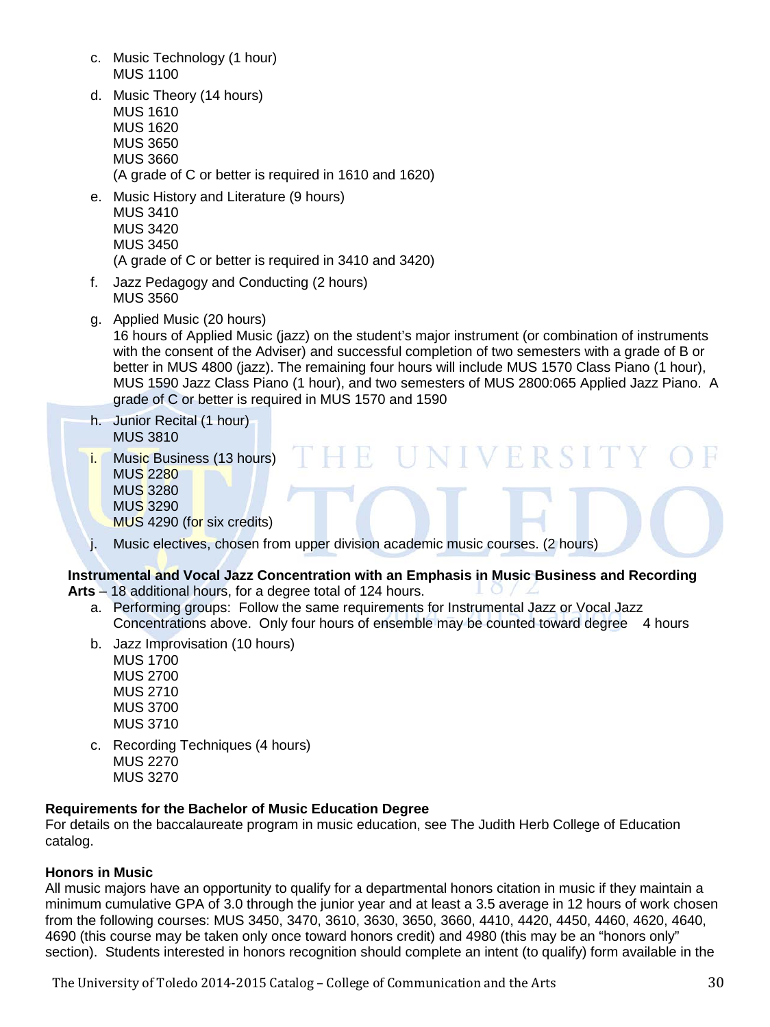- c. Music Technology (1 hour) MUS 1100
- d. Music Theory (14 hours) MUS 1610 MUS 1620 MUS 3650 MUS 3660 (A grade of C or better is required in 1610 and 1620)
- e. Music History and Literature (9 hours) MUS 3410 MUS 3420 MUS 3450 (A grade of C or better is required in 3410 and 3420)
- f. Jazz Pedagogy and Conducting (2 hours) MUS 3560
- g. Applied Music (20 hours)

16 hours of Applied Music (jazz) on the student's major instrument (or combination of instruments with the consent of the Adviser) and successful completion of two semesters with a grade of B or better in MUS 4800 (jazz). The remaining four hours will include MUS 1570 Class Piano (1 hour), MUS 1590 Jazz Class Piano (1 hour), and two semesters of MUS 2800:065 Applied Jazz Piano. A grade of C or better is required in MUS 1570 and 1590

UNIVERSIT

- h. Junior Recital (1 hour) MUS 3810
- i. Music Business (13 hours) MUS 2280 MUS 3280 MUS 3290 MUS 4290 (for six credits)
- j. Music electives, chosen from upper division academic music courses. (2 hours)

H.

# **Instrumental and Vocal Jazz Concentration with an Emphasis in Music Business and Recording**

- **Arts** 18 additional hours, for a degree total of 124 hours.
	- a. Performing groups: Follow the same requirements for Instrumental Jazz or Vocal Jazz Concentrations above. Only four hours of ensemble may be counted toward degree 4 hours
	- b. Jazz Improvisation (10 hours)

MUS 1700 MUS 2700 MUS 2710 MUS 3700 MUS 3710

c. Recording Techniques (4 hours) MUS 2270 MUS 3270

#### **Requirements for the Bachelor of Music Education Degree**

For details on the baccalaureate program in music education, see The Judith Herb College of Education catalog.

# **Honors in Music**

All music majors have an opportunity to qualify for a departmental honors citation in music if they maintain a minimum cumulative GPA of 3.0 through the junior year and at least a 3.5 average in 12 hours of work chosen from the following courses: MUS 3450, 3470, 3610, 3630, 3650, 3660, 4410, 4420, 4450, 4460, 4620, 4640, 4690 (this course may be taken only once toward honors credit) and 4980 (this may be an "honors only" section). Students interested in honors recognition should complete an intent (to qualify) form available in the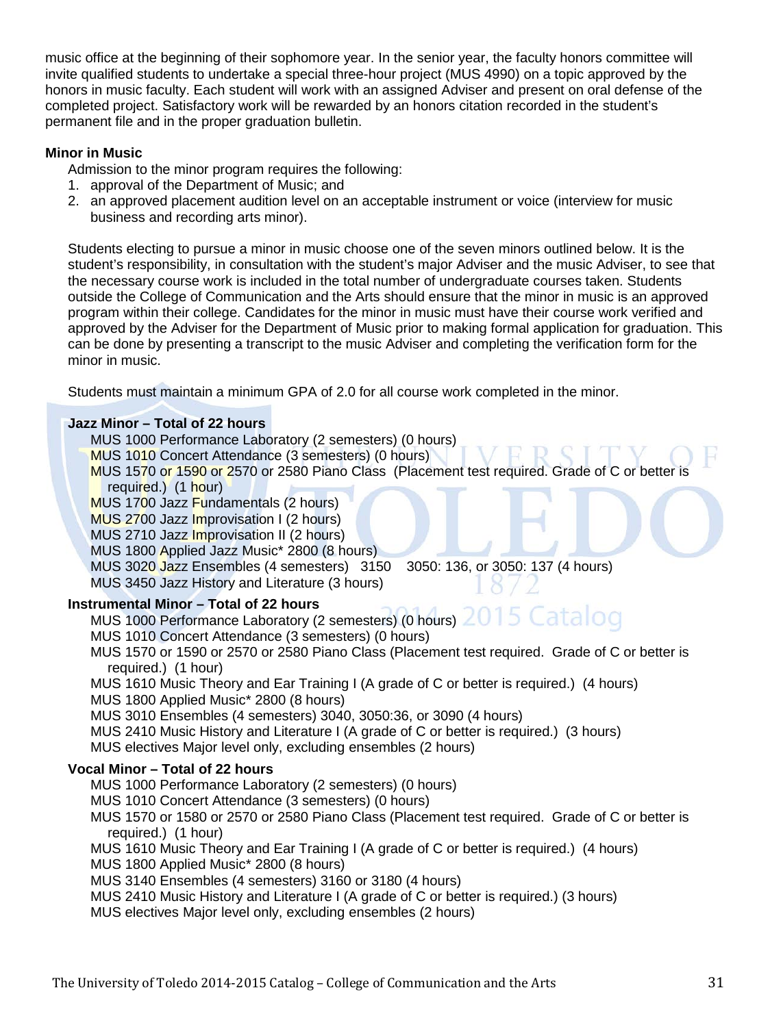music office at the beginning of their sophomore year. In the senior year, the faculty honors committee will invite qualified students to undertake a special three-hour project (MUS 4990) on a topic approved by the honors in music faculty. Each student will work with an assigned Adviser and present on oral defense of the completed project. Satisfactory work will be rewarded by an honors citation recorded in the student's permanent file and in the proper graduation bulletin.

# **Minor in Music**

Admission to the minor program requires the following:

- 1. approval of the Department of Music; and
- 2. an approved placement audition level on an acceptable instrument or voice (interview for music business and recording arts minor).

Students electing to pursue a minor in music choose one of the seven minors outlined below. It is the student's responsibility, in consultation with the student's major Adviser and the music Adviser, to see that the necessary course work is included in the total number of undergraduate courses taken. Students outside the College of Communication and the Arts should ensure that the minor in music is an approved program within their college. Candidates for the minor in music must have their course work verified and approved by the Adviser for the Department of Music prior to making formal application for graduation. This can be done by presenting a transcript to the music Adviser and completing the verification form for the minor in music.

Students must maintain a minimum GPA of 2.0 for all course work completed in the minor.

# **Jazz Minor – Total of 22 hours**

MUS 1000 Performance Laboratory (2 semesters) (0 hours)

MUS 1010 Concert Attendance (3 semesters) (0 hours)

MUS 1570 or 1590 or 2570 or 2580 Piano Class (Placement test required. Grade of C or better is required.) (1 hour)

MUS 1700 Jazz Fundamentals (2 hours)

MUS 2700 Jazz Improvisation I (2 hours)

MUS 2710 Jazz Improvisation II (2 hours)

MUS 1800 Applied Jazz Music\* 2800 (8 hours)

MUS 3020 Jazz Ensembles (4 semesters) 3150 3050: 136, or 3050: 137 (4 hours)

MUS 3450 Jazz History and Literature (3 hours)

# **Instrumental Minor – Total of 22 hours**

MUS 1000 Performance Laboratory (2 semesters) (0 hours) 2015 Catalog

- MUS 1010 Concert Attendance (3 semesters) (0 hours)
- MUS 1570 or 1590 or 2570 or 2580 Piano Class (Placement test required. Grade of C or better is required.) (1 hour)
- MUS 1610 Music Theory and Ear Training I (A grade of C or better is required.) (4 hours) MUS 1800 Applied Music\* 2800 (8 hours)

MUS 3010 Ensembles (4 semesters) 3040, 3050:36, or 3090 (4 hours)

MUS 2410 Music History and Literature I (A grade of C or better is required.) (3 hours)

MUS electives Major level only, excluding ensembles (2 hours)

# **Vocal Minor – Total of 22 hours**

MUS 1000 Performance Laboratory (2 semesters) (0 hours)

- MUS 1010 Concert Attendance (3 semesters) (0 hours)
- MUS 1570 or 1580 or 2570 or 2580 Piano Class (Placement test required. Grade of C or better is required.) (1 hour)

MUS 1610 Music Theory and Ear Training I (A grade of C or better is required.) (4 hours) MUS 1800 Applied Music\* 2800 (8 hours)

MUS 3140 Ensembles (4 semesters) 3160 or 3180 (4 hours)

MUS 2410 Music History and Literature I (A grade of C or better is required.) (3 hours)

MUS electives Major level only, excluding ensembles (2 hours)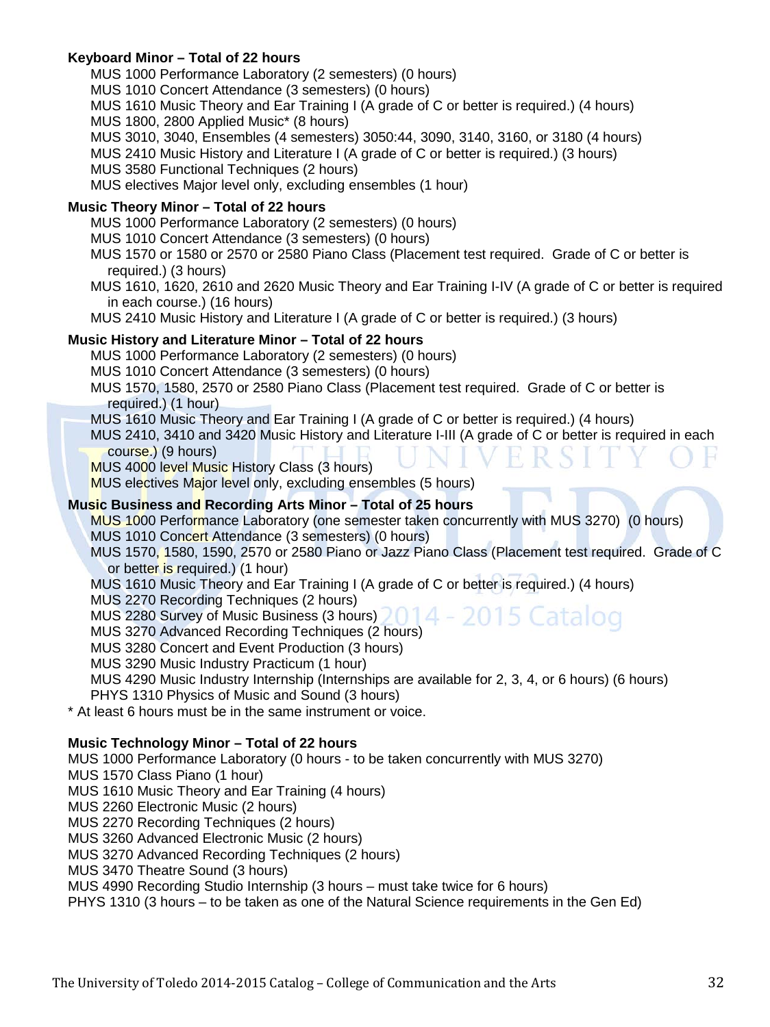# **Keyboard Minor – Total of 22 hours**

MUS 1000 Performance Laboratory (2 semesters) (0 hours) MUS 1010 Concert Attendance (3 semesters) (0 hours) MUS 1610 Music Theory and Ear Training I (A grade of C or better is required.) (4 hours) MUS 1800, 2800 Applied Music\* (8 hours) MUS 3010, 3040, Ensembles (4 semesters) 3050:44, 3090, 3140, 3160, or 3180 (4 hours) MUS 2410 Music History and Literature I (A grade of C or better is required.) (3 hours) MUS 3580 Functional Techniques (2 hours) MUS electives Major level only, excluding ensembles (1 hour) **Music Theory Minor – Total of 22 hours** MUS 1000 Performance Laboratory (2 semesters) (0 hours)

MUS 1010 Concert Attendance (3 semesters) (0 hours)

- MUS 1570 or 1580 or 2570 or 2580 Piano Class (Placement test required. Grade of C or better is required.) (3 hours)
- MUS 1610, 1620, 2610 and 2620 Music Theory and Ear Training I-IV (A grade of C or better is required in each course.) (16 hours)

MUS 2410 Music History and Literature I (A grade of C or better is required.) (3 hours)

#### **Music History and Literature Minor – Total of 22 hours**

- MUS 1000 Performance Laboratory (2 semesters) (0 hours)
- MUS 1010 Concert Attendance (3 semesters) (0 hours)
- MUS 1570, 1580, 2570 or 2580 Piano Class (Placement test required. Grade of C or better is required.) (1 hour)
- MUS 1610 Music Theory and Ear Training I (A grade of C or better is required.) (4 hours)
- MUS 2410, 3410 and 3420 Music History and Literature I-III (A grade of C or better is required in each course.) (9 hours)
- MUS 4000 level Music History Class (3 hours)
- MUS electives Major level only, excluding ensembles (5 hours)

#### **Music Business and Recording Arts Minor – Total of 25 hours**

MUS 1000 Performance Laboratory (one semester taken concurrently with MUS 3270) (0 hours) MUS 1010 Concert Attendance (3 semesters) (0 hours)

MUS 1570, 1580, 1590, 2570 or 2580 Piano or Jazz Piano Class (Placement test required. Grade of C or better is required.) (1 hour)

atalog

MUS 1610 Music Theory and Ear Training I (A grade of C or better is required.) (4 hours)

MUS 2270 Recording Techniques (2 hours)

MUS 2280 Survey of Music Business (3 hours) 2014 - 20

MUS 3270 Advanced Recording Techniques (2 hours)

MUS 3280 Concert and Event Production (3 hours)

MUS 3290 Music Industry Practicum (1 hour)

MUS 4290 Music Industry Internship (Internships are available for 2, 3, 4, or 6 hours) (6 hours)

PHYS 1310 Physics of Music and Sound (3 hours)

\* At least 6 hours must be in the same instrument or voice.

#### **Music Technology Minor – Total of 22 hours**

MUS 1000 Performance Laboratory (0 hours - to be taken concurrently with MUS 3270)

MUS 1570 Class Piano (1 hour)

MUS 1610 Music Theory and Ear Training (4 hours)

MUS 2260 Electronic Music (2 hours)

MUS 2270 Recording Techniques (2 hours)

MUS 3260 Advanced Electronic Music (2 hours)

MUS 3270 Advanced Recording Techniques (2 hours)

MUS 3470 Theatre Sound (3 hours)

MUS 4990 Recording Studio Internship (3 hours – must take twice for 6 hours)

PHYS 1310 (3 hours – to be taken as one of the Natural Science requirements in the Gen Ed)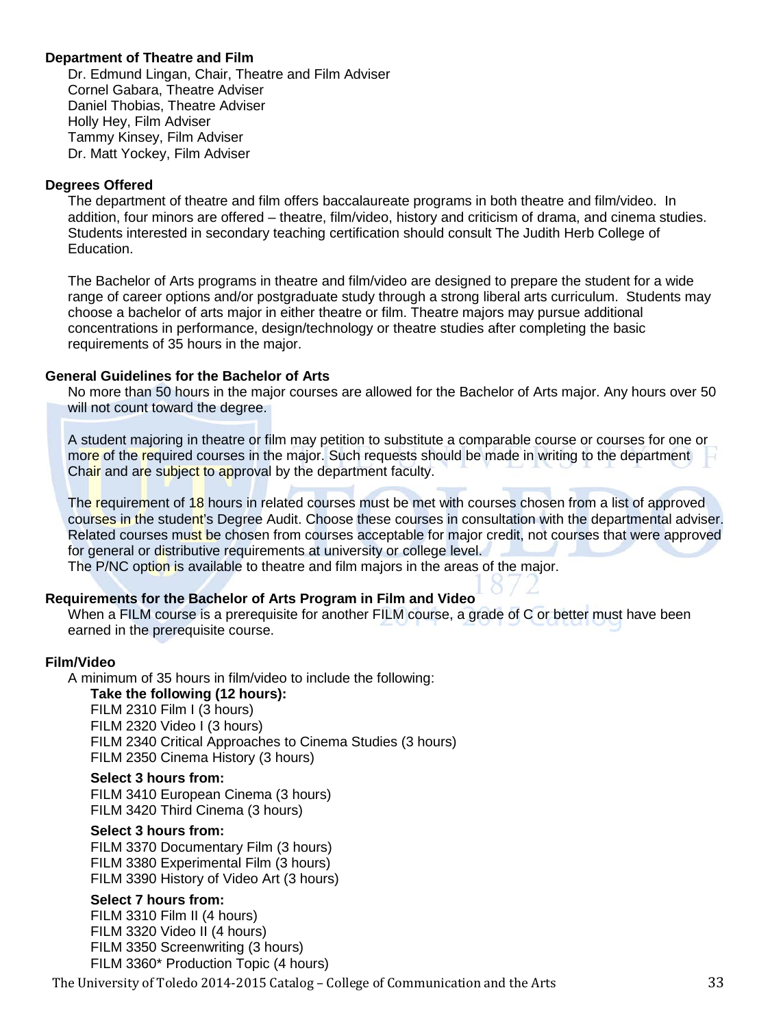# **[Department of Theatre and Film](http://www.utoledo.edu/as/theatrefilm/index.html)**

Dr. Edmund Lingan, Chair, Theatre and Film Adviser Cornel Gabara, Theatre Adviser Daniel Thobias, Theatre Adviser Holly Hey, Film Adviser Tammy Kinsey, Film Adviser Dr. Matt Yockey, Film Adviser

#### **Degrees Offered**

The department of theatre and film offers baccalaureate programs in both theatre and film/video. In addition, four minors are offered – theatre, film/video, history and criticism of drama, and cinema studies. Students interested in secondary teaching certification should consult The Judith Herb College of Education.

The Bachelor of Arts programs in theatre and film/video are designed to prepare the student for a wide range of career options and/or postgraduate study through a strong liberal arts curriculum. Students may choose a bachelor of arts major in either theatre or film. Theatre majors may pursue additional concentrations in performance, design/technology or theatre studies after completing the basic requirements of 35 hours in the major.

#### **General Guidelines for the Bachelor of Arts**

No more than 50 hours in the major courses are allowed for the Bachelor of Arts major. Any hours over 50 will not count toward the degree.

A student majoring in theatre or film may petition to substitute a comparable course or courses for one or more of the required courses in the major. Such requests should be made in writing to the department Chair and are subject to approval by the department faculty.

The requirement of 18 hours in related courses must be met with courses chosen from a list of approved courses in the student's Degree Audit. Choose these courses in consultation with the departmental adviser. Related courses must be chosen from courses acceptable for major credit, not courses that were approved for general or distributive requirements at university or college level.

The P/NC option is available to theatre and film majors in the areas of the major.

# **Requirements for the Bachelor of Arts Program in Film and Video**

When a FILM course is a prerequisite for another FILM course, a grade of C or better must have been earned in the prerequisite course.

#### **Film/Video**

A minimum of 35 hours in film/video to include the following: **Take the following (12 hours):** FILM 2310 Film I (3 hours) FILM 2320 Video I (3 hours)

FILM 2340 Critical Approaches to Cinema Studies (3 hours) FILM 2350 Cinema History (3 hours)

#### **Select 3 hours from:**

FILM 3410 European Cinema (3 hours) FILM 3420 Third Cinema (3 hours)

#### **Select 3 hours from:**

FILM 3370 Documentary Film (3 hours) FILM 3380 Experimental Film (3 hours) FILM 3390 History of Video Art (3 hours)

#### **Select 7 hours from:**

FILM 3310 Film II (4 hours) FILM 3320 Video II (4 hours) FILM 3350 Screenwriting (3 hours) FILM 3360\* Production Topic (4 hours)

The University of Toledo 2014-2015 Catalog – College of Communication and the Arts 33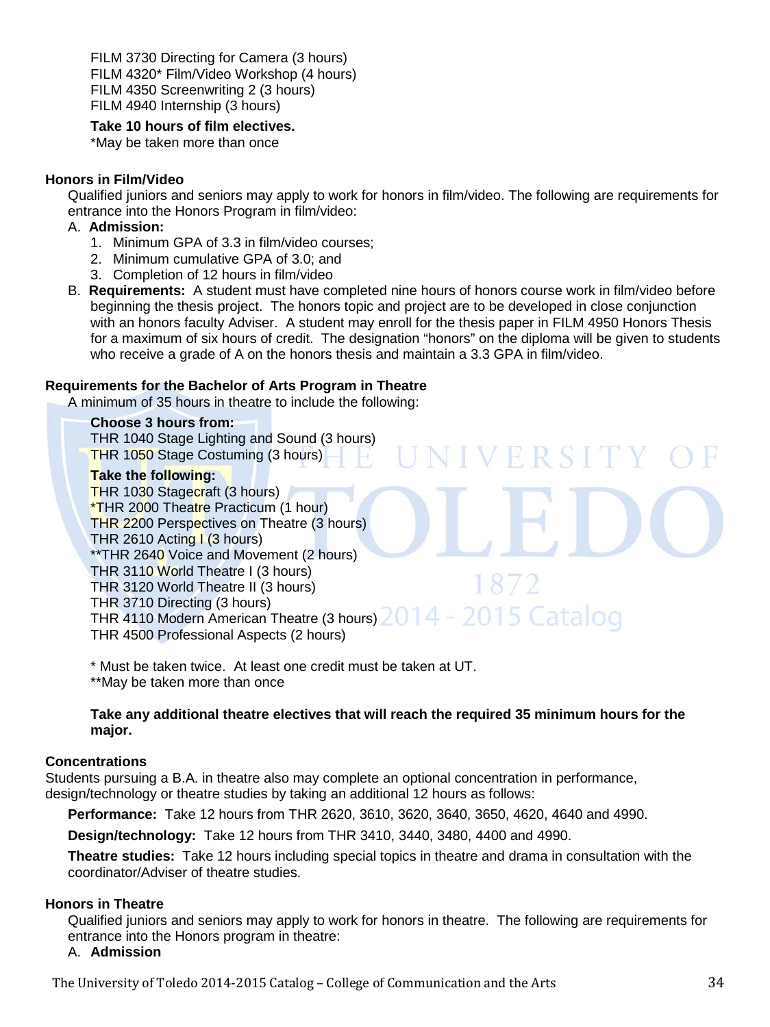FILM 3730 Directing for Camera (3 hours) FILM 4320\* Film/Video Workshop (4 hours) FILM 4350 Screenwriting 2 (3 hours) FILM 4940 Internship (3 hours)

# **Take 10 hours of film electives.**

\*May be taken more than once

# **Honors in Film/Video**

Qualified juniors and seniors may apply to work for honors in film/video. The following are requirements for entrance into the Honors Program in film/video:

# A. **Admission:**

- 1. Minimum GPA of 3.3 in film/video courses;
- 2. Minimum cumulative GPA of 3.0; and
- 3. Completion of 12 hours in film/video
- B. **Requirements:** A student must have completed nine hours of honors course work in film/video before beginning the thesis project. The honors topic and project are to be developed in close conjunction with an honors faculty Adviser. A student may enroll for the thesis paper in FILM 4950 Honors Thesis for a maximum of six hours of credit. The designation "honors" on the diploma will be given to students who receive a grade of A on the honors thesis and maintain a 3.3 GPA in film/video.

# **Requirements for the Bachelor of Arts Program in Theatre**

A minimum of 35 hours in theatre to include the following:

# **Choose 3 hours from:**

THR 1040 Stage Lighting and Sound (3 hours) THR 1050 Stage Costuming (3 hours)

# **Take the following:**

THR 1030 Stagecraft (3 hours) \*THR 2000 Theatre Practicum (1 hour) THR 2200 Perspectives on Theatre (3 hours) THR 2610 Acting I (3 hours) \*\*THR 2640 Voice and Movement (2 hours) THR 3110 World Theatre I (3 hours)  $18/$ THR 3120 World Theatre II (3 hours) THR 3710 Directing (3 hours) THR 4110 Modern American Theatre (3 hours) 2014 - 2015 Catalog THR 4500 Professional Aspects (2 hours)

VERSIT

\* Must be taken twice. At least one credit must be taken at UT.

\*\*May be taken more than once

# **Take any additional theatre electives that will reach the required 35 minimum hours for the major.**

# **Concentrations**

Students pursuing a B.A. in theatre also may complete an optional concentration in performance, design/technology or theatre studies by taking an additional 12 hours as follows:

**Performance:** Take 12 hours from THR 2620, 3610, 3620, 3640, 3650, 4620, 4640 and 4990.

**Design/technology:** Take 12 hours from THR 3410, 3440, 3480, 4400 and 4990.

**Theatre studies:** Take 12 hours including special topics in theatre and drama in consultation with the coordinator/Adviser of theatre studies.

# **Honors in Theatre**

Qualified juniors and seniors may apply to work for honors in theatre. The following are requirements for entrance into the Honors program in theatre:

# A. **Admission**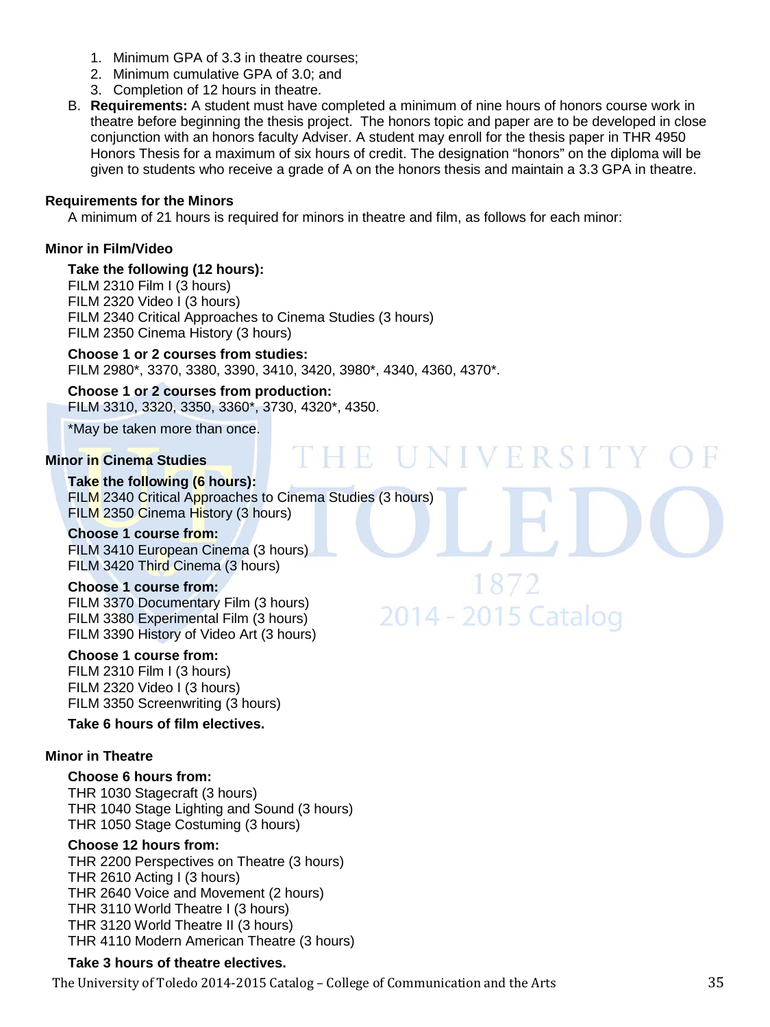- 1. Minimum GPA of 3.3 in theatre courses;
- 2. Minimum cumulative GPA of 3.0; and
- 3. Completion of 12 hours in theatre.
- B. **Requirements:** A student must have completed a minimum of nine hours of honors course work in theatre before beginning the thesis project. The honors topic and paper are to be developed in close conjunction with an honors faculty Adviser. A student may enroll for the thesis paper in THR 4950 Honors Thesis for a maximum of six hours of credit. The designation "honors" on the diploma will be given to students who receive a grade of A on the honors thesis and maintain a 3.3 GPA in theatre.

THE UNIVERSITY

1872

2014 - 2015 Catalog

#### **Requirements for the Minors**

A minimum of 21 hours is required for minors in theatre and film, as follows for each minor:

# **Minor in Film/Video**

#### **Take the following (12 hours):**

FILM 2310 Film I (3 hours) FILM 2320 Video I (3 hours) FILM 2340 Critical Approaches to Cinema Studies (3 hours) FILM 2350 Cinema History (3 hours)

# **Choose 1 or 2 courses from studies:**

FILM 2980\*, 3370, 3380, 3390, 3410, 3420, 3980\*, 4340, 4360, 4370\*.

**Choose 1 or 2 courses from production:** FILM 3310, 3320, 3350, 3360\*, 3730, 4320\*, 4350.

\*May be taken more than once.

#### **Minor in Cinema Studies**

**Take the following (6 hours):** FILM 2340 Critical Approaches to Cinema Studies (3 hours) FILM 2350 Cinema History (3 hours)

#### **Choose 1 course from:**

FILM 3410 European Cinema (3 hours) FILM 3420 Third Cinema (3 hours)

# **Choose 1 course from:**

FILM 3370 Documentary Film (3 hours) FILM 3380 Experimental Film (3 hours) FILM 3390 History of Video Art (3 hours)

#### **Choose 1 course from:**

FILM 2310 Film I (3 hours) FILM 2320 Video I (3 hours) FILM 3350 Screenwriting (3 hours)

#### **Take 6 hours of film electives.**

#### **Minor in Theatre**

#### **Choose 6 hours from:**

THR 1030 Stagecraft (3 hours) THR 1040 Stage Lighting and Sound (3 hours) THR 1050 Stage Costuming (3 hours)

#### **Choose 12 hours from:**

THR 2200 Perspectives on Theatre (3 hours) THR 2610 Acting I (3 hours) THR 2640 Voice and Movement (2 hours) THR 3110 World Theatre I (3 hours) THR 3120 World Theatre II (3 hours) THR 4110 Modern American Theatre (3 hours)

# **Take 3 hours of theatre electives.**

The University of Toledo 2014-2015 Catalog – College of Communication and the Arts 35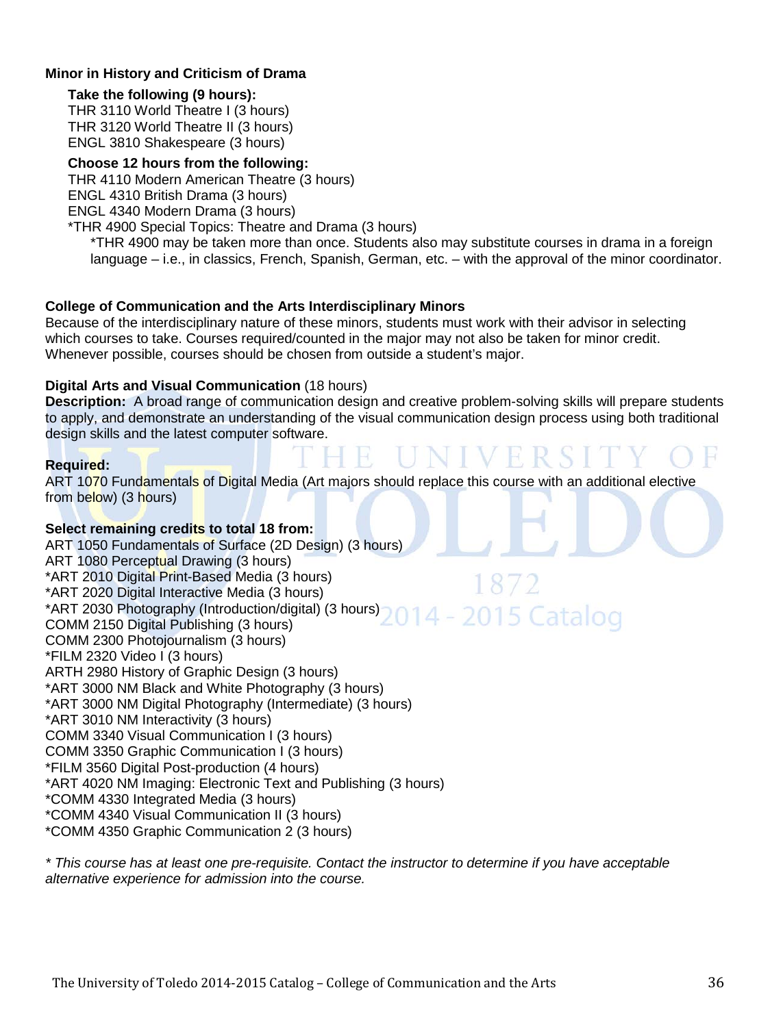# **Minor in History and Criticism of Drama**

#### **Take the following (9 hours):**

THR 3110 World Theatre I (3 hours) THR 3120 World Theatre II (3 hours) ENGL 3810 Shakespeare (3 hours)

#### **Choose 12 hours from the following:**

THR 4110 Modern American Theatre (3 hours)

ENGL 4310 British Drama (3 hours)

ENGL 4340 Modern Drama (3 hours)

#### \*THR 4900 Special Topics: Theatre and Drama (3 hours)

\*THR 4900 may be taken more than once. Students also may substitute courses in drama in a foreign language – i.e., in classics, French, Spanish, German, etc. – with the approval of the minor coordinator.

# **College of Communication and the Arts Interdisciplinary Minors**

Because of the interdisciplinary nature of these minors, students must work with their advisor in selecting which courses to take. Courses required/counted in the major may not also be taken for minor credit. Whenever possible, courses should be chosen from outside a student's major.

#### **Digital Arts and Visual Communication** (18 hours)

**Description:** A broad range of communication design and creative problem-solving skills will prepare students to apply, and demonstrate an understanding of the visual communication design process using both traditional design skills and the latest computer software.

#### **Required:**

ART 1070 Fundamentals of Digital Media (Art majors should replace this course with an additional elective from below) (3 hours)

R.

# **Select remaining credits to total 18 from:**

ART 1050 Fundamentals of Surface (2D Design) (3 hours) ART 1080 Perceptual Drawing (3 hours) \*ART 2010 Digital Print-Based Media (3 hours) \*ART 2020 Digital Interactive Media (3 hours) \*ART 2030 Photography (Introduction/digital) (3 hours)  $-2015$  Catalog COMM 2150 Digital Publishing (3 hours) COMM 2300 Photojournalism (3 hours) \*FILM 2320 Video I (3 hours) ARTH 2980 History of Graphic Design (3 hours) \*ART 3000 NM Black and White Photography (3 hours) \*ART 3000 NM Digital Photography (Intermediate) (3 hours) \*ART 3010 NM Interactivity (3 hours) COMM 3340 Visual Communication I (3 hours) COMM 3350 Graphic Communication I (3 hours) \*FILM 3560 Digital Post-production (4 hours) \*ART 4020 NM Imaging: Electronic Text and Publishing (3 hours) \*COMM 4330 Integrated Media (3 hours) \*COMM 4340 Visual Communication II (3 hours) \*COMM 4350 Graphic Communication 2 (3 hours)

*\* This course has at least one pre-requisite. Contact the instructor to determine if you have acceptable alternative experience for admission into the course.*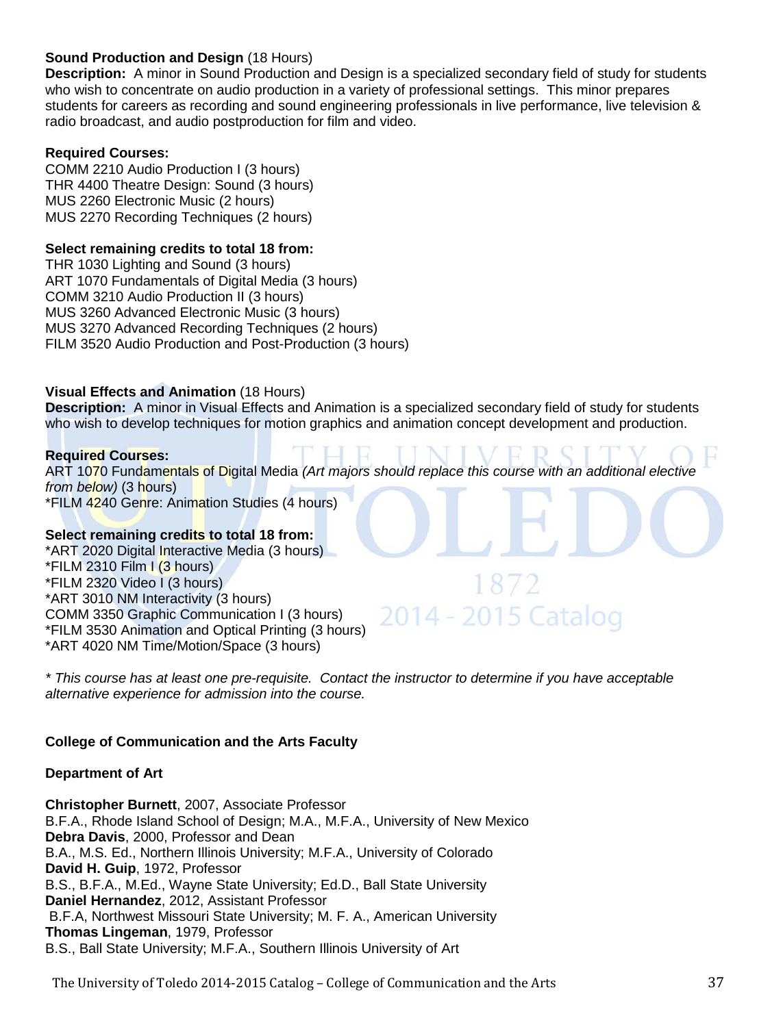# **Sound Production and Design** (18 Hours)

**Description:** A minor in Sound Production and Design is a specialized secondary field of study for students who wish to concentrate on audio production in a variety of professional settings. This minor prepares students for careers as recording and sound engineering professionals in live performance, live television & radio broadcast, and audio postproduction for film and video.

# **Required Courses:**

COMM 2210 Audio Production I (3 hours) THR 4400 Theatre Design: Sound (3 hours) MUS 2260 Electronic Music (2 hours) MUS 2270 Recording Techniques (2 hours)

# **Select remaining credits to total 18 from:**

THR 1030 Lighting and Sound (3 hours) ART 1070 Fundamentals of Digital Media (3 hours) COMM 3210 Audio Production II (3 hours) MUS 3260 Advanced Electronic Music (3 hours) MUS 3270 Advanced Recording Techniques (2 hours) FILM 3520 Audio Production and Post-Production (3 hours)

# **Visual Effects and Animation** (18 Hours)

**Description:** A minor in Visual Effects and Animation is a specialized secondary field of study for students who wish to develop techniques for motion graphics and animation concept development and production.

# **Required Courses:**

ART 1070 Fundamentals of Digital Media *(Art majors should replace this course with an additional elective from below)* (3 hours) \*FILM 4240 Genre: Animation Studies (4 hours)

# **Select remaining credits to total 18 from:**

\*ART 2020 Digital Interactive Media (3 hours)  $*$ FILM 2310 Film  $(3 \text{ hours})$ \*FILM 2320 Video I (3 hours) \*ART 3010 NM Interactivity (3 hours) COMM 3350 Graphic Communication I (3 hours) \*FILM 3530 Animation and Optical Printing (3 hours) \*ART 4020 NM Time/Motion/Space (3 hours)

*\* This course has at least one pre-requisite. Contact the instructor to determine if you have acceptable alternative experience for admission into the course.*

2014 - 2015 Catalog

# **College of Communication and the Arts Faculty**

#### **Department of Art**

**Christopher Burnett**, 2007, Associate Professor B.F.A., Rhode Island School of Design; M.A., M.F.A., University of New Mexico **Debra Davis**, 2000, Professor and Dean B.A., M.S. Ed., Northern Illinois University; M.F.A., University of Colorado **David H. Guip**, 1972, Professor B.S., B.F.A., M.Ed., Wayne State University; Ed.D., Ball State University **Daniel Hernandez**, 2012, Assistant Professor B.F.A, Northwest Missouri State University; M. F. A., American University **Thomas Lingeman**, 1979, Professor B.S., Ball State University; M.F.A., Southern Illinois University of Art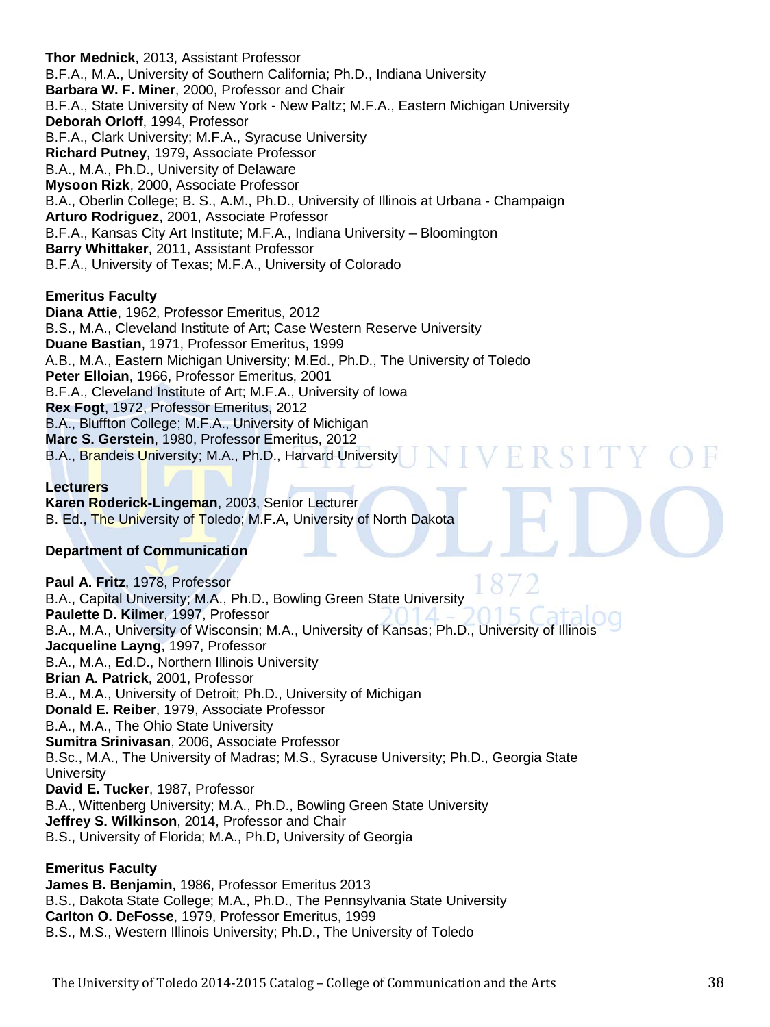**Thor Mednick**, 2013, Assistant Professor B.F.A., M.A., University of Southern California; Ph.D., Indiana University **Barbara W. F. Miner**, 2000, Professor and Chair B.F.A., State University of New York - New Paltz; M.F.A., Eastern Michigan University **Deborah Orloff**, 1994, Professor B.F.A., Clark University; M.F.A., Syracuse University **Richard Putney**, 1979, Associate Professor B.A., M.A., Ph.D., University of Delaware **Mysoon Rizk**, 2000, Associate Professor B.A., Oberlin College; B. S., A.M., Ph.D., University of Illinois at Urbana - Champaign **Arturo Rodriguez**, 2001, Associate Professor B.F.A., Kansas City Art Institute; M.F.A., Indiana University – Bloomington **Barry Whittaker**, 2011, Assistant Professor B.F.A., University of Texas; M.F.A., University of Colorado

# **Emeritus Faculty**

**Diana Attie**, 1962, Professor Emeritus, 2012 B.S., M.A., Cleveland Institute of Art; Case Western Reserve University **Duane Bastian**, 1971, Professor Emeritus, 1999 A.B., M.A., Eastern Michigan University; M.Ed., Ph.D., The University of Toledo **Peter Elloian**, 1966, Professor Emeritus, 2001 B.F.A., Cleveland Institute of Art; M.F.A., University of Iowa **Rex Fogt**, 1972, Professor Emeritus, 2012 B.A., Bluffton College; M.F.A., University of Michigan **Marc S. Gerstein**, 1980, Professor Emeritus, 2012 B.A., Brandeis University; M.A., Ph.D., Harvard University VERSIT

# **Lecturers**

**Karen Roderick-Lingeman**, 2003, Senior Lecturer B. Ed., The University of Toledo; M.F.A, University of North Dakota

# **Department of Communication**

**Paul A. Fritz**, 1978, Professor B.A., Capital University; M.A., Ph.D., Bowling Green State University **Paulette D. Kilmer**, 1997, Professor B.A., M.A., University of Wisconsin; M.A., University of Kansas; Ph.D., University of Illinois **Jacqueline Layng**, 1997, Professor B.A., M.A., Ed.D., Northern Illinois University **Brian A. Patrick**, 2001, Professor B.A., M.A., University of Detroit; Ph.D., University of Michigan **Donald E. Reiber**, 1979, Associate Professor B.A., M.A., The Ohio State University **Sumitra Srinivasan**, 2006, Associate Professor B.Sc., M.A., The University of Madras; M.S., Syracuse University; Ph.D., Georgia State **University David E. Tucker**, 1987, Professor B.A., Wittenberg University; M.A., Ph.D., Bowling Green State University **Jeffrey S. Wilkinson**, 2014, Professor and Chair B.S., University of Florida; M.A., Ph.D, University of Georgia

#### **Emeritus Faculty**

**James B. Benjamin**, 1986, Professor Emeritus 2013 B.S., Dakota State College; M.A., Ph.D., The Pennsylvania State University **Carlton O. DeFosse**, 1979, Professor Emeritus, 1999 B.S., M.S., Western Illinois University; Ph.D., The University of Toledo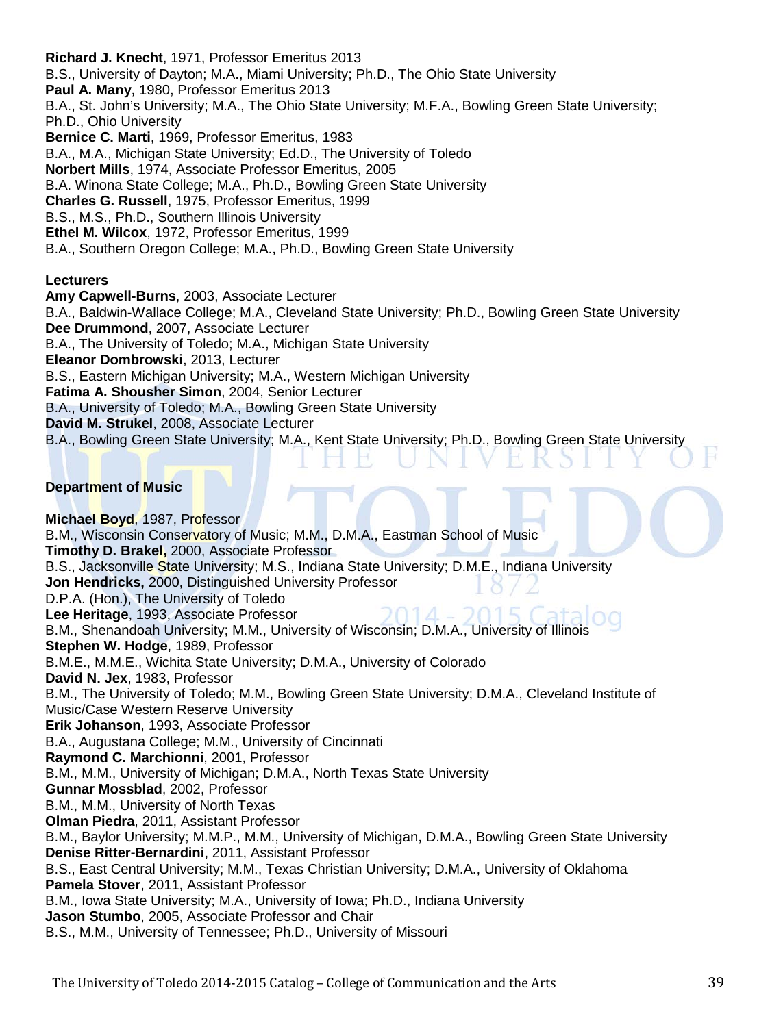**Richard J. Knecht**, 1971, Professor Emeritus 2013 B.S., University of Dayton; M.A., Miami University; Ph.D., The Ohio State University **Paul A. Many**, 1980, Professor Emeritus 2013 B.A., St. John's University; M.A., The Ohio State University; M.F.A., Bowling Green State University; Ph.D., Ohio University **Bernice C. Marti**, 1969, Professor Emeritus, 1983 B.A., M.A., Michigan State University; Ed.D., The University of Toledo **Norbert Mills**, 1974, Associate Professor Emeritus, 2005 B.A. Winona State College; M.A., Ph.D., Bowling Green State University **Charles G. Russell**, 1975, Professor Emeritus, 1999 B.S., M.S., Ph.D., Southern Illinois University **Ethel M. Wilcox**, 1972, Professor Emeritus, 1999 B.A., Southern Oregon College; M.A., Ph.D., Bowling Green State University

# **Lecturers**

**Amy Capwell-Burns**, 2003, Associate Lecturer B.A., Baldwin-Wallace College; M.A., Cleveland State University; Ph.D., Bowling Green State University **Dee Drummond**, 2007, Associate Lecturer B.A., The University of Toledo; M.A., Michigan State University **Eleanor Dombrowski**, 2013, Lecturer B.S., Eastern Michigan University; M.A., Western Michigan University **Fatima A. Shousher Simon**, 2004, Senior Lecturer B.A., University of Toledo; M.A., Bowling Green State University **David M. Strukel**, 2008, Associate Lecturer B.A., Bowling Green State University; M.A., Kent State University; Ph.D., Bowling Green State University

# **Department of Music**

**Michael Boyd**, 1987, Professor B.M., Wisconsin Conservatory of Music; M.M., D.M.A., Eastman School of Music **Timothy D. Brakel,** 2000, Associate Professor B.S., Jacksonville State University; M.S., Indiana State University; D.M.E., Indiana University **Jon Hendricks,** 2000, Distinguished University Professor D.P.A. (Hon.), The University of Toledo **Lee Heritage**, 1993, Associate Professor B.M., Shenandoah University; M.M., University of Wisconsin; D.M.A., University of Illinois **Stephen W. Hodge**, 1989, Professor B.M.E., M.M.E., Wichita State University; D.M.A., University of Colorado **David N. Jex**, 1983, Professor B.M., The University of Toledo; M.M., Bowling Green State University; D.M.A., Cleveland Institute of Music/Case Western Reserve University **Erik Johanson**, 1993, Associate Professor B.A., Augustana College; M.M., University of Cincinnati **Raymond C. Marchionni**, 2001, Professor B.M., M.M., University of Michigan; D.M.A., North Texas State University **Gunnar Mossblad**, 2002, Professor B.M., M.M., University of North Texas **Olman Piedra**, 2011, Assistant Professor B.M., Baylor University; M.M.P., M.M., University of Michigan, D.M.A., Bowling Green State University **Denise Ritter-Bernardini**, 2011, Assistant Professor B.S., East Central University; M.M., Texas Christian University; D.M.A., University of Oklahoma **Pamela Stover**, 2011, Assistant Professor B.M., Iowa State University; M.A., University of Iowa; Ph.D., Indiana University **Jason Stumbo**, 2005, Associate Professor and Chair B.S., M.M., University of Tennessee; Ph.D., University of Missouri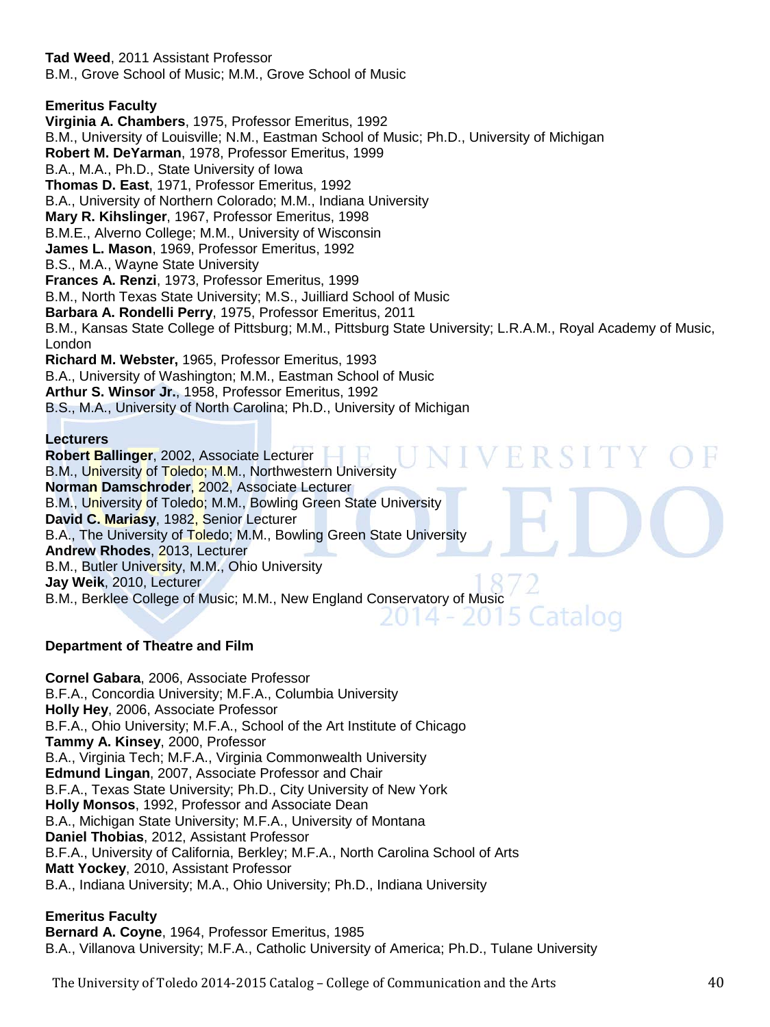**Tad Weed**, 2011 Assistant Professor B.M., Grove School of Music; M.M., Grove School of Music

# **Emeritus Faculty**

**Virginia A. Chambers**, 1975, Professor Emeritus, 1992 B.M., University of Louisville; N.M., Eastman School of Music; Ph.D., University of Michigan **Robert M. DeYarman**, 1978, Professor Emeritus, 1999 B.A., M.A., Ph.D., State University of Iowa **Thomas D. East**, 1971, Professor Emeritus, 1992 B.A., University of Northern Colorado; M.M., Indiana University **Mary R. Kihslinger**, 1967, Professor Emeritus, 1998 B.M.E., Alverno College; M.M., University of Wisconsin **James L. Mason**, 1969, Professor Emeritus, 1992 B.S., M.A., Wayne State University **Frances A. Renzi**, 1973, Professor Emeritus, 1999 B.M., North Texas State University; M.S., Juilliard School of Music **Barbara A. Rondelli Perry**, 1975, Professor Emeritus, 2011 B.M., Kansas State College of Pittsburg; M.M., Pittsburg State University; L.R.A.M., Royal Academy of Music, London **Richard M. Webster,** 1965, Professor Emeritus, 1993 B.A., University of Washington; M.M., Eastman School of Music **Arthur S. Winsor Jr.**, 1958, Professor Emeritus, 1992 B.S., M.A., University of North Carolina; Ph.D., University of Michigan

# **Lecturers**

**Robert Ballinger**, 2002, Associate Lecturer B.M., University of Toledo; M.M., Northwestern University **Norman Damschroder**, 2002, Associate Lecturer B.M., University of Toledo; M.M., Bowling Green State University **David C. Mariasy**, 1982, Senior Lecturer B.A., The University of Toledo; M.M., Bowling Green State University **Andrew Rhodes**, 2013, Lecturer B.M., Butler University, M.M., Ohio University **Jay Weik**, 2010, Lecturer B.M., Berklee College of Music; M.M., New England Conservatory of Music

# **Department of Theatre and Film**

**Cornel Gabara**, 2006, Associate Professor B.F.A., Concordia University; M.F.A., Columbia University **Holly Hey**, 2006, Associate Professor B.F.A., Ohio University; M.F.A., School of the Art Institute of Chicago **Tammy A. Kinsey**, 2000, Professor B.A., Virginia Tech; M.F.A., Virginia Commonwealth University **Edmund Lingan**, 2007, Associate Professor and Chair B.F.A., Texas State University; Ph.D., City University of New York **Holly Monsos**, 1992, Professor and Associate Dean B.A., Michigan State University; M.F.A., University of Montana **Daniel Thobias**, 2012, Assistant Professor B.F.A., University of California, Berkley; M.F.A., North Carolina School of Arts **Matt Yockey**, 2010, Assistant Professor B.A., Indiana University; M.A., Ohio University; Ph.D., Indiana University

# **Emeritus Faculty**

**Bernard A. Coyne**, 1964, Professor Emeritus, 1985 B.A., Villanova University; M.F.A., Catholic University of America; Ph.D., Tulane University